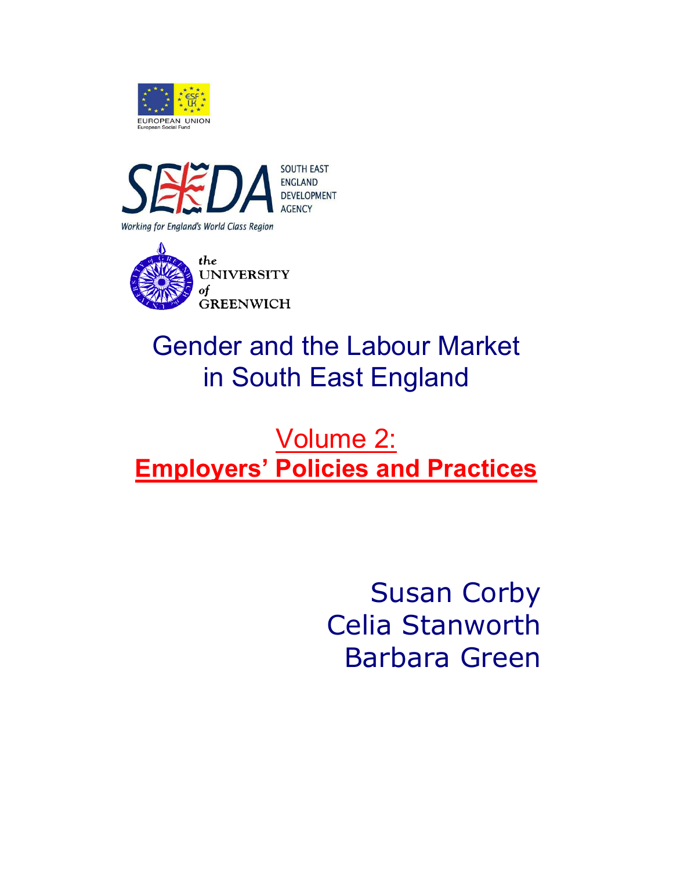





## Gender and the Labour Market in South East England

## Volume 2: **Employers' Policies and Practices**

Susan Corby Celia Stanworth Barbara Green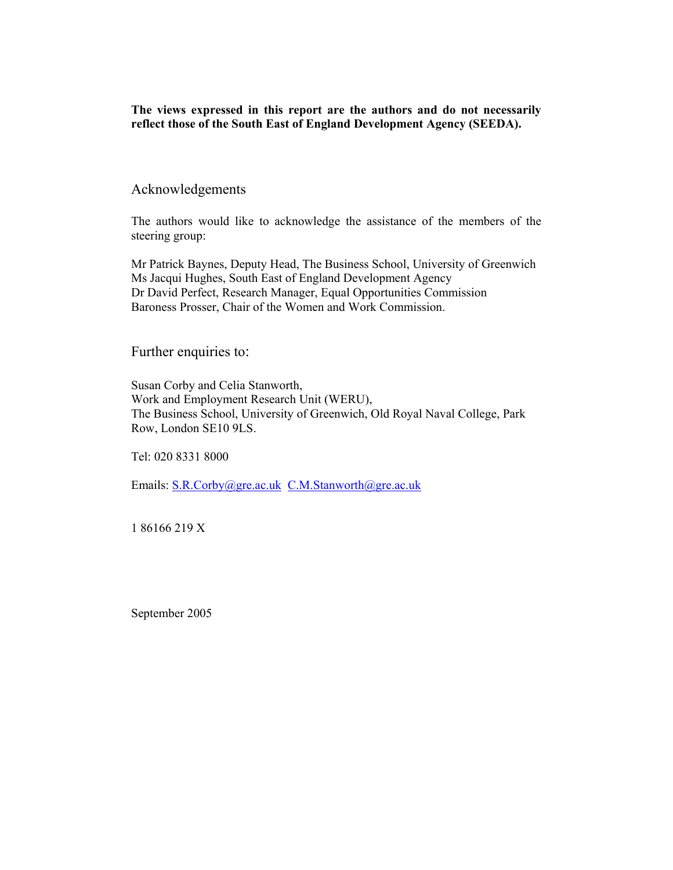**The views expressed in this report are the authors and do not necessarily reflect those of the South East of England Development Agency (SEEDA).** 

#### Acknowledgements

The authors would like to acknowledge the assistance of the members of the steering group:

Mr Patrick Baynes, Deputy Head, The Business School, University of Greenwich Ms Jacqui Hughes, South East of England Development Agency Dr David Perfect, Research Manager, Equal Opportunities Commission Baroness Prosser, Chair of the Women and Work Commission.

Further enquiries to:

Susan Corby and Celia Stanworth, Work and Employment Research Unit (WERU), The Business School, University of Greenwich, Old Royal Naval College, Park Row, London SE10 9LS.

Tel: 020 8331 8000

Emails: S.R.Corby@gre.ac.uk C.M.Stanworth@gre.ac.uk

1 86166 219 X

September 2005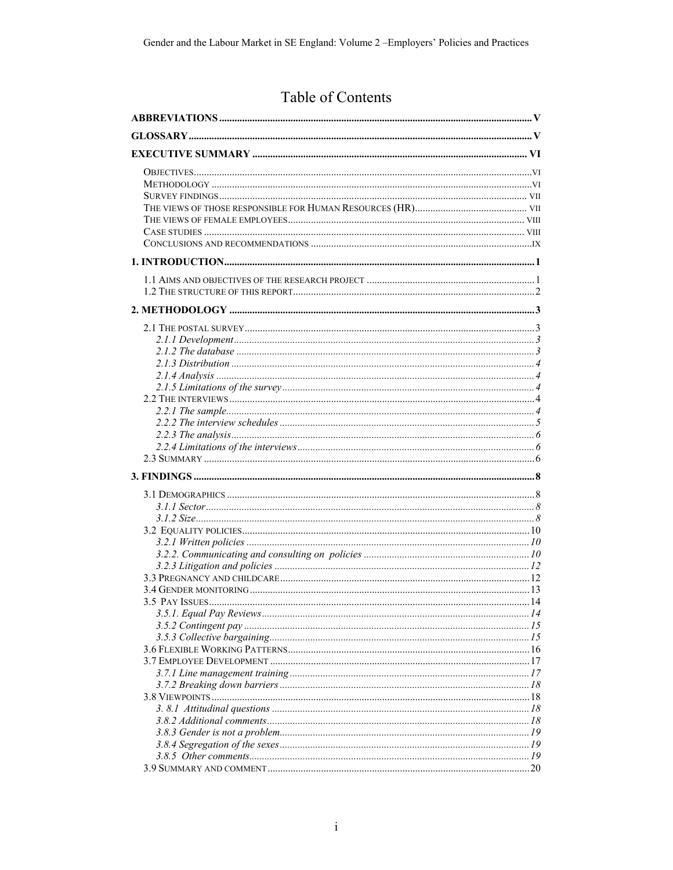## Table of Contents

| .20 |
|-----|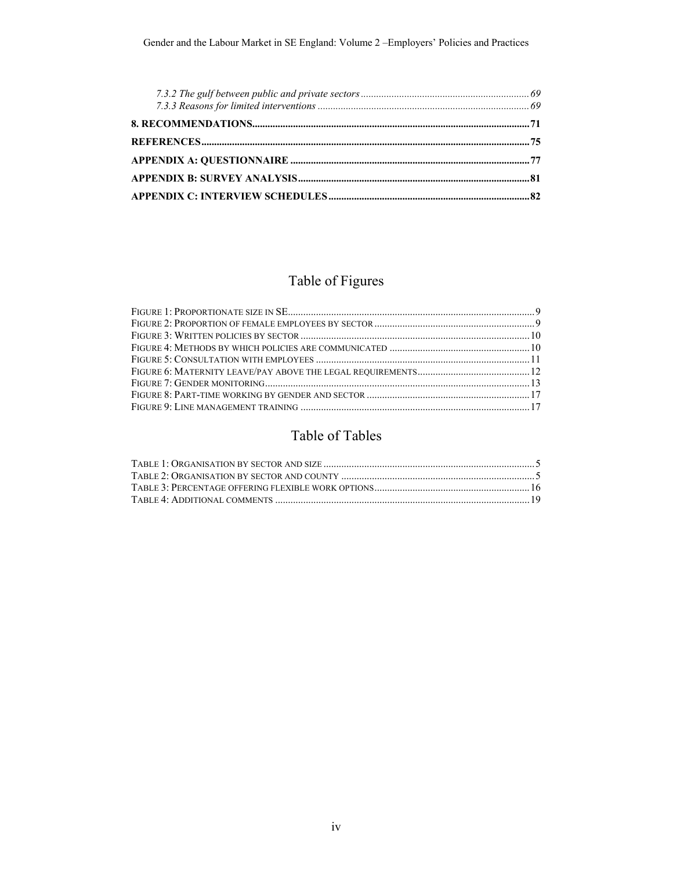## Table of Figures

## Table of Tables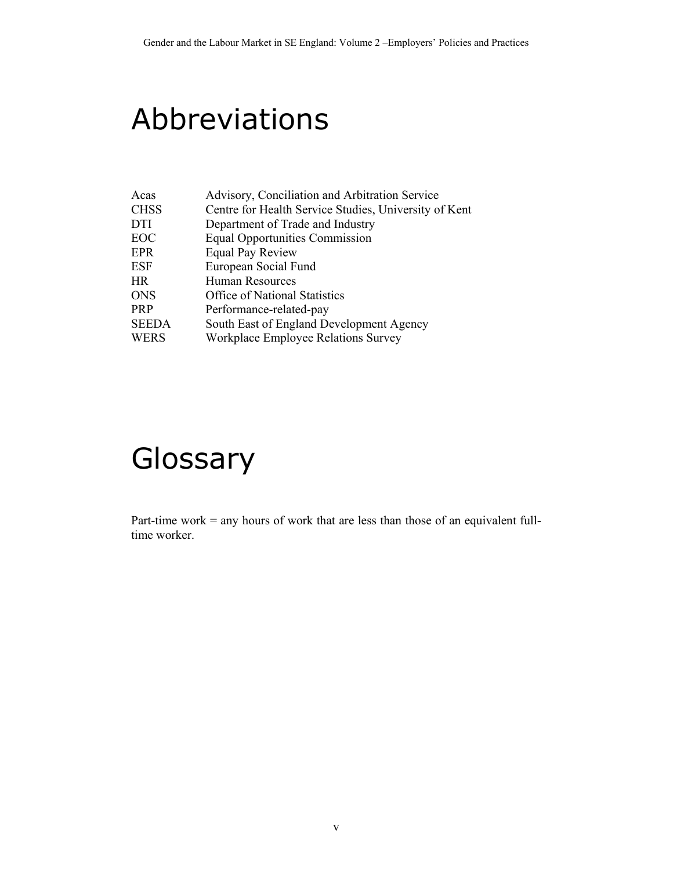## Abbreviations

| Acas         | Advisory, Conciliation and Arbitration Service        |
|--------------|-------------------------------------------------------|
| <b>CHSS</b>  | Centre for Health Service Studies, University of Kent |
| <b>DTI</b>   | Department of Trade and Industry                      |
| EOC          | <b>Equal Opportunities Commission</b>                 |
| EPR          | <b>Equal Pay Review</b>                               |
| <b>ESF</b>   | European Social Fund                                  |
| HR           | Human Resources                                       |
| <b>ONS</b>   | Office of National Statistics                         |
| <b>PRP</b>   | Performance-related-pay                               |
| <b>SEEDA</b> | South East of England Development Agency              |
| WERS         | Workplace Employee Relations Survey                   |

# **Glossary**

Part-time work = any hours of work that are less than those of an equivalent fulltime worker.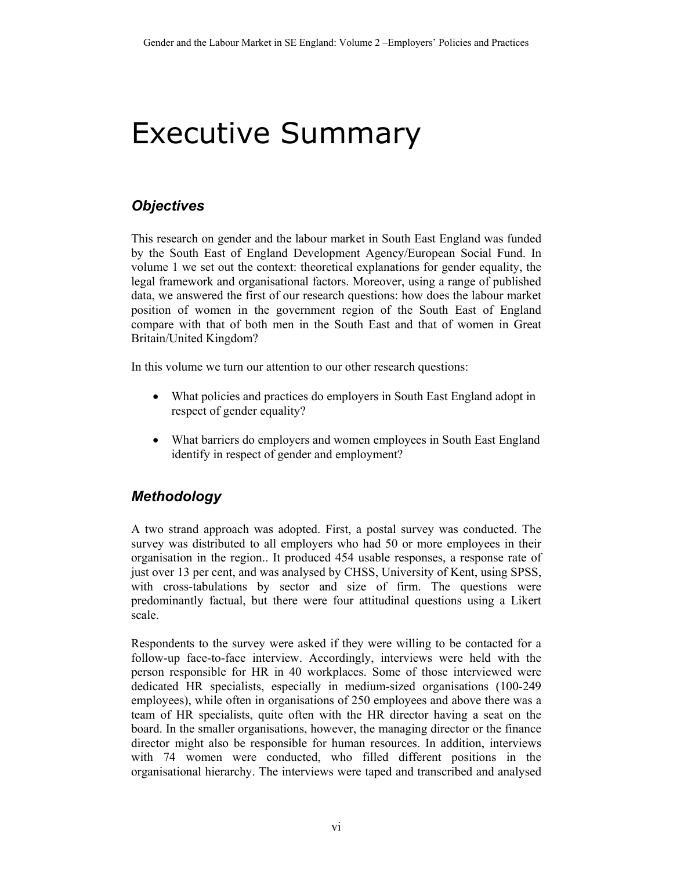## Executive Summary

## *Objectives*

This research on gender and the labour market in South East England was funded by the South East of England Development Agency/European Social Fund. In volume 1 we set out the context: theoretical explanations for gender equality, the legal framework and organisational factors. Moreover, using a range of published data, we answered the first of our research questions: how does the labour market position of women in the government region of the South East of England compare with that of both men in the South East and that of women in Great Britain/United Kingdom?

In this volume we turn our attention to our other research questions:

- What policies and practices do employers in South East England adopt in respect of gender equality?
- What barriers do employers and women employees in South East England identify in respect of gender and employment?

## *Methodology*

A two strand approach was adopted. First, a postal survey was conducted. The survey was distributed to all employers who had 50 or more employees in their organisation in the region.. It produced 454 usable responses, a response rate of just over 13 per cent, and was analysed by CHSS, University of Kent, using SPSS, with cross-tabulations by sector and size of firm. The questions were predominantly factual, but there were four attitudinal questions using a Likert scale.

Respondents to the survey were asked if they were willing to be contacted for a follow-up face-to-face interview. Accordingly, interviews were held with the person responsible for HR in 40 workplaces. Some of those interviewed were dedicated HR specialists, especially in medium-sized organisations (100-249 employees), while often in organisations of 250 employees and above there was a team of HR specialists, quite often with the HR director having a seat on the board. In the smaller organisations, however, the managing director or the finance director might also be responsible for human resources. In addition, interviews with 74 women were conducted, who filled different positions in the organisational hierarchy. The interviews were taped and transcribed and analysed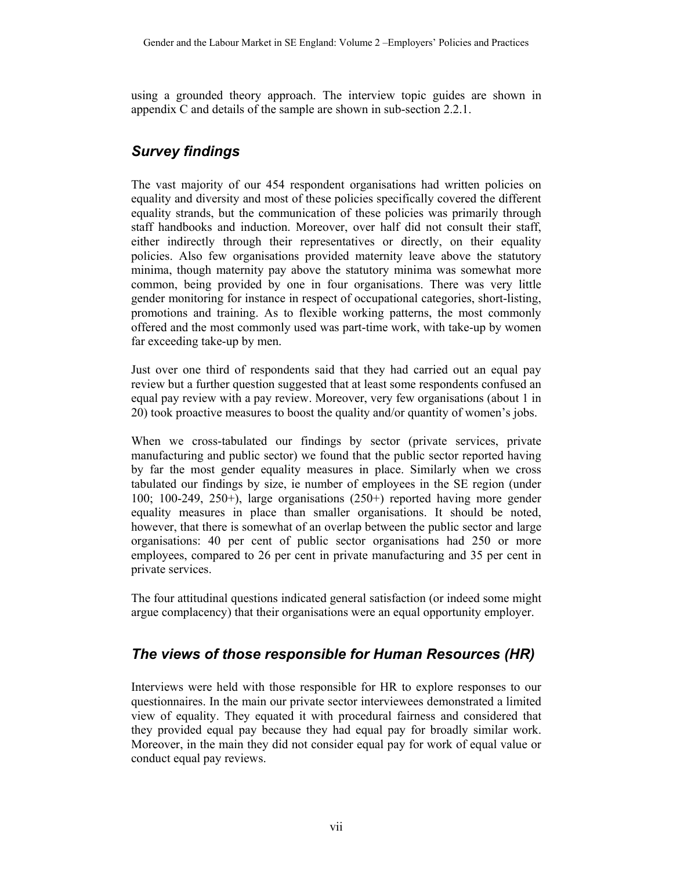using a grounded theory approach. The interview topic guides are shown in appendix C and details of the sample are shown in sub-section 2.2.1.

## *Survey findings*

The vast majority of our 454 respondent organisations had written policies on equality and diversity and most of these policies specifically covered the different equality strands, but the communication of these policies was primarily through staff handbooks and induction. Moreover, over half did not consult their staff, either indirectly through their representatives or directly, on their equality policies. Also few organisations provided maternity leave above the statutory minima, though maternity pay above the statutory minima was somewhat more common, being provided by one in four organisations. There was very little gender monitoring for instance in respect of occupational categories, short-listing, promotions and training. As to flexible working patterns, the most commonly offered and the most commonly used was part-time work, with take-up by women far exceeding take-up by men.

Just over one third of respondents said that they had carried out an equal pay review but a further question suggested that at least some respondents confused an equal pay review with a pay review. Moreover, very few organisations (about 1 in 20) took proactive measures to boost the quality and/or quantity of women's jobs.

When we cross-tabulated our findings by sector (private services, private manufacturing and public sector) we found that the public sector reported having by far the most gender equality measures in place. Similarly when we cross tabulated our findings by size, ie number of employees in the SE region (under 100; 100-249, 250+), large organisations (250+) reported having more gender equality measures in place than smaller organisations. It should be noted, however, that there is somewhat of an overlap between the public sector and large organisations: 40 per cent of public sector organisations had 250 or more employees, compared to 26 per cent in private manufacturing and 35 per cent in private services.

The four attitudinal questions indicated general satisfaction (or indeed some might argue complacency) that their organisations were an equal opportunity employer.

### *The views of those responsible for Human Resources (HR)*

Interviews were held with those responsible for HR to explore responses to our questionnaires. In the main our private sector interviewees demonstrated a limited view of equality. They equated it with procedural fairness and considered that they provided equal pay because they had equal pay for broadly similar work. Moreover, in the main they did not consider equal pay for work of equal value or conduct equal pay reviews.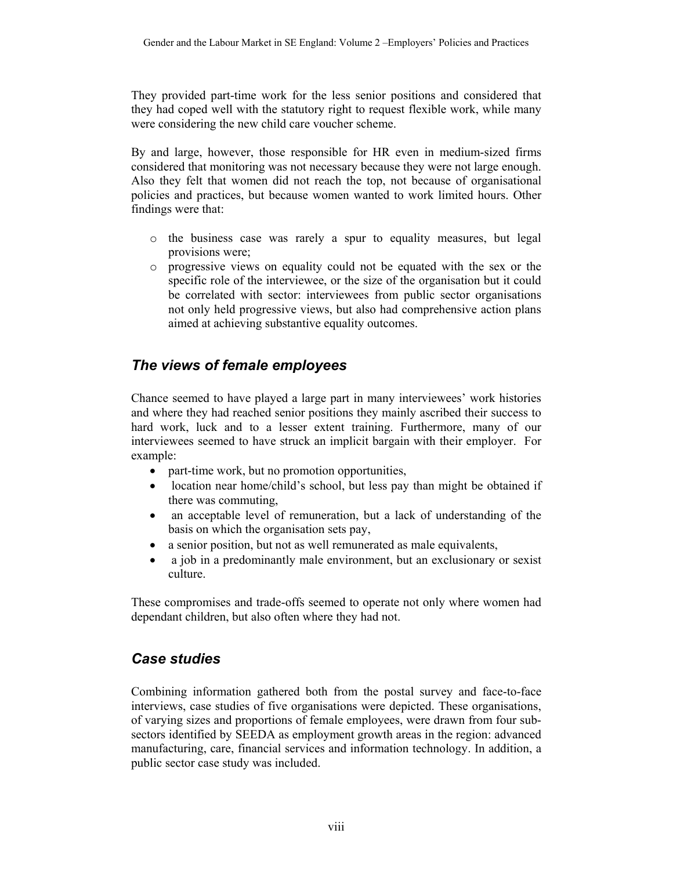They provided part-time work for the less senior positions and considered that they had coped well with the statutory right to request flexible work, while many were considering the new child care voucher scheme.

By and large, however, those responsible for HR even in medium-sized firms considered that monitoring was not necessary because they were not large enough. Also they felt that women did not reach the top, not because of organisational policies and practices, but because women wanted to work limited hours. Other findings were that:

- o the business case was rarely a spur to equality measures, but legal provisions were;
- o progressive views on equality could not be equated with the sex or the specific role of the interviewee, or the size of the organisation but it could be correlated with sector: interviewees from public sector organisations not only held progressive views, but also had comprehensive action plans aimed at achieving substantive equality outcomes.

## *The views of female employees*

Chance seemed to have played a large part in many interviewees' work histories and where they had reached senior positions they mainly ascribed their success to hard work, luck and to a lesser extent training. Furthermore, many of our interviewees seemed to have struck an implicit bargain with their employer. For example:

- part-time work, but no promotion opportunities,
- location near home/child's school, but less pay than might be obtained if there was commuting,
- an acceptable level of remuneration, but a lack of understanding of the basis on which the organisation sets pay,
- a senior position, but not as well remunerated as male equivalents,
- a job in a predominantly male environment, but an exclusionary or sexist culture.

These compromises and trade-offs seemed to operate not only where women had dependant children, but also often where they had not.

### *Case studies*

Combining information gathered both from the postal survey and face-to-face interviews, case studies of five organisations were depicted. These organisations, of varying sizes and proportions of female employees, were drawn from four subsectors identified by SEEDA as employment growth areas in the region: advanced manufacturing, care, financial services and information technology. In addition, a public sector case study was included.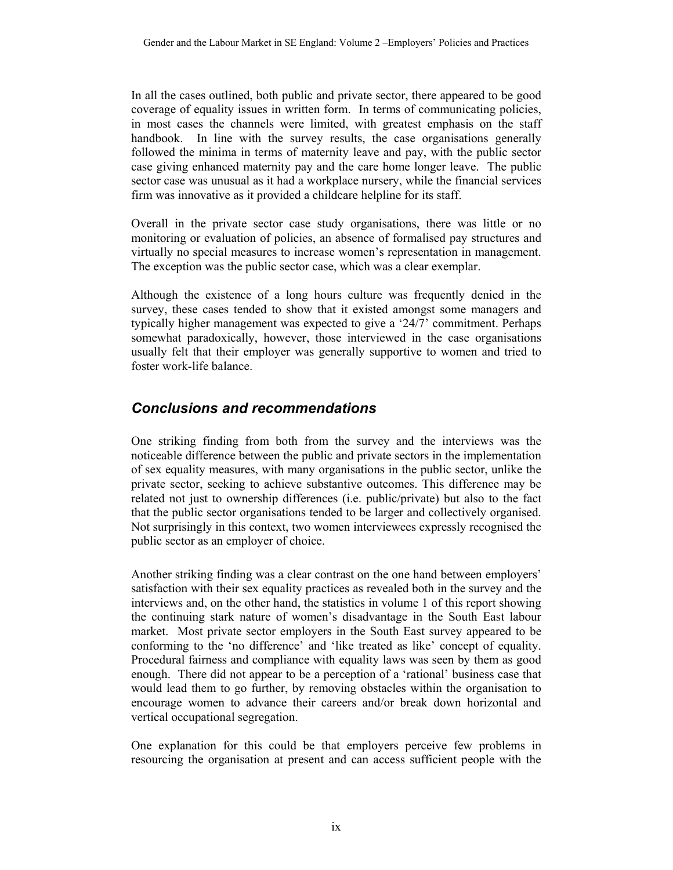In all the cases outlined, both public and private sector, there appeared to be good coverage of equality issues in written form. In terms of communicating policies, in most cases the channels were limited, with greatest emphasis on the staff handbook. In line with the survey results, the case organisations generally followed the minima in terms of maternity leave and pay, with the public sector case giving enhanced maternity pay and the care home longer leave. The public sector case was unusual as it had a workplace nursery, while the financial services firm was innovative as it provided a childcare helpline for its staff.

Overall in the private sector case study organisations, there was little or no monitoring or evaluation of policies, an absence of formalised pay structures and virtually no special measures to increase women's representation in management. The exception was the public sector case, which was a clear exemplar.

Although the existence of a long hours culture was frequently denied in the survey, these cases tended to show that it existed amongst some managers and typically higher management was expected to give a '24/7' commitment. Perhaps somewhat paradoxically, however, those interviewed in the case organisations usually felt that their employer was generally supportive to women and tried to foster work-life balance.

### *Conclusions and recommendations*

One striking finding from both from the survey and the interviews was the noticeable difference between the public and private sectors in the implementation of sex equality measures, with many organisations in the public sector, unlike the private sector, seeking to achieve substantive outcomes. This difference may be related not just to ownership differences (i.e. public/private) but also to the fact that the public sector organisations tended to be larger and collectively organised. Not surprisingly in this context, two women interviewees expressly recognised the public sector as an employer of choice.

Another striking finding was a clear contrast on the one hand between employers' satisfaction with their sex equality practices as revealed both in the survey and the interviews and, on the other hand, the statistics in volume 1 of this report showing the continuing stark nature of women's disadvantage in the South East labour market. Most private sector employers in the South East survey appeared to be conforming to the 'no difference' and 'like treated as like' concept of equality. Procedural fairness and compliance with equality laws was seen by them as good enough. There did not appear to be a perception of a 'rational' business case that would lead them to go further, by removing obstacles within the organisation to encourage women to advance their careers and/or break down horizontal and vertical occupational segregation.

One explanation for this could be that employers perceive few problems in resourcing the organisation at present and can access sufficient people with the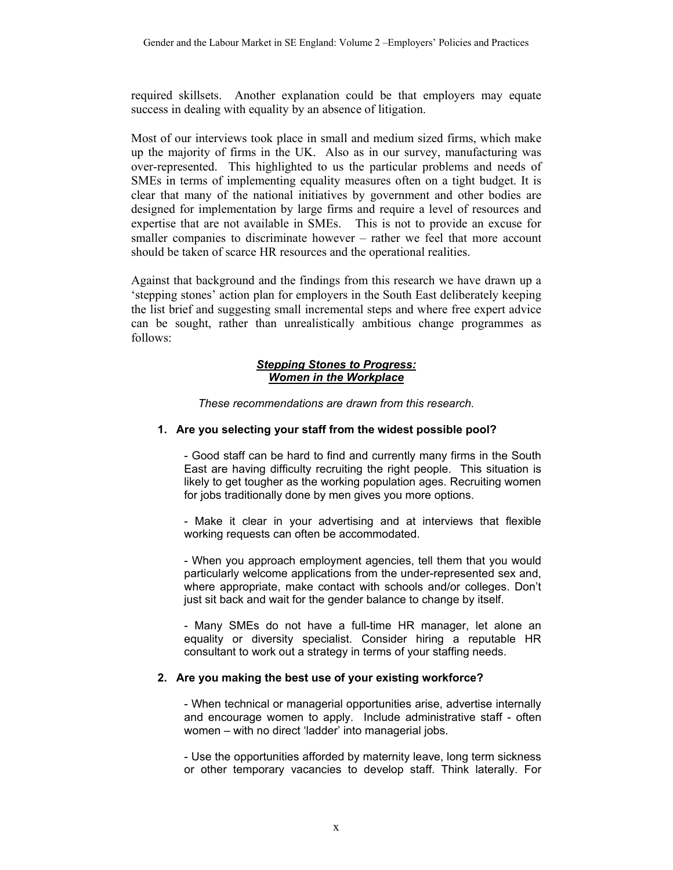required skillsets. Another explanation could be that employers may equate success in dealing with equality by an absence of litigation.

Most of our interviews took place in small and medium sized firms, which make up the majority of firms in the UK. Also as in our survey, manufacturing was over-represented. This highlighted to us the particular problems and needs of SMEs in terms of implementing equality measures often on a tight budget. It is clear that many of the national initiatives by government and other bodies are designed for implementation by large firms and require a level of resources and expertise that are not available in SMEs. This is not to provide an excuse for smaller companies to discriminate however – rather we feel that more account should be taken of scarce HR resources and the operational realities.

Against that background and the findings from this research we have drawn up a 'stepping stones' action plan for employers in the South East deliberately keeping the list brief and suggesting small incremental steps and where free expert advice can be sought, rather than unrealistically ambitious change programmes as follows:

#### *Stepping Stones to Progress: Women in the Workplace*

*These recommendations are drawn from this research.* 

#### **1. Are you selecting your staff from the widest possible pool?**

- Good staff can be hard to find and currently many firms in the South East are having difficulty recruiting the right people. This situation is likely to get tougher as the working population ages. Recruiting women for jobs traditionally done by men gives you more options.

- Make it clear in your advertising and at interviews that flexible working requests can often be accommodated.

- When you approach employment agencies, tell them that you would particularly welcome applications from the under-represented sex and, where appropriate, make contact with schools and/or colleges. Don't just sit back and wait for the gender balance to change by itself.

- Many SMEs do not have a full-time HR manager, let alone an equality or diversity specialist. Consider hiring a reputable HR consultant to work out a strategy in terms of your staffing needs.

#### **2. Are you making the best use of your existing workforce?**

- When technical or managerial opportunities arise, advertise internally and encourage women to apply. Include administrative staff - often women – with no direct 'ladder' into managerial jobs.

- Use the opportunities afforded by maternity leave, long term sickness or other temporary vacancies to develop staff. Think laterally. For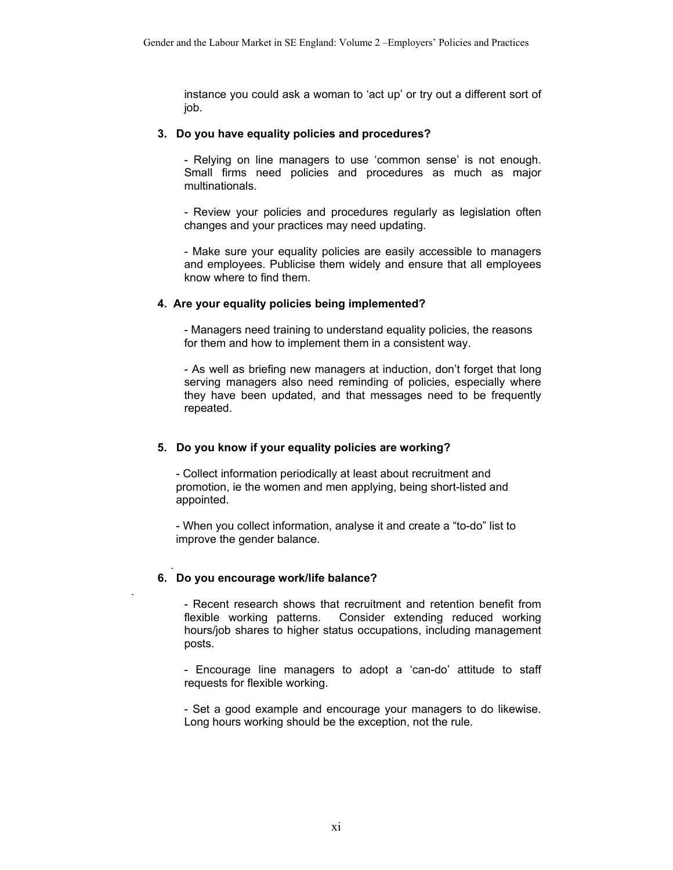instance you could ask a woman to 'act up' or try out a different sort of job.

#### **3. Do you have equality policies and procedures?**

- Relying on line managers to use 'common sense' is not enough. Small firms need policies and procedures as much as major multinationals.

- Review your policies and procedures regularly as legislation often changes and your practices may need updating.

- Make sure your equality policies are easily accessible to managers and employees. Publicise them widely and ensure that all employees know where to find them.

#### **4. Are your equality policies being implemented?**

- Managers need training to understand equality policies, the reasons for them and how to implement them in a consistent way.

- As well as briefing new managers at induction, don't forget that long serving managers also need reminding of policies, especially where they have been updated, and that messages need to be frequently repeated.

#### **5. Do you know if your equality policies are working?**

- Collect information periodically at least about recruitment and promotion, ie the women and men applying, being short-listed and appointed.

- When you collect information, analyse it and create a "to-do" list to improve the gender balance.

#### **6. Do you encourage work/life balance?**

.

.

- Recent research shows that recruitment and retention benefit from flexible working patterns. Consider extending reduced working hours/job shares to higher status occupations, including management posts.

- Encourage line managers to adopt a 'can-do' attitude to staff requests for flexible working.

- Set a good example and encourage your managers to do likewise. Long hours working should be the exception, not the rule.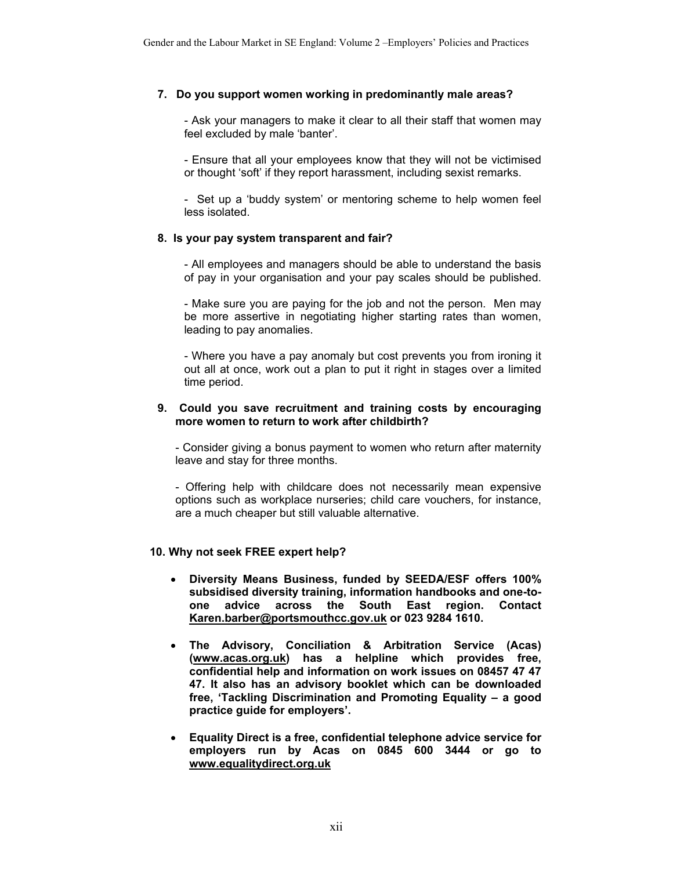#### **7. Do you support women working in predominantly male areas?**

- Ask your managers to make it clear to all their staff that women may feel excluded by male 'banter'.

- Ensure that all your employees know that they will not be victimised or thought 'soft' if they report harassment, including sexist remarks.

- Set up a 'buddy system' or mentoring scheme to help women feel less isolated.

#### **8. Is your pay system transparent and fair?**

- All employees and managers should be able to understand the basis of pay in your organisation and your pay scales should be published.

- Make sure you are paying for the job and not the person. Men may be more assertive in negotiating higher starting rates than women, leading to pay anomalies.

- Where you have a pay anomaly but cost prevents you from ironing it out all at once, work out a plan to put it right in stages over a limited time period.

#### **9. Could you save recruitment and training costs by encouraging more women to return to work after childbirth?**

- Consider giving a bonus payment to women who return after maternity leave and stay for three months.

- Offering help with childcare does not necessarily mean expensive options such as workplace nurseries; child care vouchers, for instance, are a much cheaper but still valuable alternative.

#### **10. Why not seek FREE expert help?**

- **Diversity Means Business, funded by SEEDA/ESF offers 100% subsidised diversity training, information handbooks and one-toone advice across the South East region. Contact Karen.barber@portsmouthcc.gov.uk or 023 9284 1610.**
- **The Advisory, Conciliation & Arbitration Service (Acas) (www.acas.org.uk) has a helpline which provides free, confidential help and information on work issues on 08457 47 47 47. It also has an advisory booklet which can be downloaded free, 'Tackling Discrimination and Promoting Equality – a good practice guide for employers'.**
- **Equality Direct is a free, confidential telephone advice service for employers run by Acas on 0845 600 3444 or go to www.equalitydirect.org.uk**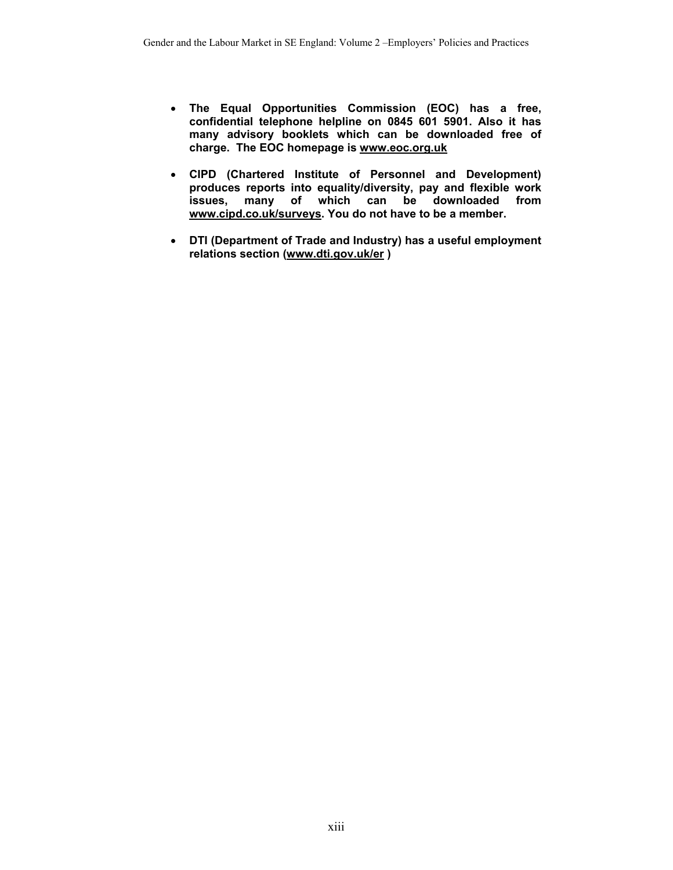- **The Equal Opportunities Commission (EOC) has a free, confidential telephone helpline on 0845 601 5901. Also it has many advisory booklets which can be downloaded free of charge. The EOC homepage is www.eoc.org.uk**
- **CIPD (Chartered Institute of Personnel and Development) produces reports into equality/diversity, pay and flexible work issues, many of which can be downloaded from www.cipd.co.uk/surveys. You do not have to be a member.**
- **DTI (Department of Trade and Industry) has a useful employment relations section (www.dti.gov.uk/er )**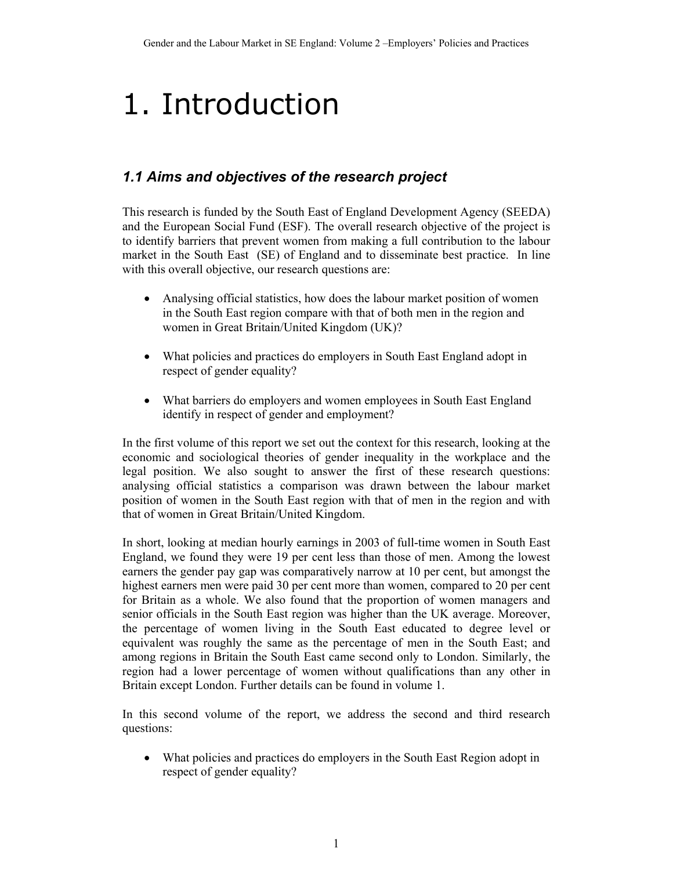## 1. Introduction

## *1.1 Aims and objectives of the research project*

This research is funded by the South East of England Development Agency (SEEDA) and the European Social Fund (ESF). The overall research objective of the project is to identify barriers that prevent women from making a full contribution to the labour market in the South East (SE) of England and to disseminate best practice. In line with this overall objective, our research questions are:

- Analysing official statistics, how does the labour market position of women in the South East region compare with that of both men in the region and women in Great Britain/United Kingdom (UK)?
- What policies and practices do employers in South East England adopt in respect of gender equality?
- What barriers do employers and women employees in South East England identify in respect of gender and employment?

In the first volume of this report we set out the context for this research, looking at the economic and sociological theories of gender inequality in the workplace and the legal position. We also sought to answer the first of these research questions: analysing official statistics a comparison was drawn between the labour market position of women in the South East region with that of men in the region and with that of women in Great Britain/United Kingdom.

In short, looking at median hourly earnings in 2003 of full-time women in South East England, we found they were 19 per cent less than those of men. Among the lowest earners the gender pay gap was comparatively narrow at 10 per cent, but amongst the highest earners men were paid 30 per cent more than women, compared to 20 per cent for Britain as a whole. We also found that the proportion of women managers and senior officials in the South East region was higher than the UK average. Moreover, the percentage of women living in the South East educated to degree level or equivalent was roughly the same as the percentage of men in the South East; and among regions in Britain the South East came second only to London. Similarly, the region had a lower percentage of women without qualifications than any other in Britain except London. Further details can be found in volume 1.

In this second volume of the report, we address the second and third research questions:

• What policies and practices do employers in the South East Region adopt in respect of gender equality?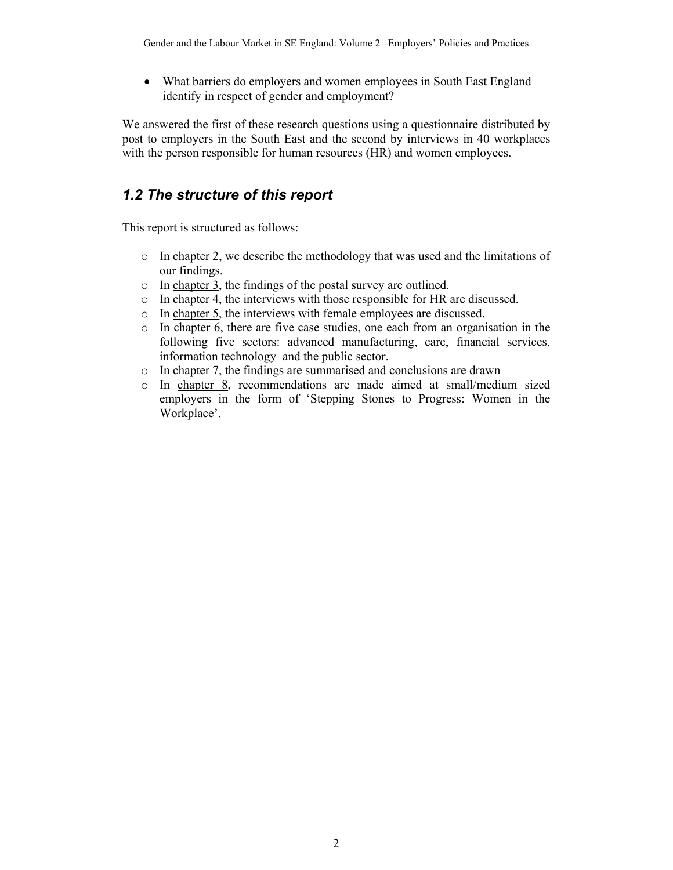• What barriers do employers and women employees in South East England identify in respect of gender and employment?

We answered the first of these research questions using a questionnaire distributed by post to employers in the South East and the second by interviews in 40 workplaces with the person responsible for human resources (HR) and women employees.

### *1.2 The structure of this report*

This report is structured as follows:

- o In chapter 2, we describe the methodology that was used and the limitations of our findings.
- o In chapter 3, the findings of the postal survey are outlined.
- o In chapter 4, the interviews with those responsible for HR are discussed.
- o In chapter 5, the interviews with female employees are discussed.
- o In chapter 6, there are five case studies, one each from an organisation in the following five sectors: advanced manufacturing, care, financial services, information technology and the public sector.
- o In chapter 7, the findings are summarised and conclusions are drawn
- o In chapter 8, recommendations are made aimed at small/medium sized employers in the form of 'Stepping Stones to Progress: Women in the Workplace'.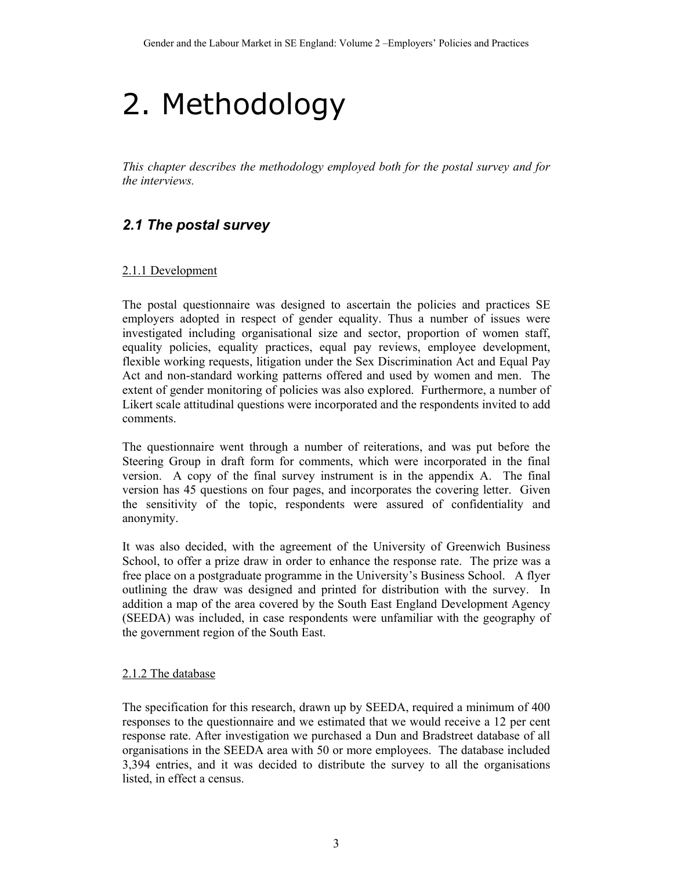# 2. Methodology

*This chapter describes the methodology employed both for the postal survey and for the interviews.* 

## *2.1 The postal survey*

#### 2.1.1 Development

The postal questionnaire was designed to ascertain the policies and practices SE employers adopted in respect of gender equality. Thus a number of issues were investigated including organisational size and sector, proportion of women staff, equality policies, equality practices, equal pay reviews, employee development, flexible working requests, litigation under the Sex Discrimination Act and Equal Pay Act and non-standard working patterns offered and used by women and men. The extent of gender monitoring of policies was also explored. Furthermore, a number of Likert scale attitudinal questions were incorporated and the respondents invited to add comments.

The questionnaire went through a number of reiterations, and was put before the Steering Group in draft form for comments, which were incorporated in the final version. A copy of the final survey instrument is in the appendix A. The final version has 45 questions on four pages, and incorporates the covering letter. Given the sensitivity of the topic, respondents were assured of confidentiality and anonymity.

It was also decided, with the agreement of the University of Greenwich Business School, to offer a prize draw in order to enhance the response rate. The prize was a free place on a postgraduate programme in the University's Business School. A flyer outlining the draw was designed and printed for distribution with the survey. In addition a map of the area covered by the South East England Development Agency (SEEDA) was included, in case respondents were unfamiliar with the geography of the government region of the South East.

#### 2.1.2 The database

The specification for this research, drawn up by SEEDA, required a minimum of 400 responses to the questionnaire and we estimated that we would receive a 12 per cent response rate. After investigation we purchased a Dun and Bradstreet database of all organisations in the SEEDA area with 50 or more employees. The database included 3,394 entries, and it was decided to distribute the survey to all the organisations listed, in effect a census.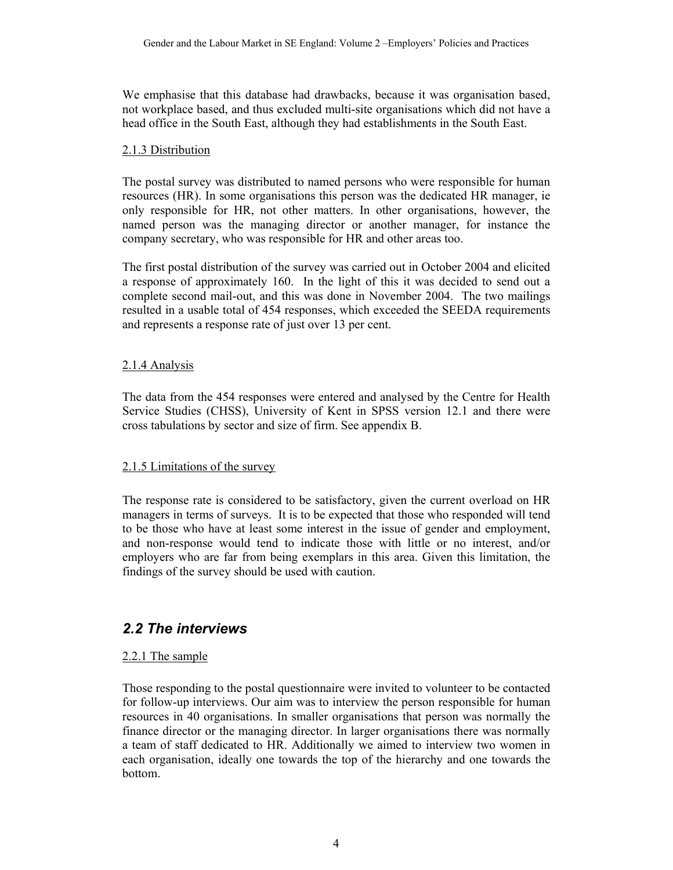We emphasise that this database had drawbacks, because it was organisation based, not workplace based, and thus excluded multi-site organisations which did not have a head office in the South East, although they had establishments in the South East.

#### 2.1.3 Distribution

The postal survey was distributed to named persons who were responsible for human resources (HR). In some organisations this person was the dedicated HR manager, ie only responsible for HR, not other matters. In other organisations, however, the named person was the managing director or another manager, for instance the company secretary, who was responsible for HR and other areas too.

The first postal distribution of the survey was carried out in October 2004 and elicited a response of approximately 160. In the light of this it was decided to send out a complete second mail-out, and this was done in November 2004. The two mailings resulted in a usable total of 454 responses, which exceeded the SEEDA requirements and represents a response rate of just over 13 per cent.

#### 2.1.4 Analysis

The data from the 454 responses were entered and analysed by the Centre for Health Service Studies (CHSS), University of Kent in SPSS version 12.1 and there were cross tabulations by sector and size of firm. See appendix B.

#### 2.1.5 Limitations of the survey

The response rate is considered to be satisfactory, given the current overload on HR managers in terms of surveys. It is to be expected that those who responded will tend to be those who have at least some interest in the issue of gender and employment, and non-response would tend to indicate those with little or no interest, and/or employers who are far from being exemplars in this area. Given this limitation, the findings of the survey should be used with caution.

### *2.2 The interviews*

#### 2.2.1 The sample

Those responding to the postal questionnaire were invited to volunteer to be contacted for follow-up interviews. Our aim was to interview the person responsible for human resources in 40 organisations. In smaller organisations that person was normally the finance director or the managing director. In larger organisations there was normally a team of staff dedicated to HR. Additionally we aimed to interview two women in each organisation, ideally one towards the top of the hierarchy and one towards the bottom.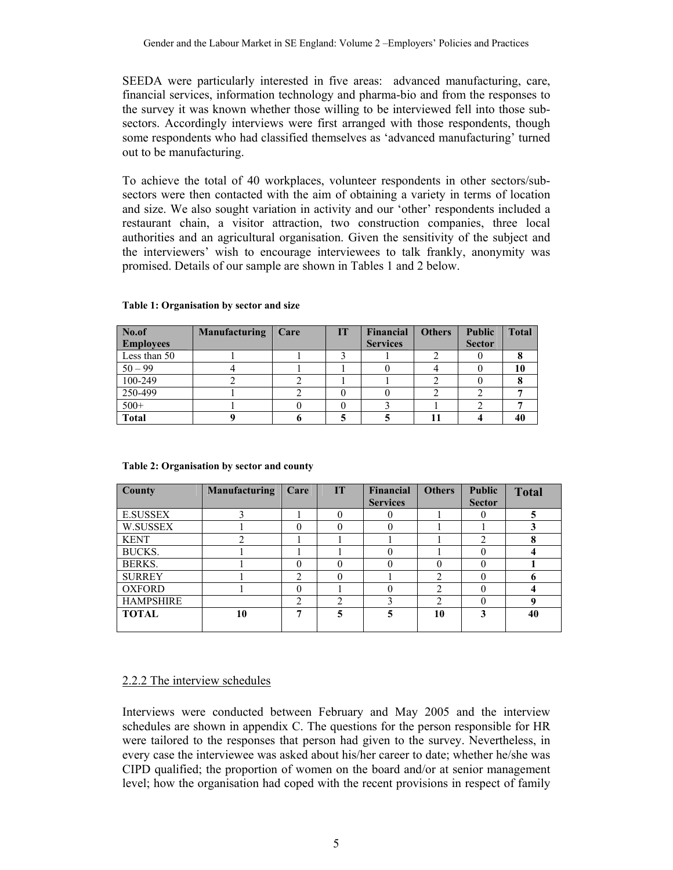SEEDA were particularly interested in five areas: advanced manufacturing, care, financial services, information technology and pharma-bio and from the responses to the survey it was known whether those willing to be interviewed fell into those subsectors. Accordingly interviews were first arranged with those respondents, though some respondents who had classified themselves as 'advanced manufacturing' turned out to be manufacturing.

To achieve the total of 40 workplaces, volunteer respondents in other sectors/subsectors were then contacted with the aim of obtaining a variety in terms of location and size. We also sought variation in activity and our 'other' respondents included a restaurant chain, a visitor attraction, two construction companies, three local authorities and an agricultural organisation. Given the sensitivity of the subject and the interviewers' wish to encourage interviewees to talk frankly, anonymity was promised. Details of our sample are shown in Tables 1 and 2 below.

| No.of            | <b>Manufacturing</b> | Care | TT | <b>Financial</b> | <b>Others</b> | <b>Public</b> | <b>Total</b> |
|------------------|----------------------|------|----|------------------|---------------|---------------|--------------|
| <b>Employees</b> |                      |      |    | <b>Services</b>  |               | <b>Sector</b> |              |
| Less than 50     |                      |      |    |                  |               |               |              |
| $50 - 99$        |                      |      |    |                  |               |               | 10           |
| 100-249          |                      |      |    |                  |               |               |              |
| 250-499          |                      |      |    |                  |               |               |              |
| $500+$           |                      |      |    |                  |               |               |              |
| <b>Total</b>     |                      |      |    |                  |               |               | 40           |

#### **Table 1: Organisation by sector and size**

| County           | <b>Manufacturing</b> | Care | <b>IT</b> | Financial       | <b>Others</b>  | <b>Public</b> | <b>Total</b> |
|------------------|----------------------|------|-----------|-----------------|----------------|---------------|--------------|
|                  |                      |      |           | <b>Services</b> |                | <b>Sector</b> |              |
| <b>E.SUSSEX</b>  |                      |      |           |                 |                |               |              |
| W.SUSSEX         |                      |      |           | 0               |                |               |              |
| <b>KENT</b>      |                      |      |           |                 |                | 2             |              |
| <b>BUCKS.</b>    |                      |      |           | $\theta$        |                |               |              |
| BERKS.           |                      |      |           | 0               | $\Omega$       |               |              |
| <b>SURREY</b>    |                      | ↑    |           |                 | ↑              |               | o            |
| <b>OXFORD</b>    |                      |      |           | 0               | $\mathfrak{D}$ |               |              |
| <b>HAMPSHIRE</b> |                      | ↑    | ↑         |                 | C              |               |              |
| <b>TOTAL</b>     | 10                   | ៗ    | 5         | 5               | 10             | 3             | 40           |
|                  |                      |      |           |                 |                |               |              |

#### **Table 2: Organisation by sector and county**

#### 2.2.2 The interview schedules

Interviews were conducted between February and May 2005 and the interview schedules are shown in appendix C. The questions for the person responsible for HR were tailored to the responses that person had given to the survey. Nevertheless, in every case the interviewee was asked about his/her career to date; whether he/she was CIPD qualified; the proportion of women on the board and/or at senior management level; how the organisation had coped with the recent provisions in respect of family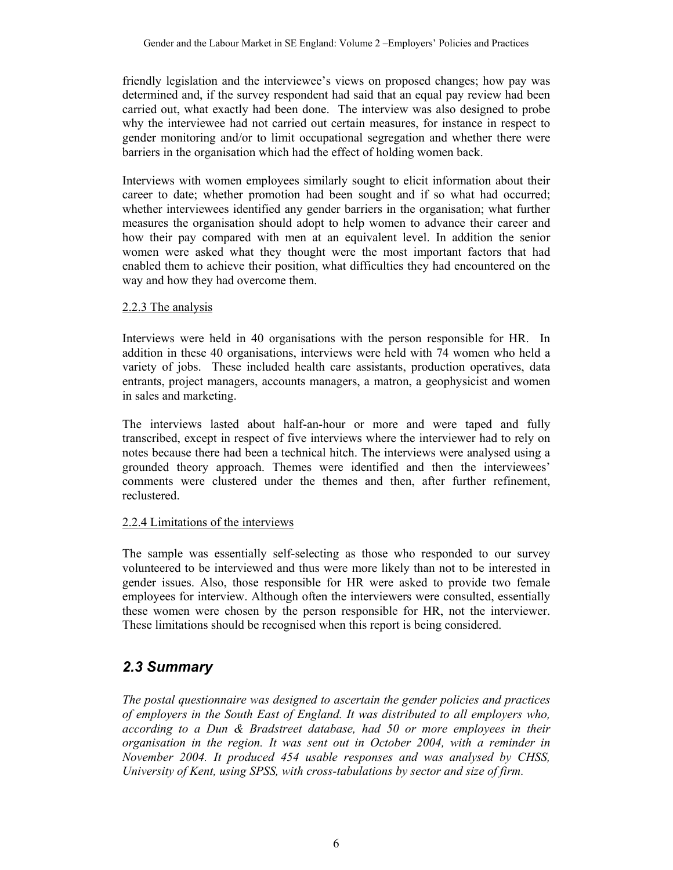friendly legislation and the interviewee's views on proposed changes; how pay was determined and, if the survey respondent had said that an equal pay review had been carried out, what exactly had been done. The interview was also designed to probe why the interviewee had not carried out certain measures, for instance in respect to gender monitoring and/or to limit occupational segregation and whether there were barriers in the organisation which had the effect of holding women back.

Interviews with women employees similarly sought to elicit information about their career to date; whether promotion had been sought and if so what had occurred; whether interviewees identified any gender barriers in the organisation; what further measures the organisation should adopt to help women to advance their career and how their pay compared with men at an equivalent level. In addition the senior women were asked what they thought were the most important factors that had enabled them to achieve their position, what difficulties they had encountered on the way and how they had overcome them.

#### 2.2.3 The analysis

Interviews were held in 40 organisations with the person responsible for HR. In addition in these 40 organisations, interviews were held with 74 women who held a variety of jobs. These included health care assistants, production operatives, data entrants, project managers, accounts managers, a matron, a geophysicist and women in sales and marketing.

The interviews lasted about half-an-hour or more and were taped and fully transcribed, except in respect of five interviews where the interviewer had to rely on notes because there had been a technical hitch. The interviews were analysed using a grounded theory approach. Themes were identified and then the interviewees' comments were clustered under the themes and then, after further refinement, reclustered.

#### 2.2.4 Limitations of the interviews

The sample was essentially self-selecting as those who responded to our survey volunteered to be interviewed and thus were more likely than not to be interested in gender issues. Also, those responsible for HR were asked to provide two female employees for interview. Although often the interviewers were consulted, essentially these women were chosen by the person responsible for HR, not the interviewer. These limitations should be recognised when this report is being considered.

## *2.3 Summary*

*The postal questionnaire was designed to ascertain the gender policies and practices of employers in the South East of England. It was distributed to all employers who, according to a Dun & Bradstreet database, had 50 or more employees in their organisation in the region. It was sent out in October 2004, with a reminder in November 2004. It produced 454 usable responses and was analysed by CHSS, University of Kent, using SPSS, with cross-tabulations by sector and size of firm.*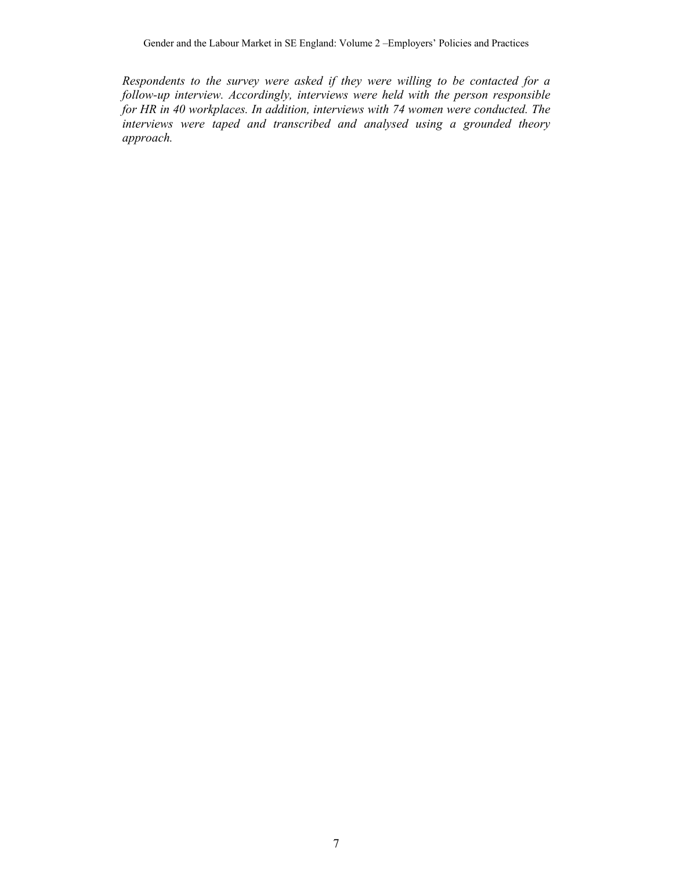*Respondents to the survey were asked if they were willing to be contacted for a follow-up interview. Accordingly, interviews were held with the person responsible for HR in 40 workplaces. In addition, interviews with 74 women were conducted. The interviews were taped and transcribed and analysed using a grounded theory approach.*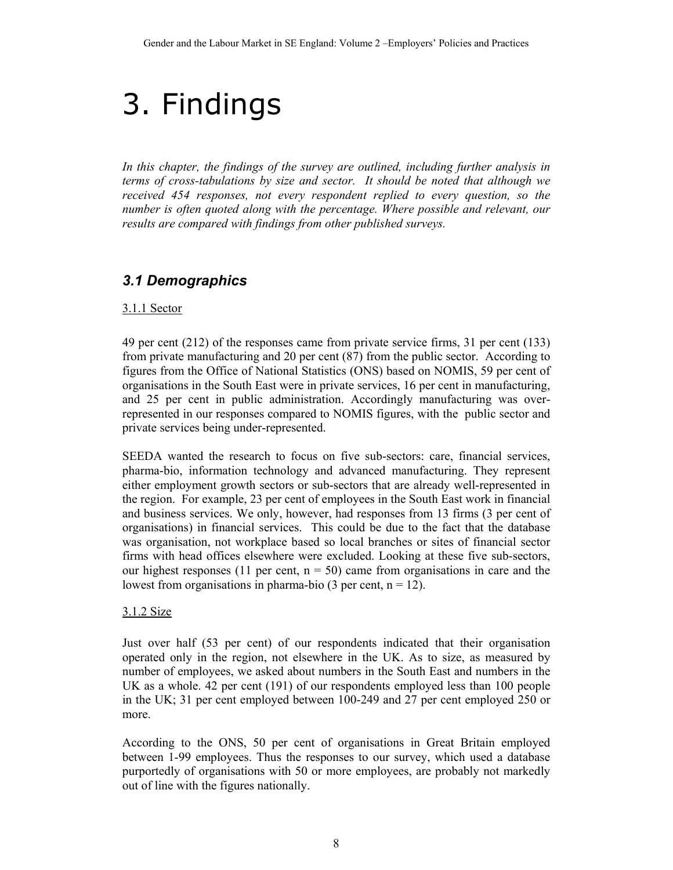# 3. Findings

*In this chapter, the findings of the survey are outlined, including further analysis in terms of cross-tabulations by size and sector. It should be noted that although we received 454 responses, not every respondent replied to every question, so the number is often quoted along with the percentage. Where possible and relevant, our results are compared with findings from other published surveys.* 

## *3.1 Demographics*

#### 3.1.1 Sector

49 per cent (212) of the responses came from private service firms, 31 per cent (133) from private manufacturing and 20 per cent (87) from the public sector. According to figures from the Office of National Statistics (ONS) based on NOMIS, 59 per cent of organisations in the South East were in private services, 16 per cent in manufacturing, and 25 per cent in public administration. Accordingly manufacturing was overrepresented in our responses compared to NOMIS figures, with the public sector and private services being under-represented.

SEEDA wanted the research to focus on five sub-sectors: care, financial services, pharma-bio, information technology and advanced manufacturing. They represent either employment growth sectors or sub-sectors that are already well-represented in the region. For example, 23 per cent of employees in the South East work in financial and business services. We only, however, had responses from 13 firms (3 per cent of organisations) in financial services. This could be due to the fact that the database was organisation, not workplace based so local branches or sites of financial sector firms with head offices elsewhere were excluded. Looking at these five sub-sectors, our highest responses (11 per cent,  $n = 50$ ) came from organisations in care and the lowest from organisations in pharma-bio (3 per cent,  $n = 12$ ).

#### 3.1.2 Size

Just over half (53 per cent) of our respondents indicated that their organisation operated only in the region, not elsewhere in the UK. As to size, as measured by number of employees, we asked about numbers in the South East and numbers in the UK as a whole. 42 per cent (191) of our respondents employed less than 100 people in the UK; 31 per cent employed between 100-249 and 27 per cent employed 250 or more.

According to the ONS, 50 per cent of organisations in Great Britain employed between 1-99 employees. Thus the responses to our survey, which used a database purportedly of organisations with 50 or more employees, are probably not markedly out of line with the figures nationally.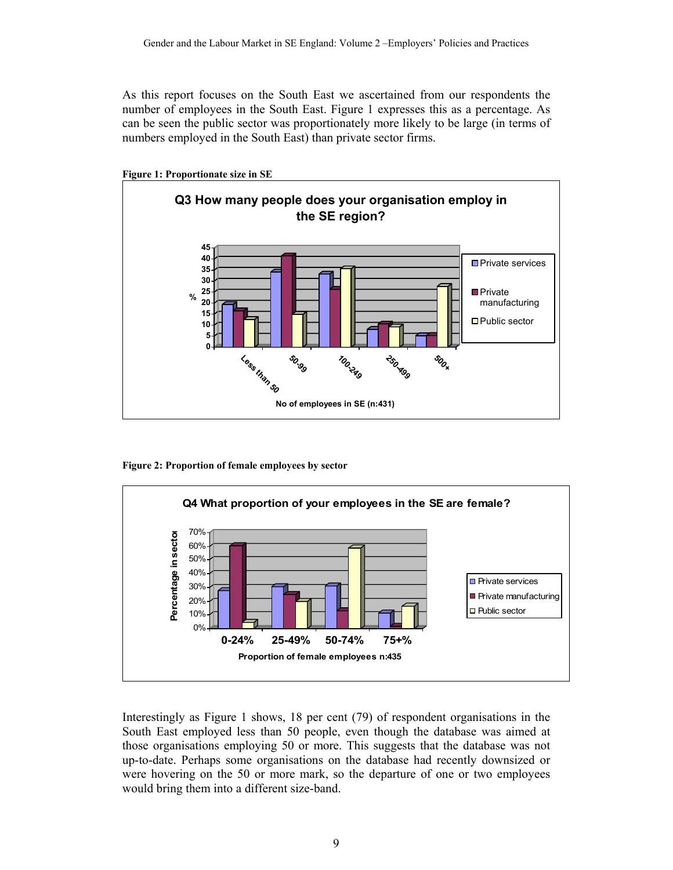As this report focuses on the South East we ascertained from our respondents the number of employees in the South East. Figure 1 expresses this as a percentage. As can be seen the public sector was proportionately more likely to be large (in terms of numbers employed in the South East) than private sector firms.



**Figure 1: Proportionate size in SE** 

**Figure 2: Proportion of female employees by sector** 



Interestingly as Figure 1 shows, 18 per cent (79) of respondent organisations in the South East employed less than 50 people, even though the database was aimed at those organisations employing 50 or more. This suggests that the database was not up-to-date. Perhaps some organisations on the database had recently downsized or were hovering on the 50 or more mark, so the departure of one or two employees would bring them into a different size-band.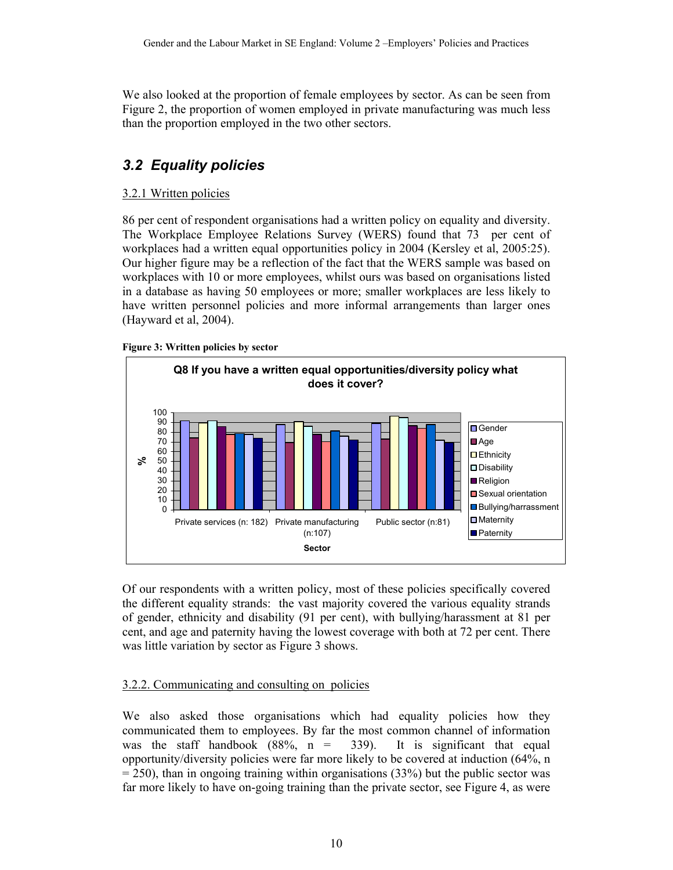We also looked at the proportion of female employees by sector. As can be seen from Figure 2, the proportion of women employed in private manufacturing was much less than the proportion employed in the two other sectors.

## *3.2 Equality policies*

### 3.2.1 Written policies

86 per cent of respondent organisations had a written policy on equality and diversity. The Workplace Employee Relations Survey (WERS) found that 73 per cent of workplaces had a written equal opportunities policy in 2004 (Kersley et al, 2005:25). Our higher figure may be a reflection of the fact that the WERS sample was based on workplaces with 10 or more employees, whilst ours was based on organisations listed in a database as having 50 employees or more; smaller workplaces are less likely to have written personnel policies and more informal arrangements than larger ones (Hayward et al, 2004).





Of our respondents with a written policy, most of these policies specifically covered the different equality strands: the vast majority covered the various equality strands of gender, ethnicity and disability (91 per cent), with bullying/harassment at 81 per cent, and age and paternity having the lowest coverage with both at 72 per cent. There was little variation by sector as Figure 3 shows.

#### 3.2.2. Communicating and consulting on policies

We also asked those organisations which had equality policies how they communicated them to employees. By far the most common channel of information was the staff handbook  $(88\%, n = 339)$ . It is significant that equal opportunity/diversity policies were far more likely to be covered at induction (64%, n  $= 250$ ), than in ongoing training within organisations (33%) but the public sector was far more likely to have on-going training than the private sector, see Figure 4, as were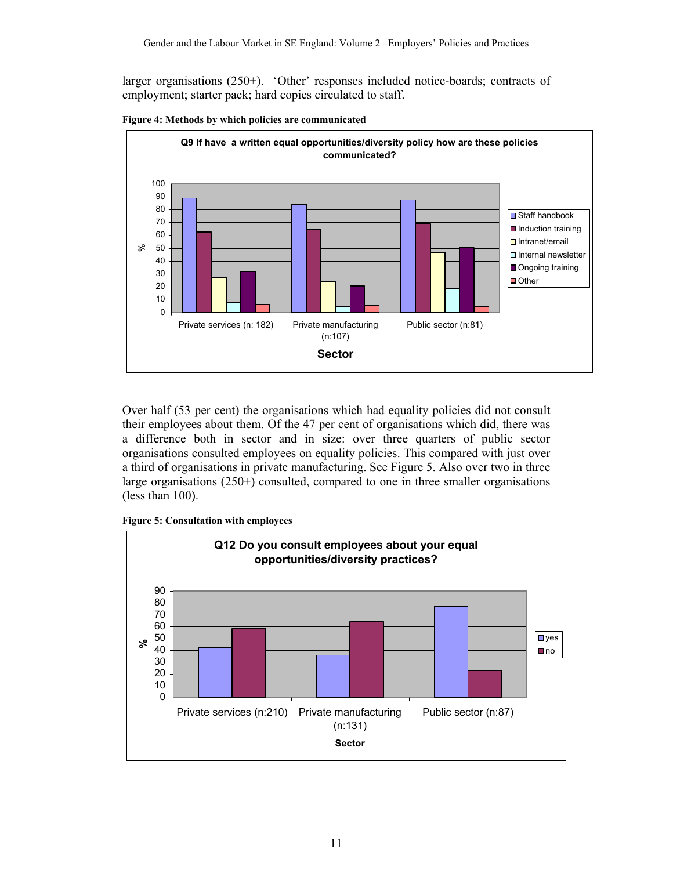larger organisations (250+). 'Other' responses included notice-boards; contracts of employment; starter pack; hard copies circulated to staff.



**Figure 4: Methods by which policies are communicated** 

Over half (53 per cent) the organisations which had equality policies did not consult their employees about them. Of the 47 per cent of organisations which did, there was a difference both in sector and in size: over three quarters of public sector organisations consulted employees on equality policies. This compared with just over a third of organisations in private manufacturing. See Figure 5. Also over two in three large organisations (250+) consulted, compared to one in three smaller organisations (less than 100).

**Figure 5: Consultation with employees** 

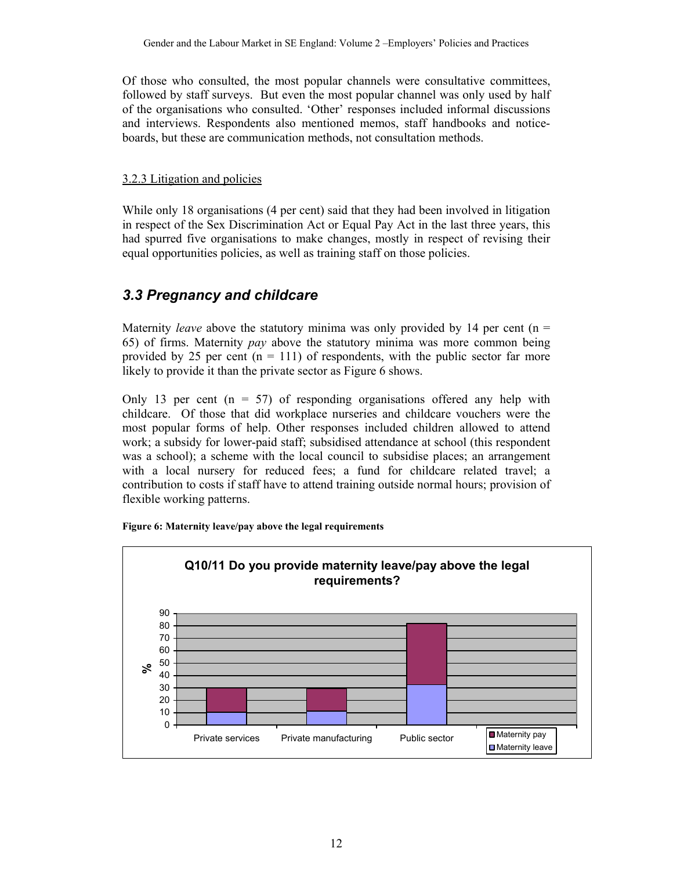Of those who consulted, the most popular channels were consultative committees, followed by staff surveys. But even the most popular channel was only used by half of the organisations who consulted. 'Other' responses included informal discussions and interviews. Respondents also mentioned memos, staff handbooks and noticeboards, but these are communication methods, not consultation methods.

#### 3.2.3 Litigation and policies

While only 18 organisations (4 per cent) said that they had been involved in litigation in respect of the Sex Discrimination Act or Equal Pay Act in the last three years, this had spurred five organisations to make changes, mostly in respect of revising their equal opportunities policies, as well as training staff on those policies.

## *3.3 Pregnancy and childcare*

Maternity *leave* above the statutory minima was only provided by 14 per cent ( $n =$ 65) of firms. Maternity *pay* above the statutory minima was more common being provided by 25 per cent  $(n = 111)$  of respondents, with the public sector far more likely to provide it than the private sector as Figure 6 shows.

Only 13 per cent  $(n = 57)$  of responding organisations offered any help with childcare. Of those that did workplace nurseries and childcare vouchers were the most popular forms of help. Other responses included children allowed to attend work; a subsidy for lower-paid staff; subsidised attendance at school (this respondent was a school); a scheme with the local council to subsidise places; an arrangement with a local nursery for reduced fees; a fund for childcare related travel; a contribution to costs if staff have to attend training outside normal hours; provision of flexible working patterns.



**Figure 6: Maternity leave/pay above the legal requirements**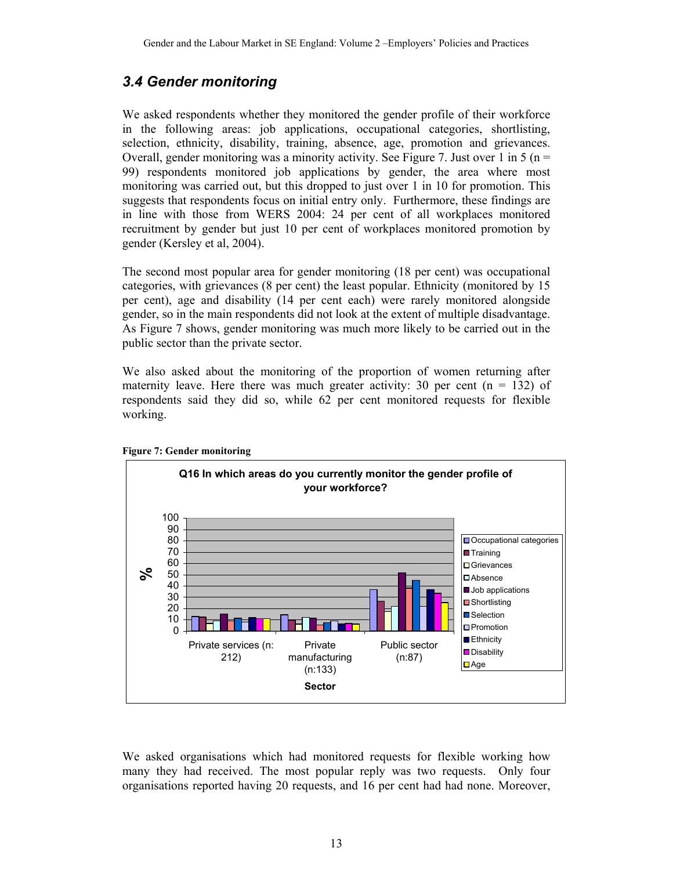### *3.4 Gender monitoring*

We asked respondents whether they monitored the gender profile of their workforce in the following areas: job applications, occupational categories, shortlisting, selection, ethnicity, disability, training, absence, age, promotion and grievances. Overall, gender monitoring was a minority activity. See Figure 7. Just over 1 in 5 ( $n =$ 99) respondents monitored job applications by gender, the area where most monitoring was carried out, but this dropped to just over 1 in 10 for promotion. This suggests that respondents focus on initial entry only. Furthermore, these findings are in line with those from WERS 2004: 24 per cent of all workplaces monitored recruitment by gender but just 10 per cent of workplaces monitored promotion by gender (Kersley et al, 2004).

The second most popular area for gender monitoring (18 per cent) was occupational categories, with grievances (8 per cent) the least popular. Ethnicity (monitored by 15 per cent), age and disability (14 per cent each) were rarely monitored alongside gender, so in the main respondents did not look at the extent of multiple disadvantage. As Figure 7 shows, gender monitoring was much more likely to be carried out in the public sector than the private sector.

We also asked about the monitoring of the proportion of women returning after maternity leave. Here there was much greater activity: 30 per cent  $(n = 132)$  of respondents said they did so, while 62 per cent monitored requests for flexible working.



**Figure 7: Gender monitoring** 

We asked organisations which had monitored requests for flexible working how many they had received. The most popular reply was two requests. Only four organisations reported having 20 requests, and 16 per cent had had none. Moreover,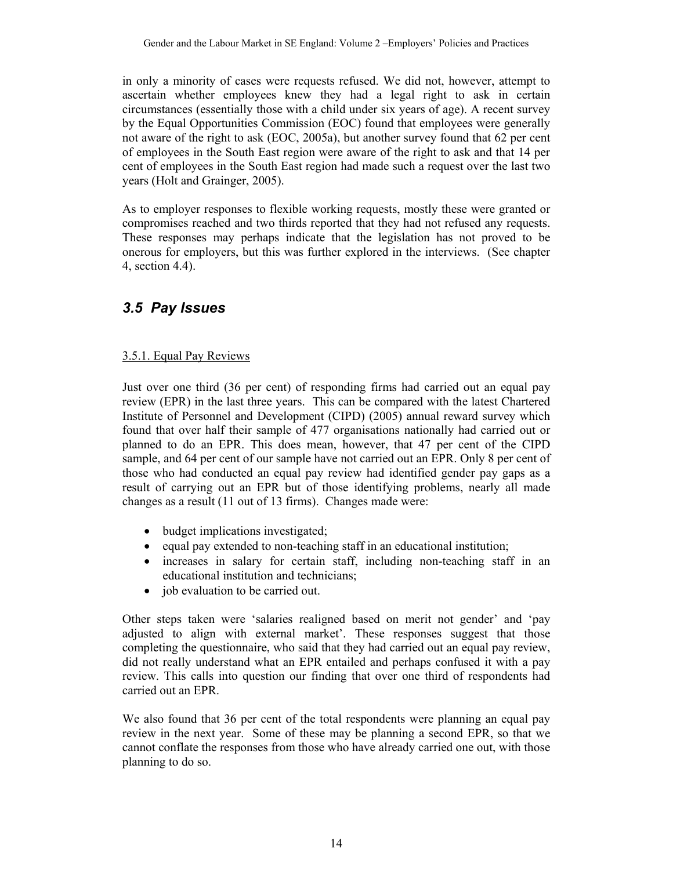in only a minority of cases were requests refused. We did not, however, attempt to ascertain whether employees knew they had a legal right to ask in certain circumstances (essentially those with a child under six years of age). A recent survey by the Equal Opportunities Commission (EOC) found that employees were generally not aware of the right to ask (EOC, 2005a), but another survey found that 62 per cent of employees in the South East region were aware of the right to ask and that 14 per cent of employees in the South East region had made such a request over the last two years (Holt and Grainger, 2005).

As to employer responses to flexible working requests, mostly these were granted or compromises reached and two thirds reported that they had not refused any requests. These responses may perhaps indicate that the legislation has not proved to be onerous for employers, but this was further explored in the interviews. (See chapter 4, section 4.4).

### *3.5 Pay Issues*

#### 3.5.1. Equal Pay Reviews

Just over one third (36 per cent) of responding firms had carried out an equal pay review (EPR) in the last three years. This can be compared with the latest Chartered Institute of Personnel and Development (CIPD) (2005) annual reward survey which found that over half their sample of 477 organisations nationally had carried out or planned to do an EPR. This does mean, however, that 47 per cent of the CIPD sample, and 64 per cent of our sample have not carried out an EPR. Only 8 per cent of those who had conducted an equal pay review had identified gender pay gaps as a result of carrying out an EPR but of those identifying problems, nearly all made changes as a result (11 out of 13 firms). Changes made were:

- budget implications investigated;
- equal pay extended to non-teaching staff in an educational institution;
- increases in salary for certain staff, including non-teaching staff in an educational institution and technicians;
- job evaluation to be carried out.

Other steps taken were 'salaries realigned based on merit not gender' and 'pay adjusted to align with external market'. These responses suggest that those completing the questionnaire, who said that they had carried out an equal pay review, did not really understand what an EPR entailed and perhaps confused it with a pay review. This calls into question our finding that over one third of respondents had carried out an EPR.

We also found that 36 per cent of the total respondents were planning an equal pay review in the next year. Some of these may be planning a second EPR, so that we cannot conflate the responses from those who have already carried one out, with those planning to do so.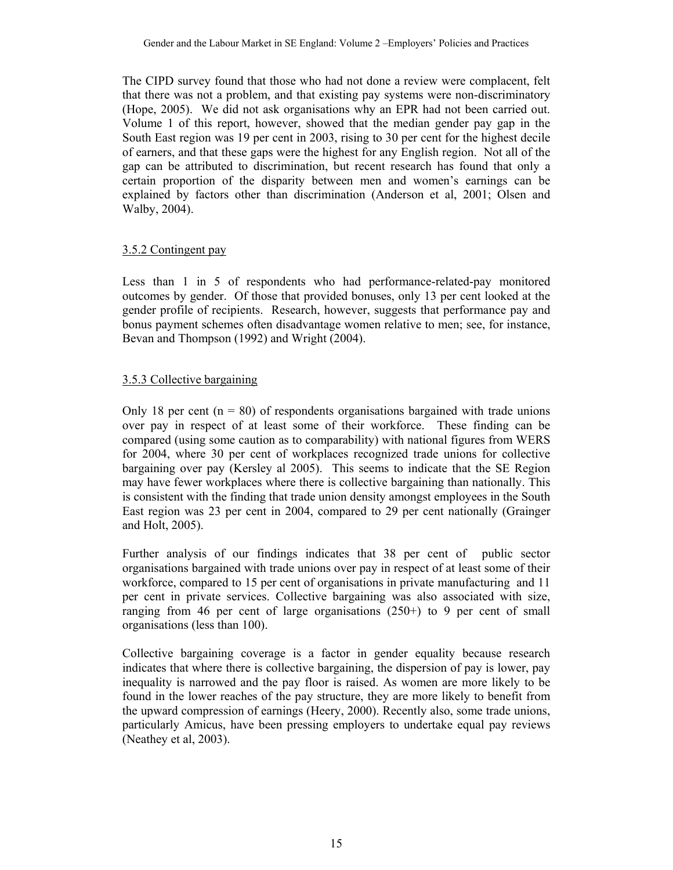The CIPD survey found that those who had not done a review were complacent, felt that there was not a problem, and that existing pay systems were non-discriminatory (Hope, 2005). We did not ask organisations why an EPR had not been carried out. Volume 1 of this report, however, showed that the median gender pay gap in the South East region was 19 per cent in 2003, rising to 30 per cent for the highest decile of earners, and that these gaps were the highest for any English region. Not all of the gap can be attributed to discrimination, but recent research has found that only a certain proportion of the disparity between men and women's earnings can be explained by factors other than discrimination (Anderson et al, 2001; Olsen and Walby, 2004).

#### 3.5.2 Contingent pay

Less than 1 in 5 of respondents who had performance-related-pay monitored outcomes by gender. Of those that provided bonuses, only 13 per cent looked at the gender profile of recipients. Research, however, suggests that performance pay and bonus payment schemes often disadvantage women relative to men; see, for instance, Bevan and Thompson (1992) and Wright (2004).

#### 3.5.3 Collective bargaining

Only 18 per cent  $(n = 80)$  of respondents organisations bargained with trade unions over pay in respect of at least some of their workforce. These finding can be compared (using some caution as to comparability) with national figures from WERS for 2004, where 30 per cent of workplaces recognized trade unions for collective bargaining over pay (Kersley al 2005). This seems to indicate that the SE Region may have fewer workplaces where there is collective bargaining than nationally. This is consistent with the finding that trade union density amongst employees in the South East region was 23 per cent in 2004, compared to 29 per cent nationally (Grainger and Holt, 2005).

Further analysis of our findings indicates that 38 per cent of public sector organisations bargained with trade unions over pay in respect of at least some of their workforce, compared to 15 per cent of organisations in private manufacturing and 11 per cent in private services. Collective bargaining was also associated with size, ranging from 46 per cent of large organisations (250+) to 9 per cent of small organisations (less than 100).

Collective bargaining coverage is a factor in gender equality because research indicates that where there is collective bargaining, the dispersion of pay is lower, pay inequality is narrowed and the pay floor is raised. As women are more likely to be found in the lower reaches of the pay structure, they are more likely to benefit from the upward compression of earnings (Heery, 2000). Recently also, some trade unions, particularly Amicus, have been pressing employers to undertake equal pay reviews (Neathey et al, 2003).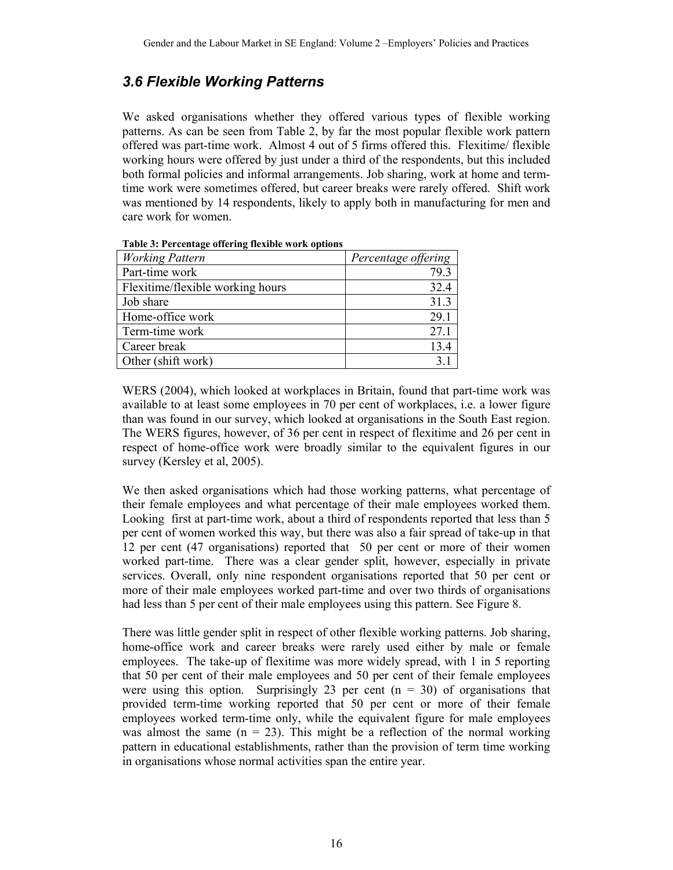## *3.6 Flexible Working Patterns*

We asked organisations whether they offered various types of flexible working patterns. As can be seen from Table 2, by far the most popular flexible work pattern offered was part-time work. Almost 4 out of 5 firms offered this. Flexitime/ flexible working hours were offered by just under a third of the respondents, but this included both formal policies and informal arrangements. Job sharing, work at home and termtime work were sometimes offered, but career breaks were rarely offered. Shift work was mentioned by 14 respondents, likely to apply both in manufacturing for men and care work for women.

| <b>Working Pattern</b>           | Percentage offering |
|----------------------------------|---------------------|
| Part-time work                   | 79.3                |
| Flexitime/flexible working hours | 32.4                |
| Job share                        | 31.3                |
| Home-office work                 | 29.1                |
| Term-time work                   | 27.1                |
| Career break                     | 13.4                |
| Other (shift work)               |                     |

**Table 3: Percentage offering flexible work options** 

WERS (2004), which looked at workplaces in Britain, found that part-time work was available to at least some employees in 70 per cent of workplaces, i.e. a lower figure than was found in our survey, which looked at organisations in the South East region. The WERS figures, however, of 36 per cent in respect of flexitime and 26 per cent in respect of home-office work were broadly similar to the equivalent figures in our survey (Kersley et al, 2005).

We then asked organisations which had those working patterns, what percentage of their female employees and what percentage of their male employees worked them. Looking first at part-time work, about a third of respondents reported that less than 5 per cent of women worked this way, but there was also a fair spread of take-up in that 12 per cent (47 organisations) reported that 50 per cent or more of their women worked part-time. There was a clear gender split, however, especially in private services. Overall, only nine respondent organisations reported that 50 per cent or more of their male employees worked part-time and over two thirds of organisations had less than 5 per cent of their male employees using this pattern. See Figure 8.

There was little gender split in respect of other flexible working patterns. Job sharing, home-office work and career breaks were rarely used either by male or female employees. The take-up of flexitime was more widely spread, with 1 in 5 reporting that 50 per cent of their male employees and 50 per cent of their female employees were using this option. Surprisingly 23 per cent  $(n = 30)$  of organisations that provided term-time working reported that 50 per cent or more of their female employees worked term-time only, while the equivalent figure for male employees was almost the same  $(n = 23)$ . This might be a reflection of the normal working pattern in educational establishments, rather than the provision of term time working in organisations whose normal activities span the entire year.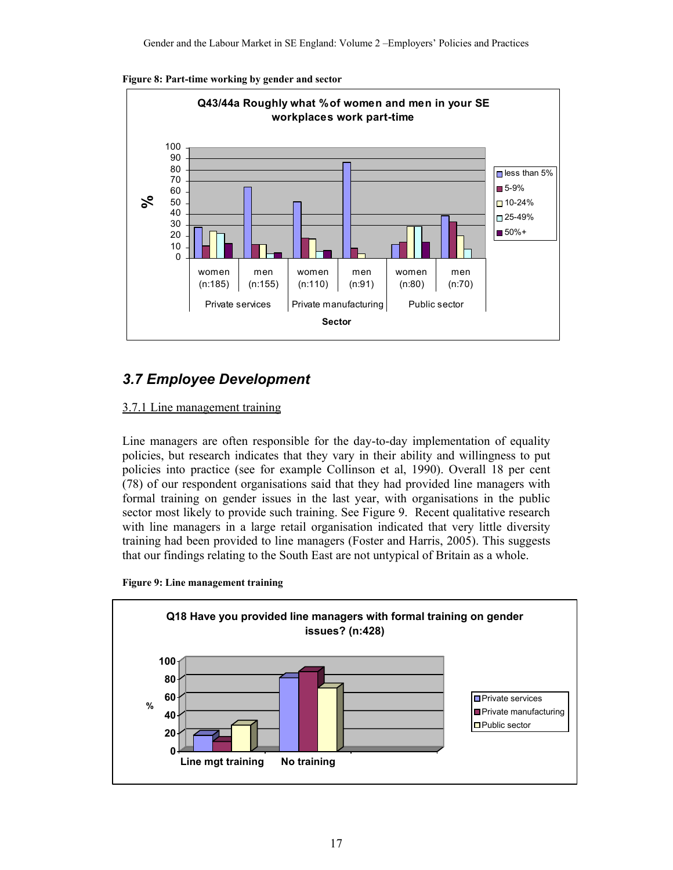



## *3.7 Employee Development*

#### 3.7.1 Line management training

Line managers are often responsible for the day-to-day implementation of equality policies, but research indicates that they vary in their ability and willingness to put policies into practice (see for example Collinson et al, 1990). Overall 18 per cent (78) of our respondent organisations said that they had provided line managers with formal training on gender issues in the last year, with organisations in the public sector most likely to provide such training. See Figure 9. Recent qualitative research with line managers in a large retail organisation indicated that very little diversity training had been provided to line managers (Foster and Harris, 2005). This suggests that our findings relating to the South East are not untypical of Britain as a whole.

**Figure 9: Line management training** 

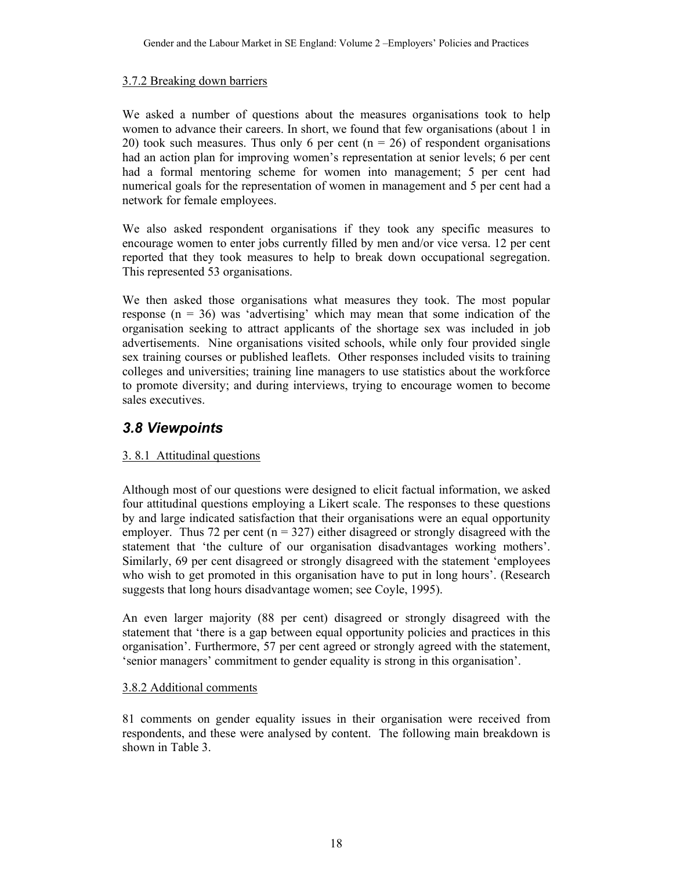#### 3.7.2 Breaking down barriers

We asked a number of questions about the measures organisations took to help women to advance their careers. In short, we found that few organisations (about 1 in 20) took such measures. Thus only 6 per cent ( $n = 26$ ) of respondent organisations had an action plan for improving women's representation at senior levels; 6 per cent had a formal mentoring scheme for women into management; 5 per cent had numerical goals for the representation of women in management and 5 per cent had a network for female employees.

We also asked respondent organisations if they took any specific measures to encourage women to enter jobs currently filled by men and/or vice versa. 12 per cent reported that they took measures to help to break down occupational segregation. This represented 53 organisations.

We then asked those organisations what measures they took. The most popular response  $(n = 36)$  was 'advertising' which may mean that some indication of the organisation seeking to attract applicants of the shortage sex was included in job advertisements. Nine organisations visited schools, while only four provided single sex training courses or published leaflets. Other responses included visits to training colleges and universities; training line managers to use statistics about the workforce to promote diversity; and during interviews, trying to encourage women to become sales executives.

## *3.8 Viewpoints*

#### 3. 8.1 Attitudinal questions

Although most of our questions were designed to elicit factual information, we asked four attitudinal questions employing a Likert scale. The responses to these questions by and large indicated satisfaction that their organisations were an equal opportunity employer. Thus 72 per cent ( $n = 327$ ) either disagreed or strongly disagreed with the statement that 'the culture of our organisation disadvantages working mothers'. Similarly, 69 per cent disagreed or strongly disagreed with the statement 'employees who wish to get promoted in this organisation have to put in long hours'. (Research suggests that long hours disadvantage women; see Coyle, 1995).

An even larger majority (88 per cent) disagreed or strongly disagreed with the statement that 'there is a gap between equal opportunity policies and practices in this organisation'. Furthermore, 57 per cent agreed or strongly agreed with the statement, 'senior managers' commitment to gender equality is strong in this organisation'.

#### 3.8.2 Additional comments

81 comments on gender equality issues in their organisation were received from respondents, and these were analysed by content. The following main breakdown is shown in Table 3.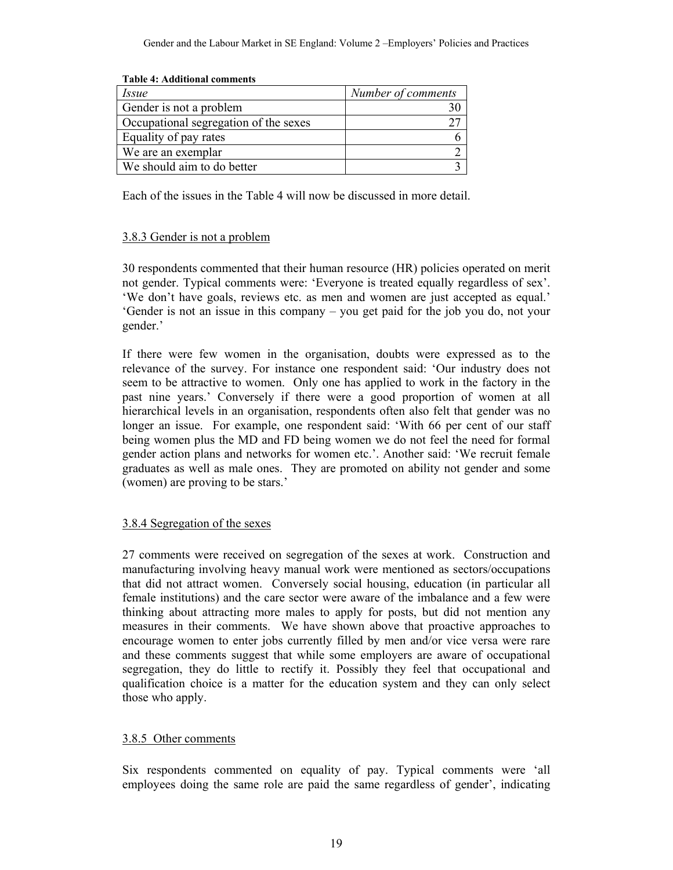| Table 4: Additional comments          |                    |
|---------------------------------------|--------------------|
| <i>Issue</i>                          | Number of comments |
| Gender is not a problem               |                    |
| Occupational segregation of the sexes |                    |
| Equality of pay rates                 |                    |
| We are an exemplar                    |                    |
| We should aim to do better            |                    |

**Table 4: Additional comments** 

Each of the issues in the Table 4 will now be discussed in more detail.

#### 3.8.3 Gender is not a problem

30 respondents commented that their human resource (HR) policies operated on merit not gender. Typical comments were: 'Everyone is treated equally regardless of sex'. 'We don't have goals, reviews etc. as men and women are just accepted as equal.' 'Gender is not an issue in this company – you get paid for the job you do, not your gender.'

If there were few women in the organisation, doubts were expressed as to the relevance of the survey. For instance one respondent said: 'Our industry does not seem to be attractive to women. Only one has applied to work in the factory in the past nine years.' Conversely if there were a good proportion of women at all hierarchical levels in an organisation, respondents often also felt that gender was no longer an issue. For example, one respondent said: 'With 66 per cent of our staff being women plus the MD and FD being women we do not feel the need for formal gender action plans and networks for women etc.'. Another said: 'We recruit female graduates as well as male ones. They are promoted on ability not gender and some (women) are proving to be stars.'

#### 3.8.4 Segregation of the sexes

27 comments were received on segregation of the sexes at work. Construction and manufacturing involving heavy manual work were mentioned as sectors/occupations that did not attract women. Conversely social housing, education (in particular all female institutions) and the care sector were aware of the imbalance and a few were thinking about attracting more males to apply for posts, but did not mention any measures in their comments. We have shown above that proactive approaches to encourage women to enter jobs currently filled by men and/or vice versa were rare and these comments suggest that while some employers are aware of occupational segregation, they do little to rectify it. Possibly they feel that occupational and qualification choice is a matter for the education system and they can only select those who apply.

#### 3.8.5 Other comments

Six respondents commented on equality of pay. Typical comments were 'all employees doing the same role are paid the same regardless of gender', indicating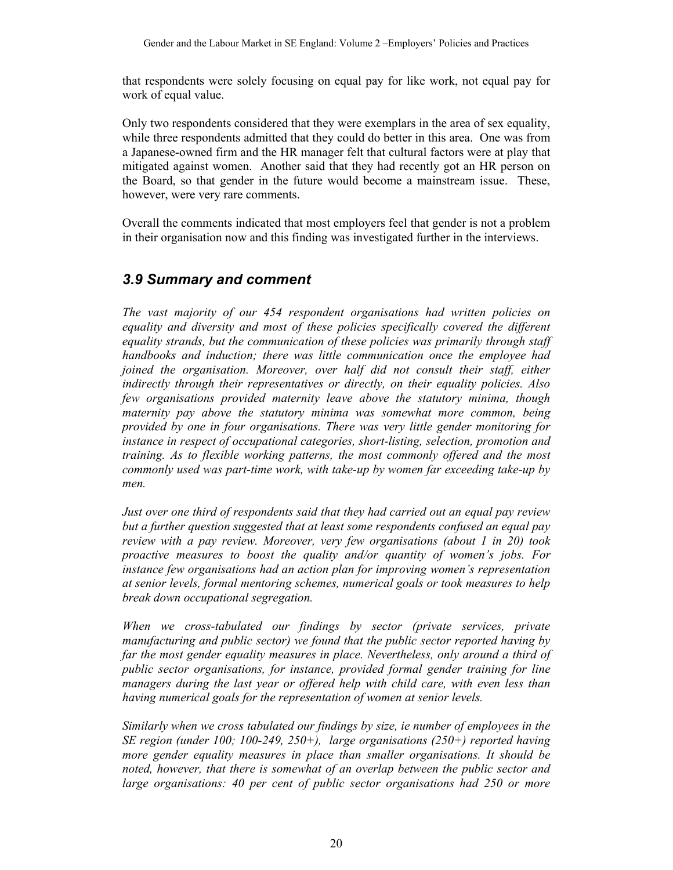that respondents were solely focusing on equal pay for like work, not equal pay for work of equal value.

Only two respondents considered that they were exemplars in the area of sex equality, while three respondents admitted that they could do better in this area. One was from a Japanese-owned firm and the HR manager felt that cultural factors were at play that mitigated against women. Another said that they had recently got an HR person on the Board, so that gender in the future would become a mainstream issue. These, however, were very rare comments.

Overall the comments indicated that most employers feel that gender is not a problem in their organisation now and this finding was investigated further in the interviews.

#### *3.9 Summary and comment*

*The vast majority of our 454 respondent organisations had written policies on equality and diversity and most of these policies specifically covered the different equality strands, but the communication of these policies was primarily through staff handbooks and induction; there was little communication once the employee had joined the organisation. Moreover, over half did not consult their staff, either indirectly through their representatives or directly, on their equality policies. Also few organisations provided maternity leave above the statutory minima, though maternity pay above the statutory minima was somewhat more common, being provided by one in four organisations. There was very little gender monitoring for instance in respect of occupational categories, short-listing, selection, promotion and training. As to flexible working patterns, the most commonly offered and the most commonly used was part-time work, with take-up by women far exceeding take-up by men.* 

*Just over one third of respondents said that they had carried out an equal pay review but a further question suggested that at least some respondents confused an equal pay review with a pay review. Moreover, very few organisations (about 1 in 20) took proactive measures to boost the quality and/or quantity of women's jobs. For instance few organisations had an action plan for improving women's representation at senior levels, formal mentoring schemes, numerical goals or took measures to help break down occupational segregation.* 

*When we cross-tabulated our findings by sector (private services, private manufacturing and public sector) we found that the public sector reported having by*  far the most gender equality measures in place. Nevertheless, only around a third of *public sector organisations, for instance, provided formal gender training for line managers during the last year or offered help with child care, with even less than having numerical goals for the representation of women at senior levels.* 

*Similarly when we cross tabulated our findings by size, ie number of employees in the SE region (under 100; 100-249, 250+), large organisations (250+) reported having more gender equality measures in place than smaller organisations. It should be noted, however, that there is somewhat of an overlap between the public sector and large organisations: 40 per cent of public sector organisations had 250 or more*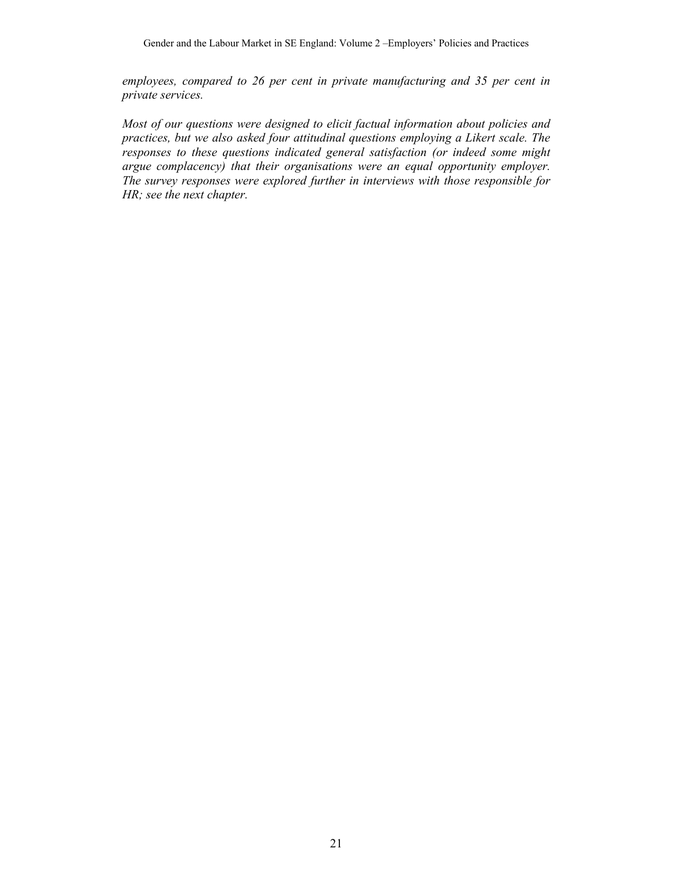*employees, compared to 26 per cent in private manufacturing and 35 per cent in private services.* 

*Most of our questions were designed to elicit factual information about policies and practices, but we also asked four attitudinal questions employing a Likert scale. The responses to these questions indicated general satisfaction (or indeed some might argue complacency) that their organisations were an equal opportunity employer. The survey responses were explored further in interviews with those responsible for HR; see the next chapter.*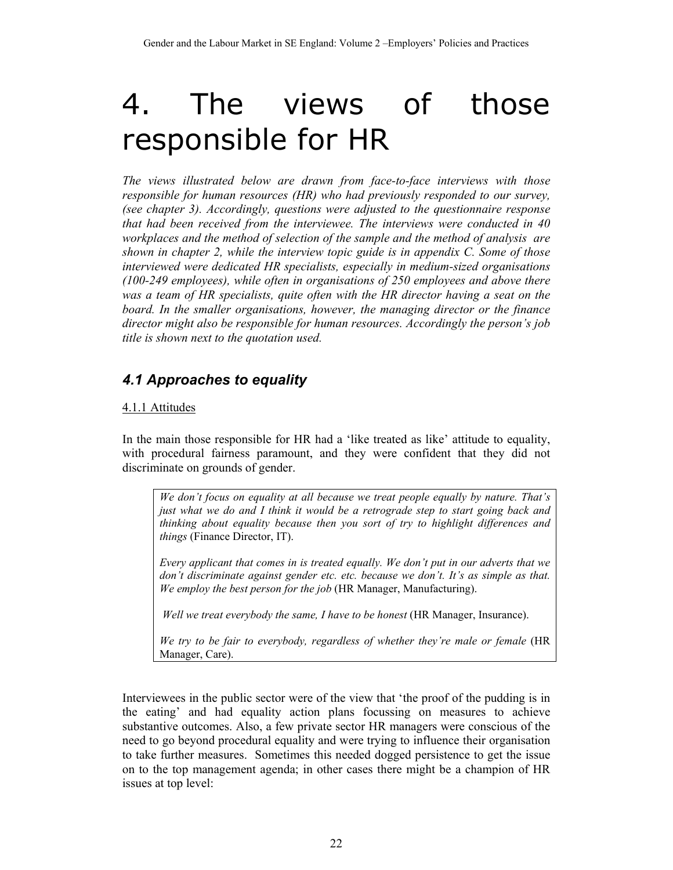# 4. The views of those responsible for HR

*The views illustrated below are drawn from face-to-face interviews with those responsible for human resources (HR) who had previously responded to our survey, (see chapter 3). Accordingly, questions were adjusted to the questionnaire response that had been received from the interviewee. The interviews were conducted in 40 workplaces and the method of selection of the sample and the method of analysis are shown in chapter 2, while the interview topic guide is in appendix C. Some of those interviewed were dedicated HR specialists, especially in medium-sized organisations (100-249 employees), while often in organisations of 250 employees and above there was a team of HR specialists, quite often with the HR director having a seat on the board. In the smaller organisations, however, the managing director or the finance director might also be responsible for human resources. Accordingly the person's job title is shown next to the quotation used.* 

# *4.1 Approaches to equality*

## 4.1.1 Attitudes

In the main those responsible for HR had a 'like treated as like' attitude to equality, with procedural fairness paramount, and they were confident that they did not discriminate on grounds of gender.

*We don't focus on equality at all because we treat people equally by nature. That's just what we do and I think it would be a retrograde step to start going back and thinking about equality because then you sort of try to highlight differences and things* (Finance Director, IT).

*Every applicant that comes in is treated equally. We don't put in our adverts that we don't discriminate against gender etc. etc. because we don't. It's as simple as that. We employ the best person for the job* (HR Manager, Manufacturing).

*Well we treat everybody the same, I have to be honest* (HR Manager, Insurance).

*We try to be fair to everybody, regardless of whether they're male or female* (HR Manager, Care).

Interviewees in the public sector were of the view that 'the proof of the pudding is in the eating' and had equality action plans focussing on measures to achieve substantive outcomes. Also, a few private sector HR managers were conscious of the need to go beyond procedural equality and were trying to influence their organisation to take further measures. Sometimes this needed dogged persistence to get the issue on to the top management agenda; in other cases there might be a champion of HR issues at top level: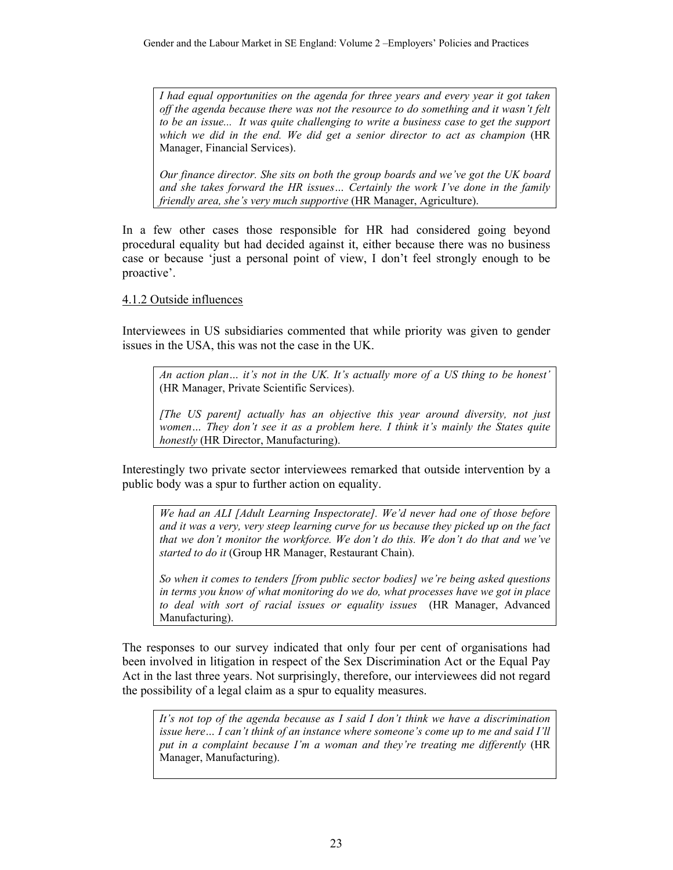*I had equal opportunities on the agenda for three years and every year it got taken off the agenda because there was not the resource to do something and it wasn't felt to be an issue... It was quite challenging to write a business case to get the support which we did in the end. We did get a senior director to act as champion* (HR Manager, Financial Services).

*Our finance director. She sits on both the group boards and we've got the UK board and she takes forward the HR issues… Certainly the work I've done in the family friendly area, she's very much supportive* (HR Manager, Agriculture).

In a few other cases those responsible for HR had considered going beyond procedural equality but had decided against it, either because there was no business case or because 'just a personal point of view, I don't feel strongly enough to be proactive'.

## 4.1.2 Outside influences

Interviewees in US subsidiaries commented that while priority was given to gender issues in the USA, this was not the case in the UK.

*An action plan… it's not in the UK. It's actually more of a US thing to be honest'*  (HR Manager, Private Scientific Services).

*[The US parent] actually has an objective this year around diversity, not just women… They don't see it as a problem here. I think it's mainly the States quite honestly* (HR Director, Manufacturing).

Interestingly two private sector interviewees remarked that outside intervention by a public body was a spur to further action on equality.

*We had an ALI [Adult Learning Inspectorate]. We'd never had one of those before and it was a very, very steep learning curve for us because they picked up on the fact that we don't monitor the workforce. We don't do this. We don't do that and we've started to do it* (Group HR Manager, Restaurant Chain).

*So when it comes to tenders [from public sector bodies] we're being asked questions in terms you know of what monitoring do we do, what processes have we got in place to deal with sort of racial issues or equality issues* (HR Manager, Advanced Manufacturing).

The responses to our survey indicated that only four per cent of organisations had been involved in litigation in respect of the Sex Discrimination Act or the Equal Pay Act in the last three years. Not surprisingly, therefore, our interviewees did not regard the possibility of a legal claim as a spur to equality measures.

*It's not top of the agenda because as I said I don't think we have a discrimination issue here… I can't think of an instance where someone's come up to me and said I'll put in a complaint because I'm a woman and they're treating me differently* (HR Manager, Manufacturing).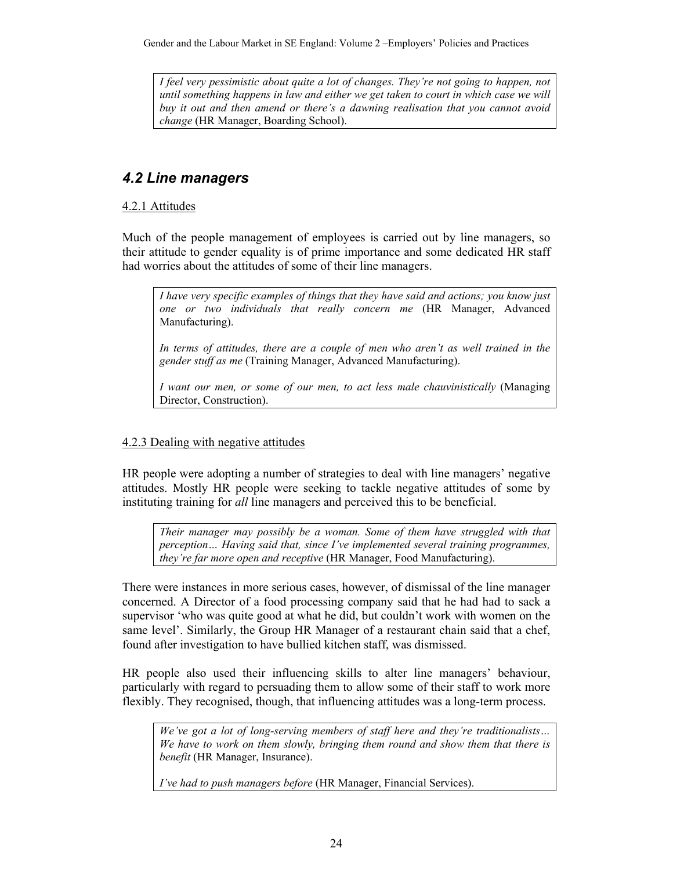*I feel very pessimistic about quite a lot of changes. They're not going to happen, not until something happens in law and either we get taken to court in which case we will buy it out and then amend or there's a dawning realisation that you cannot avoid change* (HR Manager, Boarding School).

## *4.2 Line managers*

## 4.2.1 Attitudes

Much of the people management of employees is carried out by line managers, so their attitude to gender equality is of prime importance and some dedicated HR staff had worries about the attitudes of some of their line managers.

*I have very specific examples of things that they have said and actions; you know just one or two individuals that really concern me* (HR Manager, Advanced Manufacturing).

In terms of attitudes, there are a couple of men who aren't as well trained in the *gender stuff as me* (Training Manager, Advanced Manufacturing).

*I want our men, or some of our men, to act less male chauvinistically* (Managing Director, Construction).

## 4.2.3 Dealing with negative attitudes

HR people were adopting a number of strategies to deal with line managers' negative attitudes. Mostly HR people were seeking to tackle negative attitudes of some by instituting training for *all* line managers and perceived this to be beneficial.

*Their manager may possibly be a woman. Some of them have struggled with that perception… Having said that, since I've implemented several training programmes, they're far more open and receptive* (HR Manager, Food Manufacturing).

There were instances in more serious cases, however, of dismissal of the line manager concerned. A Director of a food processing company said that he had had to sack a supervisor 'who was quite good at what he did, but couldn't work with women on the same level'. Similarly, the Group HR Manager of a restaurant chain said that a chef, found after investigation to have bullied kitchen staff, was dismissed.

HR people also used their influencing skills to alter line managers' behaviour, particularly with regard to persuading them to allow some of their staff to work more flexibly. They recognised, though, that influencing attitudes was a long-term process.

*We've got a lot of long-serving members of staff here and they're traditionalists… We have to work on them slowly, bringing them round and show them that there is benefit* (HR Manager, Insurance).

*I've had to push managers before* (HR Manager, Financial Services).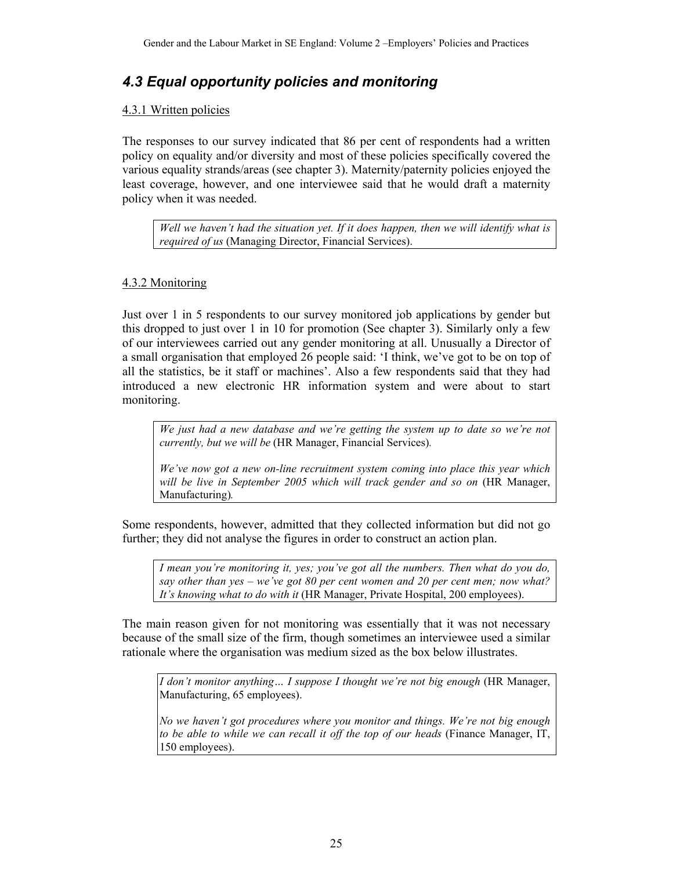## *4.3 Equal opportunity policies and monitoring*

#### 4.3.1 Written policies

The responses to our survey indicated that 86 per cent of respondents had a written policy on equality and/or diversity and most of these policies specifically covered the various equality strands/areas (see chapter 3). Maternity/paternity policies enjoyed the least coverage, however, and one interviewee said that he would draft a maternity policy when it was needed.

*Well we haven't had the situation yet. If it does happen, then we will identify what is required of us* (Managing Director, Financial Services).

## 4.3.2 Monitoring

Just over 1 in 5 respondents to our survey monitored job applications by gender but this dropped to just over 1 in 10 for promotion (See chapter 3). Similarly only a few of our interviewees carried out any gender monitoring at all. Unusually a Director of a small organisation that employed 26 people said: 'I think, we've got to be on top of all the statistics, be it staff or machines'. Also a few respondents said that they had introduced a new electronic HR information system and were about to start monitoring.

*We just had a new database and we're getting the system up to date so we're not currently, but we will be* (HR Manager, Financial Services)*.* 

*We've now got a new on-line recruitment system coming into place this year which will be live in September 2005 which will track gender and so on* (HR Manager, Manufacturing)*.* 

Some respondents, however, admitted that they collected information but did not go further; they did not analyse the figures in order to construct an action plan.

*I mean you're monitoring it, yes; you've got all the numbers. Then what do you do, say other than yes – we've got 80 per cent women and 20 per cent men; now what? It's knowing what to do with it* (HR Manager, Private Hospital, 200 employees).

The main reason given for not monitoring was essentially that it was not necessary because of the small size of the firm, though sometimes an interviewee used a similar rationale where the organisation was medium sized as the box below illustrates.

*I don't monitor anything… I suppose I thought we're not big enough* (HR Manager, Manufacturing, 65 employees).

*No we haven't got procedures where you monitor and things. We're not big enough to be able to while we can recall it off the top of our heads* (Finance Manager, IT, 150 employees).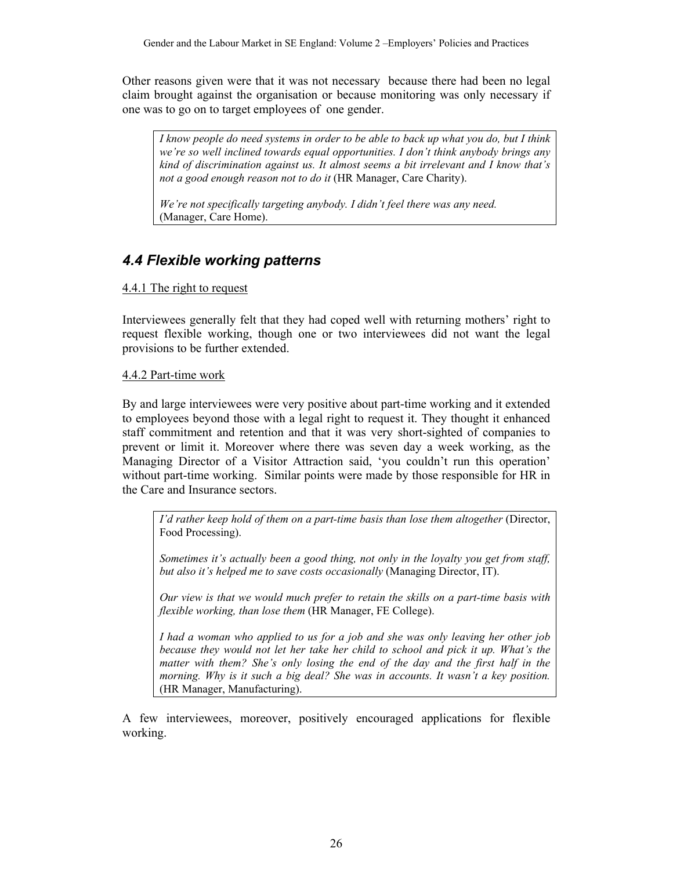Other reasons given were that it was not necessary because there had been no legal claim brought against the organisation or because monitoring was only necessary if one was to go on to target employees of one gender.

*I know people do need systems in order to be able to back up what you do, but I think we're so well inclined towards equal opportunities. I don't think anybody brings any kind of discrimination against us. It almost seems a bit irrelevant and I know that's not a good enough reason not to do it* (HR Manager, Care Charity).

*We're not specifically targeting anybody. I didn't feel there was any need.*  (Manager, Care Home).

# *4.4 Flexible working patterns*

## 4.4.1 The right to request

Interviewees generally felt that they had coped well with returning mothers' right to request flexible working, though one or two interviewees did not want the legal provisions to be further extended.

## 4.4.2 Part-time work

By and large interviewees were very positive about part-time working and it extended to employees beyond those with a legal right to request it. They thought it enhanced staff commitment and retention and that it was very short-sighted of companies to prevent or limit it. Moreover where there was seven day a week working, as the Managing Director of a Visitor Attraction said, 'you couldn't run this operation' without part-time working. Similar points were made by those responsible for HR in the Care and Insurance sectors.

*I'd rather keep hold of them on a part-time basis than lose them altogether (Director,* Food Processing).

*Sometimes it's actually been a good thing, not only in the loyalty you get from staff, but also it's helped me to save costs occasionally* (Managing Director, IT).

*Our view is that we would much prefer to retain the skills on a part-time basis with flexible working, than lose them* (HR Manager, FE College).

*I had a woman who applied to us for a job and she was only leaving her other job because they would not let her take her child to school and pick it up. What's the*  matter with them? She's only losing the end of the day and the first half in the *morning. Why is it such a big deal? She was in accounts. It wasn't a key position.* (HR Manager, Manufacturing).

A few interviewees, moreover, positively encouraged applications for flexible working.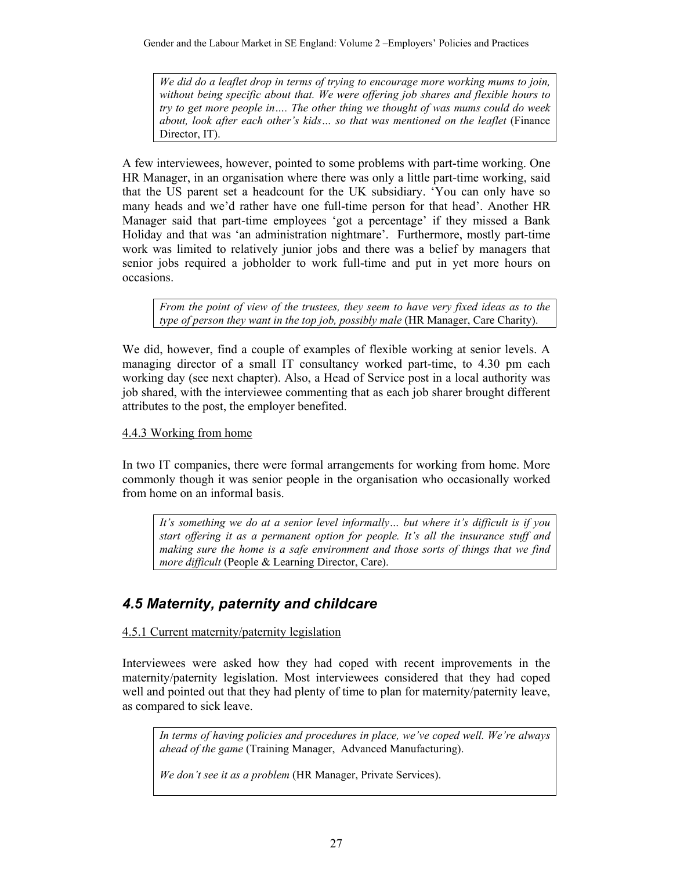*We did do a leaflet drop in terms of trying to encourage more working mums to join, without being specific about that. We were offering job shares and flexible hours to try to get more people in…. The other thing we thought of was mums could do week about, look after each other's kids… so that was mentioned on the leaflet* (Finance Director, IT).

A few interviewees, however, pointed to some problems with part-time working. One HR Manager, in an organisation where there was only a little part-time working, said that the US parent set a headcount for the UK subsidiary. 'You can only have so many heads and we'd rather have one full-time person for that head'. Another HR Manager said that part-time employees 'got a percentage' if they missed a Bank Holiday and that was 'an administration nightmare'. Furthermore, mostly part-time work was limited to relatively junior jobs and there was a belief by managers that senior jobs required a jobholder to work full-time and put in yet more hours on occasions.

*From the point of view of the trustees, they seem to have very fixed ideas as to the type of person they want in the top job, possibly male* (HR Manager, Care Charity).

We did, however, find a couple of examples of flexible working at senior levels. A managing director of a small IT consultancy worked part-time, to 4.30 pm each working day (see next chapter). Also, a Head of Service post in a local authority was job shared, with the interviewee commenting that as each job sharer brought different attributes to the post, the employer benefited.

#### 4.4.3 Working from home

In two IT companies, there were formal arrangements for working from home. More commonly though it was senior people in the organisation who occasionally worked from home on an informal basis.

*It's something we do at a senior level informally… but where it's difficult is if you start offering it as a permanent option for people. It's all the insurance stuff and making sure the home is a safe environment and those sorts of things that we find more difficult* (People & Learning Director, Care).

# *4.5 Maternity, paternity and childcare*

4.5.1 Current maternity/paternity legislation

Interviewees were asked how they had coped with recent improvements in the maternity/paternity legislation. Most interviewees considered that they had coped well and pointed out that they had plenty of time to plan for maternity/paternity leave, as compared to sick leave.

*In terms of having policies and procedures in place, we've coped well. We're always ahead of the game* (Training Manager, Advanced Manufacturing).

*We don't see it as a problem* (HR Manager, Private Services).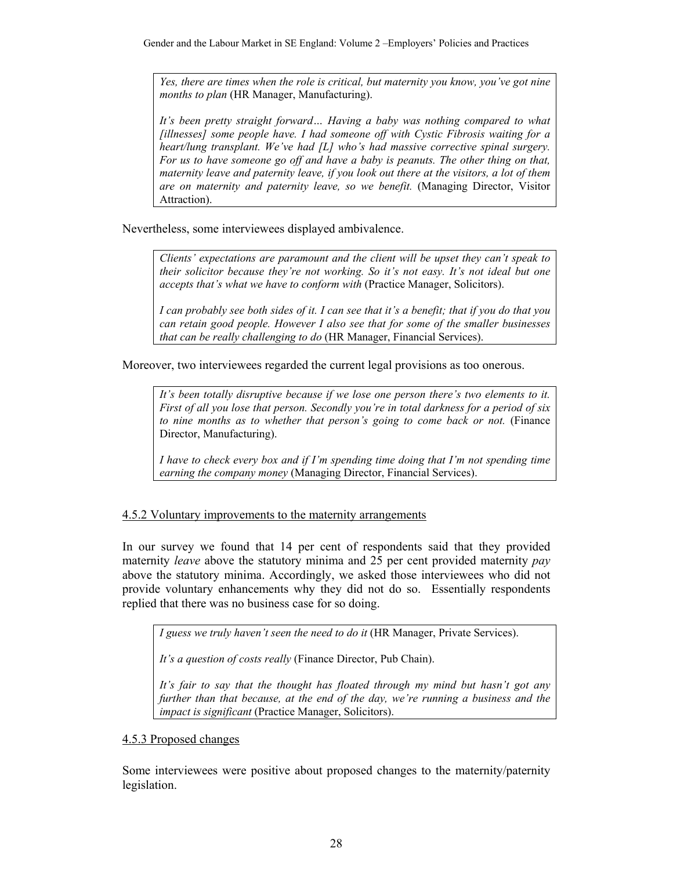*Yes, there are times when the role is critical, but maternity you know, you've got nine months to plan* (HR Manager, Manufacturing).

*It's been pretty straight forward… Having a baby was nothing compared to what [illnesses] some people have. I had someone off with Cystic Fibrosis waiting for a heart/lung transplant. We've had [L] who's had massive corrective spinal surgery. For us to have someone go off and have a baby is peanuts. The other thing on that, maternity leave and paternity leave, if you look out there at the visitors, a lot of them are on maternity and paternity leave, so we benefit.* (Managing Director, Visitor Attraction).

Nevertheless, some interviewees displayed ambivalence.

*Clients' expectations are paramount and the client will be upset they can't speak to their solicitor because they're not working. So it's not easy. It's not ideal but one accepts that's what we have to conform with* (Practice Manager, Solicitors).

*I can probably see both sides of it. I can see that it's a benefit; that if you do that you can retain good people. However I also see that for some of the smaller businesses that can be really challenging to do* (HR Manager, Financial Services).

Moreover, two interviewees regarded the current legal provisions as too onerous.

*It's been totally disruptive because if we lose one person there's two elements to it. First of all you lose that person. Secondly you're in total darkness for a period of six to nine months as to whether that person's going to come back or not.* (Finance Director, Manufacturing).

*I have to check every box and if I'm spending time doing that I'm not spending time earning the company money* (Managing Director, Financial Services).

## 4.5.2 Voluntary improvements to the maternity arrangements

In our survey we found that 14 per cent of respondents said that they provided maternity *leave* above the statutory minima and 25 per cent provided maternity *pay* above the statutory minima. Accordingly, we asked those interviewees who did not provide voluntary enhancements why they did not do so. Essentially respondents replied that there was no business case for so doing.

*I guess we truly haven't seen the need to do it* (HR Manager, Private Services).

*It's a question of costs really* (Finance Director, Pub Chain).

*It's fair to say that the thought has floated through my mind but hasn't got any further than that because, at the end of the day, we're running a business and the impact is significant* (Practice Manager, Solicitors).

#### 4.5.3 Proposed changes

Some interviewees were positive about proposed changes to the maternity/paternity legislation.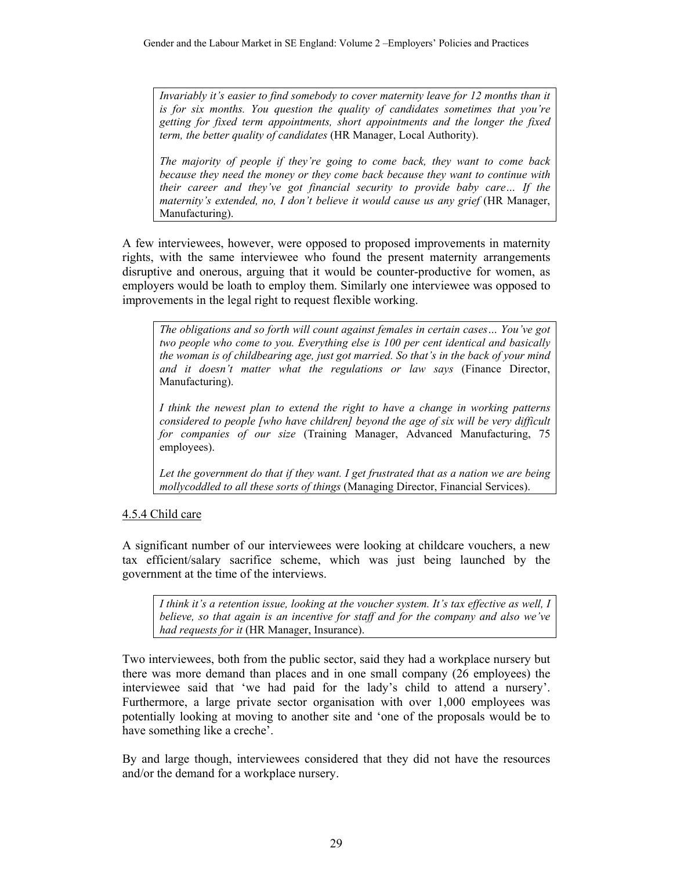*Invariably it's easier to find somebody to cover maternity leave for 12 months than it is for six months. You question the quality of candidates sometimes that you're getting for fixed term appointments, short appointments and the longer the fixed term, the better quality of candidates* (HR Manager, Local Authority).

*The majority of people if they're going to come back, they want to come back because they need the money or they come back because they want to continue with their career and they've got financial security to provide baby care… If the maternity's extended, no, I don't believe it would cause us any grief* (HR Manager, Manufacturing).

A few interviewees, however, were opposed to proposed improvements in maternity rights, with the same interviewee who found the present maternity arrangements disruptive and onerous, arguing that it would be counter-productive for women, as employers would be loath to employ them. Similarly one interviewee was opposed to improvements in the legal right to request flexible working.

*The obligations and so forth will count against females in certain cases… You've got two people who come to you. Everything else is 100 per cent identical and basically the woman is of childbearing age, just got married. So that's in the back of your mind and it doesn't matter what the regulations or law says* (Finance Director, Manufacturing).

*I think the newest plan to extend the right to have a change in working patterns considered to people [who have children] beyond the age of six will be very difficult for companies of our size* (Training Manager, Advanced Manufacturing, 75 employees).

*Let the government do that if they want. I get frustrated that as a nation we are being mollycoddled to all these sorts of things* (Managing Director, Financial Services).

## 4.5.4 Child care

A significant number of our interviewees were looking at childcare vouchers, a new tax efficient/salary sacrifice scheme, which was just being launched by the government at the time of the interviews.

*I think it's a retention issue, looking at the voucher system. It's tax effective as well, I believe, so that again is an incentive for staff and for the company and also we've had requests for it* (HR Manager, Insurance).

Two interviewees, both from the public sector, said they had a workplace nursery but there was more demand than places and in one small company (26 employees) the interviewee said that 'we had paid for the lady's child to attend a nursery'. Furthermore, a large private sector organisation with over 1,000 employees was potentially looking at moving to another site and 'one of the proposals would be to have something like a creche'.

By and large though, interviewees considered that they did not have the resources and/or the demand for a workplace nursery.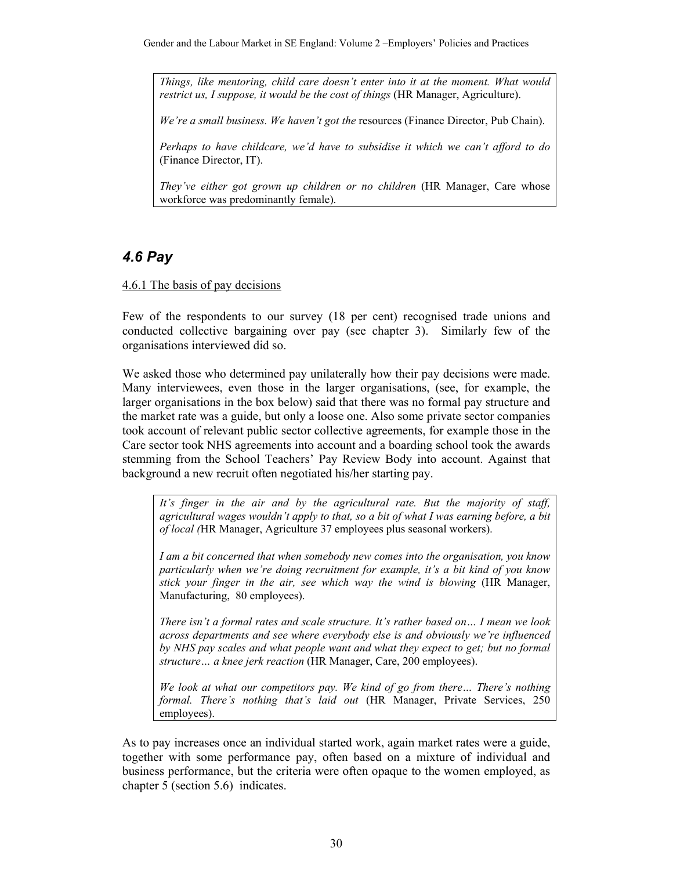*Things, like mentoring, child care doesn't enter into it at the moment. What would restrict us, I suppose, it would be the cost of things (HR Manager, Agriculture).* 

*We're a small business. We haven't got the* resources (Finance Director, Pub Chain).

*Perhaps to have childcare, we'd have to subsidise it which we can't afford to do*  (Finance Director, IT).

*They've either got grown up children or no children* (HR Manager, Care whose workforce was predominantly female).

## *4.6 Pay*

4.6.1 The basis of pay decisions

Few of the respondents to our survey (18 per cent) recognised trade unions and conducted collective bargaining over pay (see chapter 3). Similarly few of the organisations interviewed did so.

We asked those who determined pay unilaterally how their pay decisions were made. Many interviewees, even those in the larger organisations, (see, for example, the larger organisations in the box below) said that there was no formal pay structure and the market rate was a guide, but only a loose one. Also some private sector companies took account of relevant public sector collective agreements, for example those in the Care sector took NHS agreements into account and a boarding school took the awards stemming from the School Teachers' Pay Review Body into account. Against that background a new recruit often negotiated his/her starting pay.

*It's finger in the air and by the agricultural rate. But the majority of staff, agricultural wages wouldn't apply to that, so a bit of what I was earning before, a bit of local (*HR Manager, Agriculture 37 employees plus seasonal workers).

*I am a bit concerned that when somebody new comes into the organisation, you know particularly when we're doing recruitment for example, it's a bit kind of you know stick your finger in the air, see which way the wind is blowing* (HR Manager, Manufacturing, 80 employees).

*There isn't a formal rates and scale structure. It's rather based on… I mean we look across departments and see where everybody else is and obviously we're influenced by NHS pay scales and what people want and what they expect to get; but no formal structure… a knee jerk reaction* (HR Manager, Care, 200 employees).

*We look at what our competitors pay. We kind of go from there… There's nothing formal. There's nothing that's laid out* (HR Manager, Private Services, 250 employees).

As to pay increases once an individual started work, again market rates were a guide, together with some performance pay, often based on a mixture of individual and business performance, but the criteria were often opaque to the women employed, as chapter 5 (section 5.6) indicates.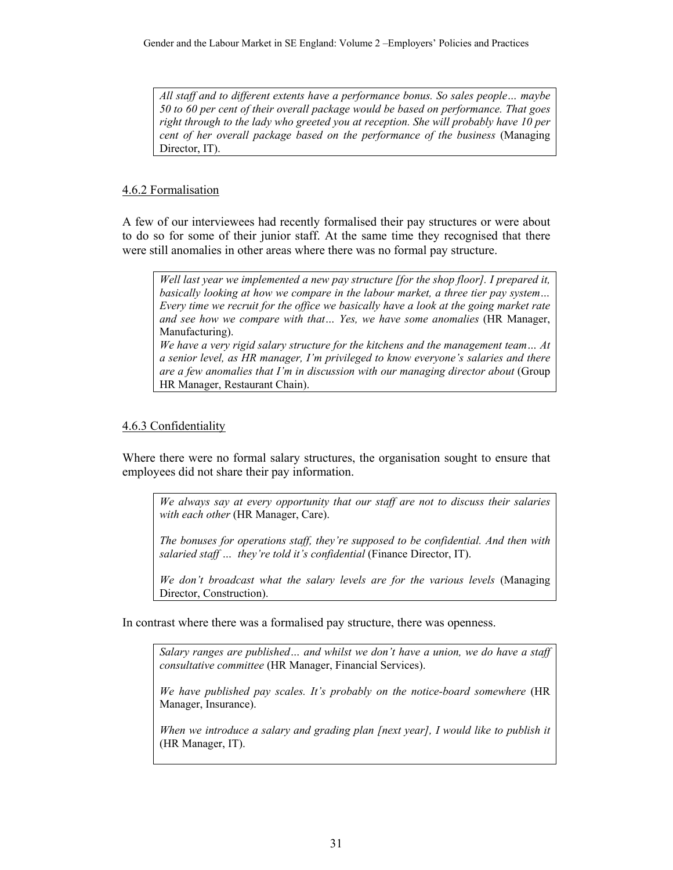*All staff and to different extents have a performance bonus. So sales people… maybe 50 to 60 per cent of their overall package would be based on performance. That goes right through to the lady who greeted you at reception. She will probably have 10 per cent of her overall package based on the performance of the business* (Managing Director, IT).

## 4.6.2 Formalisation

A few of our interviewees had recently formalised their pay structures or were about to do so for some of their junior staff. At the same time they recognised that there were still anomalies in other areas where there was no formal pay structure.



## 4.6.3 Confidentiality

Where there were no formal salary structures, the organisation sought to ensure that employees did not share their pay information.

*We always say at every opportunity that our staff are not to discuss their salaries with each other* (HR Manager, Care).

*The bonuses for operations staff, they're supposed to be confidential. And then with salaried staff* ... *they're told it's confidential* (Finance Director, IT).

*We don't broadcast what the salary levels are for the various levels* (Managing Director, Construction).

In contrast where there was a formalised pay structure, there was openness.

*Salary ranges are published… and whilst we don't have a union, we do have a staff consultative committee* (HR Manager, Financial Services).

*We have published pay scales. It's probably on the notice-board somewhere* (HR Manager, Insurance).

*When we introduce a salary and grading plan [next year], I would like to publish it* (HR Manager, IT).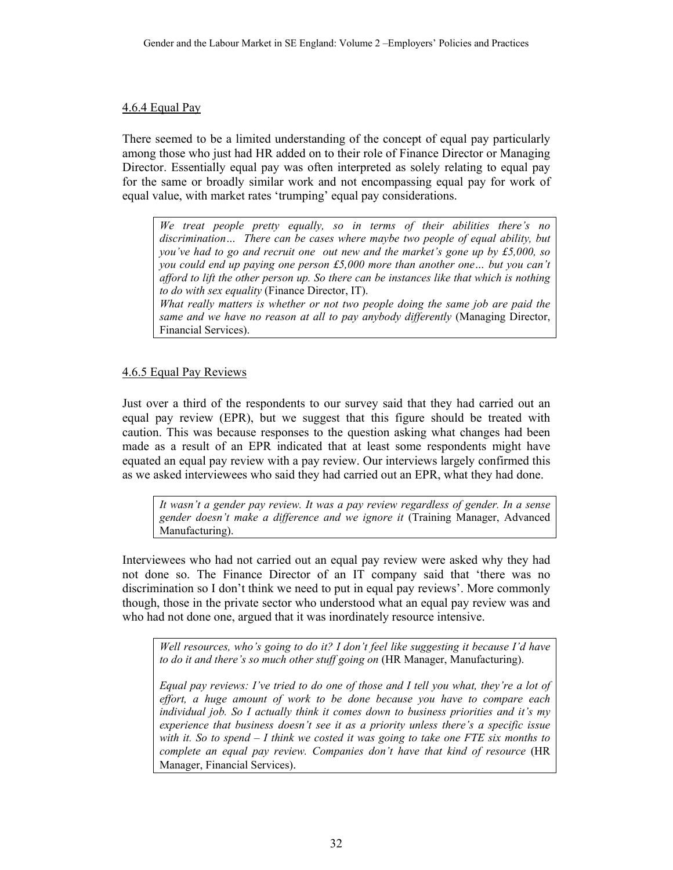#### 4.6.4 Equal Pay

There seemed to be a limited understanding of the concept of equal pay particularly among those who just had HR added on to their role of Finance Director or Managing Director. Essentially equal pay was often interpreted as solely relating to equal pay for the same or broadly similar work and not encompassing equal pay for work of equal value, with market rates 'trumping' equal pay considerations.

*We treat people pretty equally, so in terms of their abilities there's no discrimination… There can be cases where maybe two people of equal ability, but you've had to go and recruit one out new and the market's gone up by £5,000, so you could end up paying one person £5,000 more than another one… but you can't afford to lift the other person up. So there can be instances like that which is nothing to do with sex equality* (Finance Director, IT).

*What really matters is whether or not two people doing the same job are paid the same and we have no reason at all to pay anybody differently* (Managing Director, Financial Services).

#### 4.6.5 Equal Pay Reviews

Just over a third of the respondents to our survey said that they had carried out an equal pay review (EPR), but we suggest that this figure should be treated with caution. This was because responses to the question asking what changes had been made as a result of an EPR indicated that at least some respondents might have equated an equal pay review with a pay review. Our interviews largely confirmed this as we asked interviewees who said they had carried out an EPR, what they had done.

*It wasn't a gender pay review. It was a pay review regardless of gender. In a sense gender doesn't make a difference and we ignore it* (Training Manager, Advanced Manufacturing).

Interviewees who had not carried out an equal pay review were asked why they had not done so. The Finance Director of an IT company said that 'there was no discrimination so I don't think we need to put in equal pay reviews'. More commonly though, those in the private sector who understood what an equal pay review was and who had not done one, argued that it was inordinately resource intensive.

*Well resources, who's going to do it? I don't feel like suggesting it because I'd have to do it and there's so much other stuff going on* (HR Manager, Manufacturing).

*Equal pay reviews: I've tried to do one of those and I tell you what, they're a lot of effort, a huge amount of work to be done because you have to compare each individual job. So I actually think it comes down to business priorities and it's my experience that business doesn't see it as a priority unless there's a specific issue with it. So to spend – I think we costed it was going to take one FTE six months to complete an equal pay review. Companies don't have that kind of resource* (HR Manager, Financial Services).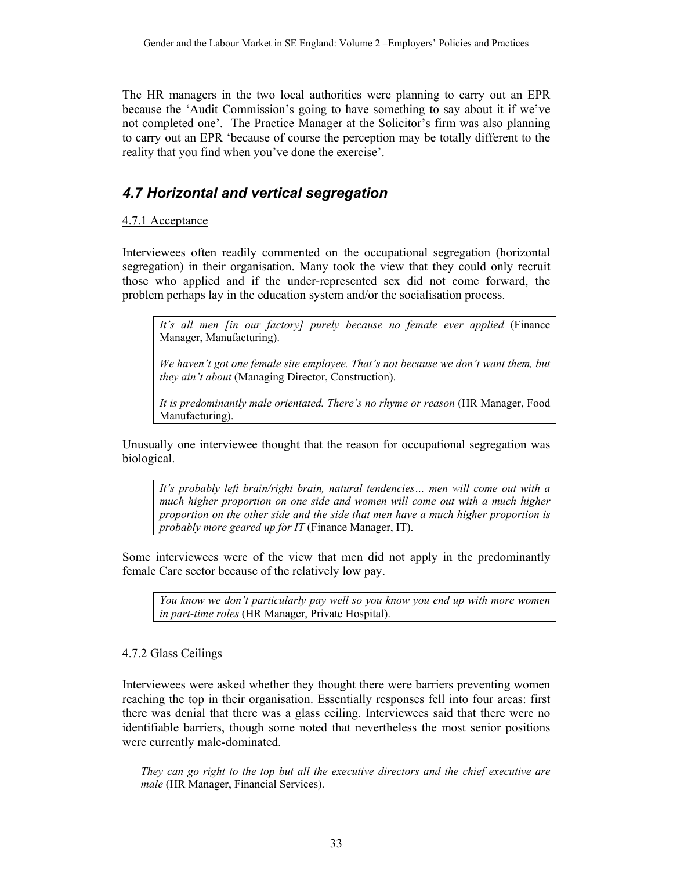The HR managers in the two local authorities were planning to carry out an EPR because the 'Audit Commission's going to have something to say about it if we've not completed one'. The Practice Manager at the Solicitor's firm was also planning to carry out an EPR 'because of course the perception may be totally different to the reality that you find when you've done the exercise'.

## *4.7 Horizontal and vertical segregation*

## 4.7.1 Acceptance

Interviewees often readily commented on the occupational segregation (horizontal segregation) in their organisation. Many took the view that they could only recruit those who applied and if the under-represented sex did not come forward, the problem perhaps lay in the education system and/or the socialisation process.

*It's all men [in our factory] purely because no female ever applied* (Finance Manager, Manufacturing).

*We haven't got one female site employee. That's not because we don't want them, but they ain't about* (Managing Director, Construction).

*It is predominantly male orientated. There's no rhyme or reason* (HR Manager, Food Manufacturing).

Unusually one interviewee thought that the reason for occupational segregation was biological.

*It's probably left brain/right brain, natural tendencies… men will come out with a much higher proportion on one side and women will come out with a much higher proportion on the other side and the side that men have a much higher proportion is probably more geared up for IT* (Finance Manager, IT).

Some interviewees were of the view that men did not apply in the predominantly female Care sector because of the relatively low pay.

*You know we don't particularly pay well so you know you end up with more women in part-time roles* (HR Manager, Private Hospital).

#### 4.7.2 Glass Ceilings

Interviewees were asked whether they thought there were barriers preventing women reaching the top in their organisation. Essentially responses fell into four areas: first there was denial that there was a glass ceiling. Interviewees said that there were no identifiable barriers, though some noted that nevertheless the most senior positions were currently male-dominated.

*They can go right to the top but all the executive directors and the chief executive are male* (HR Manager, Financial Services).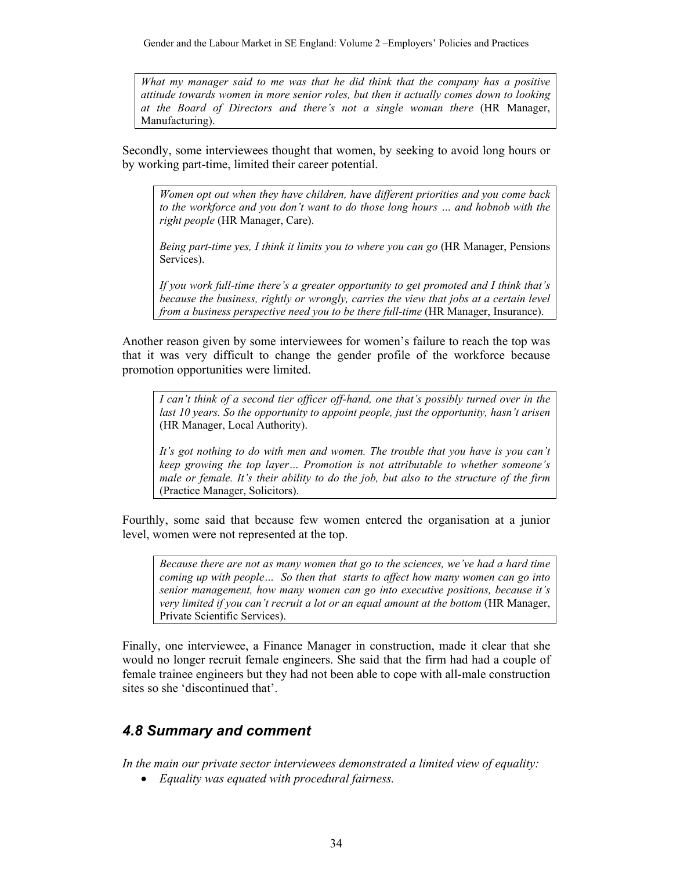*What my manager said to me was that he did think that the company has a positive attitude towards women in more senior roles, but then it actually comes down to looking at the Board of Directors and there's not a single woman there* (HR Manager, Manufacturing).

Secondly, some interviewees thought that women, by seeking to avoid long hours or by working part-time, limited their career potential.

*Women opt out when they have children, have different priorities and you come back to the workforce and you don't want to do those long hours … and hobnob with the right people* (HR Manager, Care).

*Being part-time yes, I think it limits you to where you can go* (HR Manager, Pensions Services).

*If you work full-time there's a greater opportunity to get promoted and I think that's because the business, rightly or wrongly, carries the view that jobs at a certain level from a business perspective need you to be there full-time* (HR Manager, Insurance).

Another reason given by some interviewees for women's failure to reach the top was that it was very difficult to change the gender profile of the workforce because promotion opportunities were limited.

*I can't think of a second tier officer off-hand, one that's possibly turned over in the last 10 years. So the opportunity to appoint people, just the opportunity, hasn't arisen* (HR Manager, Local Authority).

*It's got nothing to do with men and women. The trouble that you have is you can't keep growing the top layer… Promotion is not attributable to whether someone's male or female. It's their ability to do the job, but also to the structure of the firm* (Practice Manager, Solicitors).

Fourthly, some said that because few women entered the organisation at a junior level, women were not represented at the top.

*Because there are not as many women that go to the sciences, we've had a hard time coming up with people… So then that starts to affect how many women can go into senior management, how many women can go into executive positions, because it's very limited if you can't recruit a lot or an equal amount at the bottom* (HR Manager, Private Scientific Services).

Finally, one interviewee, a Finance Manager in construction, made it clear that she would no longer recruit female engineers. She said that the firm had had a couple of female trainee engineers but they had not been able to cope with all-male construction sites so she 'discontinued that'.

# *4.8 Summary and comment*

*In the main our private sector interviewees demonstrated a limited view of equality:* 

• *Equality was equated with procedural fairness.*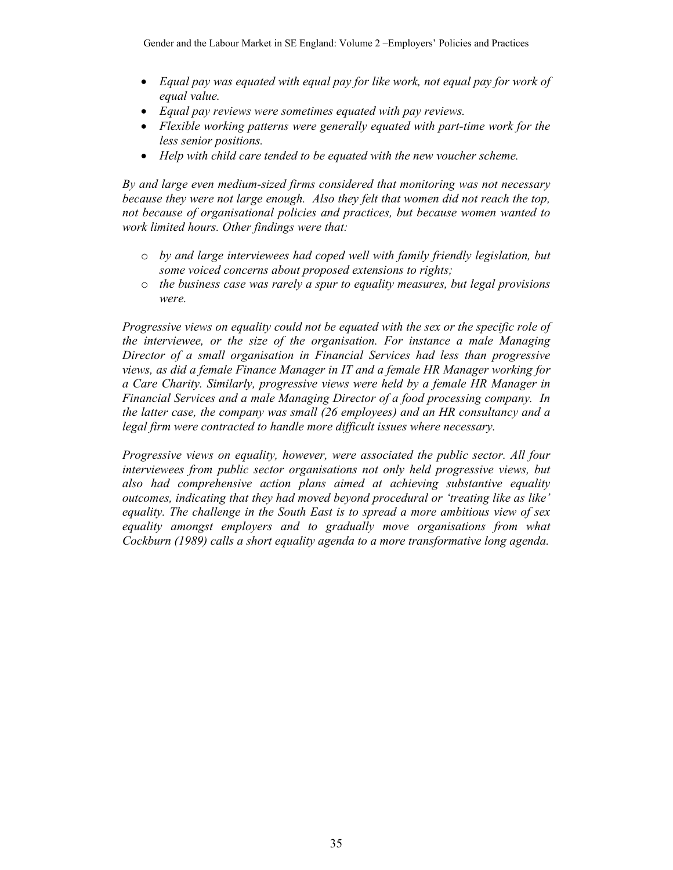- *Equal pay was equated with equal pay for like work, not equal pay for work of equal value.*
- *Equal pay reviews were sometimes equated with pay reviews.*
- *Flexible working patterns were generally equated with part-time work for the less senior positions.*
- *Help with child care tended to be equated with the new voucher scheme.*

*By and large even medium-sized firms considered that monitoring was not necessary because they were not large enough. Also they felt that women did not reach the top, not because of organisational policies and practices, but because women wanted to work limited hours. Other findings were that:* 

- o *by and large interviewees had coped well with family friendly legislation, but some voiced concerns about proposed extensions to rights;*
- o *the business case was rarely a spur to equality measures, but legal provisions were.*

*Progressive views on equality could not be equated with the sex or the specific role of the interviewee, or the size of the organisation. For instance a male Managing Director of a small organisation in Financial Services had less than progressive views, as did a female Finance Manager in IT and a female HR Manager working for a Care Charity. Similarly, progressive views were held by a female HR Manager in Financial Services and a male Managing Director of a food processing company. In the latter case, the company was small (26 employees) and an HR consultancy and a legal firm were contracted to handle more difficult issues where necessary.* 

*Progressive views on equality, however, were associated the public sector. All four interviewees from public sector organisations not only held progressive views, but also had comprehensive action plans aimed at achieving substantive equality outcomes, indicating that they had moved beyond procedural or 'treating like as like' equality. The challenge in the South East is to spread a more ambitious view of sex equality amongst employers and to gradually move organisations from what Cockburn (1989) calls a short equality agenda to a more transformative long agenda.*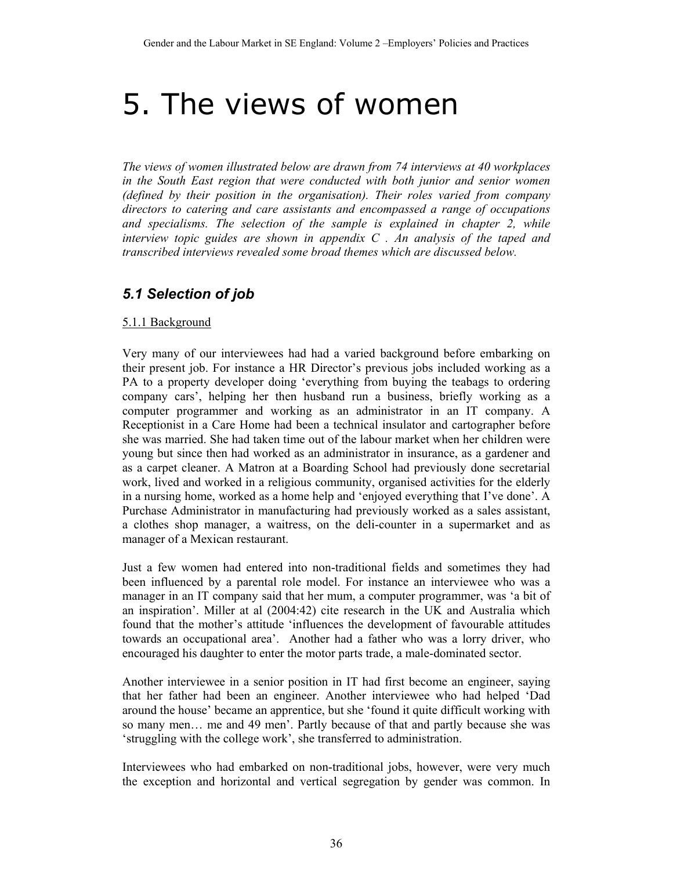# 5. The views of women

*The views of women illustrated below are drawn from 74 interviews at 40 workplaces in the South East region that were conducted with both junior and senior women (defined by their position in the organisation). Their roles varied from company directors to catering and care assistants and encompassed a range of occupations and specialisms. The selection of the sample is explained in chapter 2, while interview topic guides are shown in appendix C . An analysis of the taped and transcribed interviews revealed some broad themes which are discussed below.* 

## *5.1 Selection of job*

#### 5.1.1 Background

Very many of our interviewees had had a varied background before embarking on their present job. For instance a HR Director's previous jobs included working as a PA to a property developer doing 'everything from buying the teabags to ordering company cars', helping her then husband run a business, briefly working as a computer programmer and working as an administrator in an IT company. A Receptionist in a Care Home had been a technical insulator and cartographer before she was married. She had taken time out of the labour market when her children were young but since then had worked as an administrator in insurance, as a gardener and as a carpet cleaner. A Matron at a Boarding School had previously done secretarial work, lived and worked in a religious community, organised activities for the elderly in a nursing home, worked as a home help and 'enjoyed everything that I've done'. A Purchase Administrator in manufacturing had previously worked as a sales assistant, a clothes shop manager, a waitress, on the deli-counter in a supermarket and as manager of a Mexican restaurant.

Just a few women had entered into non-traditional fields and sometimes they had been influenced by a parental role model. For instance an interviewee who was a manager in an IT company said that her mum, a computer programmer, was 'a bit of an inspiration'. Miller at al (2004:42) cite research in the UK and Australia which found that the mother's attitude 'influences the development of favourable attitudes towards an occupational area'. Another had a father who was a lorry driver, who encouraged his daughter to enter the motor parts trade, a male-dominated sector.

Another interviewee in a senior position in IT had first become an engineer, saying that her father had been an engineer. Another interviewee who had helped 'Dad around the house' became an apprentice, but she 'found it quite difficult working with so many men… me and 49 men'. Partly because of that and partly because she was 'struggling with the college work', she transferred to administration.

Interviewees who had embarked on non-traditional jobs, however, were very much the exception and horizontal and vertical segregation by gender was common. In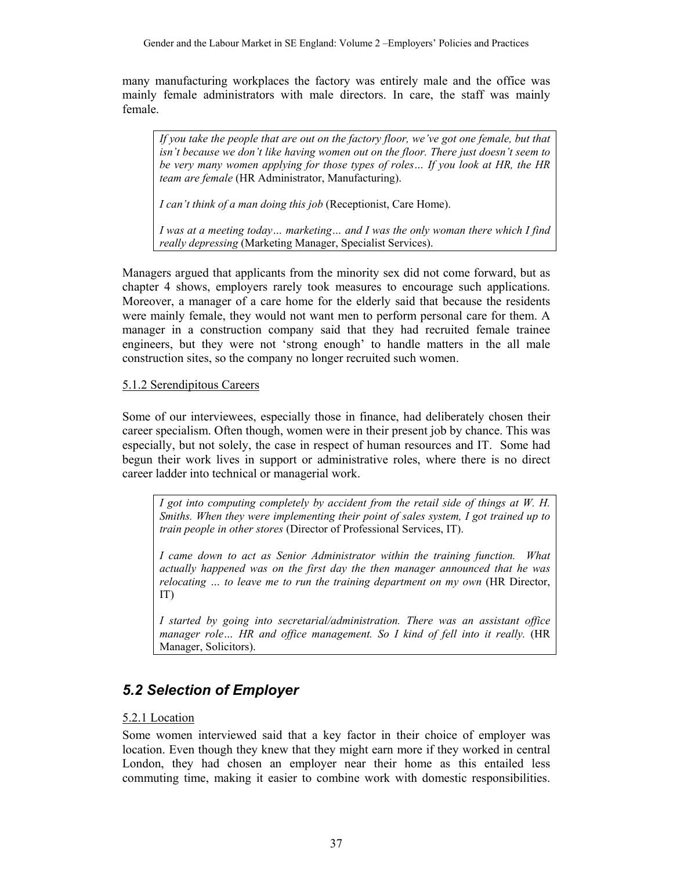many manufacturing workplaces the factory was entirely male and the office was mainly female administrators with male directors. In care, the staff was mainly female.

*If you take the people that are out on the factory floor, we've got one female, but that isn't because we don't like having women out on the floor. There just doesn't seem to be very many women applying for those types of roles… If you look at HR, the HR team are female* (HR Administrator, Manufacturing).

*I can't think of a man doing this job* (Receptionist, Care Home).

*I was at a meeting today… marketing… and I was the only woman there which I find really depressing* (Marketing Manager, Specialist Services).

Managers argued that applicants from the minority sex did not come forward, but as chapter 4 shows, employers rarely took measures to encourage such applications. Moreover, a manager of a care home for the elderly said that because the residents were mainly female, they would not want men to perform personal care for them. A manager in a construction company said that they had recruited female trainee engineers, but they were not 'strong enough' to handle matters in the all male construction sites, so the company no longer recruited such women.

## 5.1.2 Serendipitous Careers

Some of our interviewees, especially those in finance, had deliberately chosen their career specialism. Often though, women were in their present job by chance. This was especially, but not solely, the case in respect of human resources and IT. Some had begun their work lives in support or administrative roles, where there is no direct career ladder into technical or managerial work.

*I got into computing completely by accident from the retail side of things at W. H. Smiths. When they were implementing their point of sales system, I got trained up to train people in other stores* (Director of Professional Services, IT).

*I came down to act as Senior Administrator within the training function. What actually happened was on the first day the then manager announced that he was relocating … to leave me to run the training department on my own* (HR Director, IT)

*I started by going into secretarial/administration. There was an assistant office manager role… HR and office management. So I kind of fell into it really.* (HR Manager, Solicitors).

# *5.2 Selection of Employer*

## 5.2.1 Location

Some women interviewed said that a key factor in their choice of employer was location. Even though they knew that they might earn more if they worked in central London, they had chosen an employer near their home as this entailed less commuting time, making it easier to combine work with domestic responsibilities.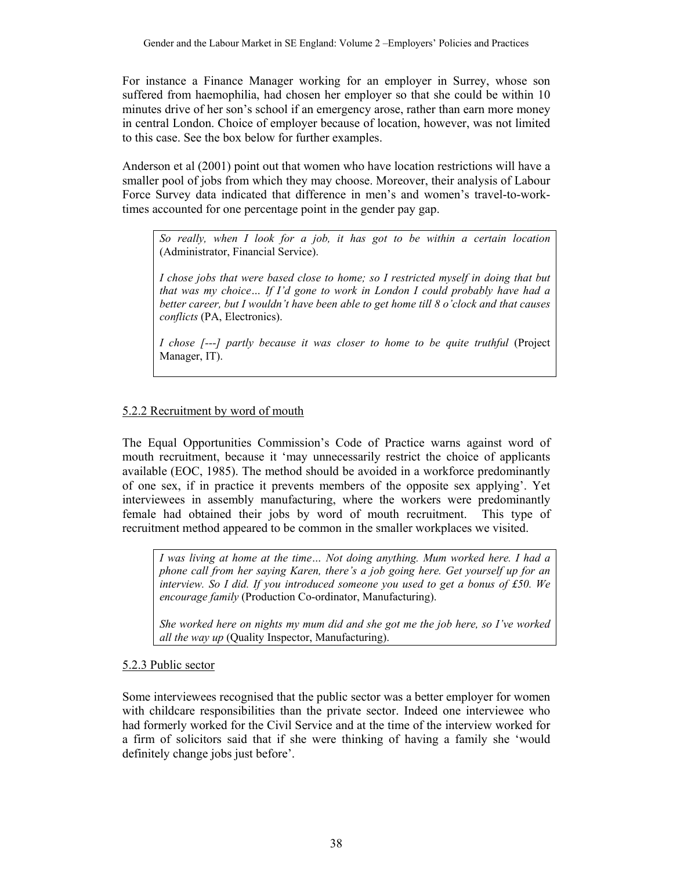For instance a Finance Manager working for an employer in Surrey, whose son suffered from haemophilia, had chosen her employer so that she could be within 10 minutes drive of her son's school if an emergency arose, rather than earn more money in central London. Choice of employer because of location, however, was not limited to this case. See the box below for further examples.

Anderson et al (2001) point out that women who have location restrictions will have a smaller pool of jobs from which they may choose. Moreover, their analysis of Labour Force Survey data indicated that difference in men's and women's travel-to-worktimes accounted for one percentage point in the gender pay gap.

*So really, when I look for a job, it has got to be within a certain location* (Administrator, Financial Service).

*I chose jobs that were based close to home; so I restricted myself in doing that but that was my choice… If I'd gone to work in London I could probably have had a better career, but I wouldn't have been able to get home till 8 o'clock and that causes conflicts* (PA, Electronics).

*I chose [---] partly because it was closer to home to be quite truthful* (Project Manager, IT).

#### 5.2.2 Recruitment by word of mouth

The Equal Opportunities Commission's Code of Practice warns against word of mouth recruitment, because it 'may unnecessarily restrict the choice of applicants available (EOC, 1985). The method should be avoided in a workforce predominantly of one sex, if in practice it prevents members of the opposite sex applying'. Yet interviewees in assembly manufacturing, where the workers were predominantly female had obtained their jobs by word of mouth recruitment. This type of recruitment method appeared to be common in the smaller workplaces we visited.

*I was living at home at the time… Not doing anything. Mum worked here. I had a phone call from her saying Karen, there's a job going here. Get yourself up for an interview. So I did. If you introduced someone you used to get a bonus of £50. We encourage family* (Production Co-ordinator, Manufacturing).

*She worked here on nights my mum did and she got me the job here, so I've worked all the way up* (Quality Inspector, Manufacturing).

#### 5.2.3 Public sector

Some interviewees recognised that the public sector was a better employer for women with childcare responsibilities than the private sector. Indeed one interviewee who had formerly worked for the Civil Service and at the time of the interview worked for a firm of solicitors said that if she were thinking of having a family she 'would definitely change jobs just before'.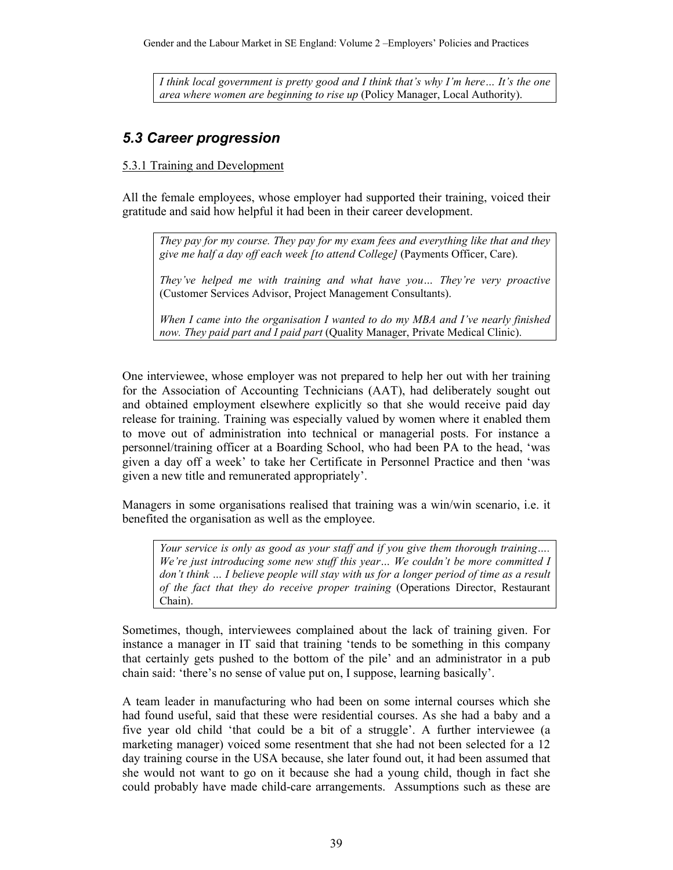Gender and the Labour Market in SE England: Volume 2 –Employers' Policies and Practices

*I think local government is pretty good and I think that's why I'm here… It's the one area where women are beginning to rise up* (Policy Manager, Local Authority).

## *5.3 Career progression*

## 5.3.1 Training and Development

All the female employees, whose employer had supported their training, voiced their gratitude and said how helpful it had been in their career development.

*They pay for my course. They pay for my exam fees and everything like that and they give me half a day off each week [to attend College]* (Payments Officer, Care).

*They've helped me with training and what have you… They're very proactive*  (Customer Services Advisor, Project Management Consultants).

*When I came into the organisation I wanted to do my MBA and I've nearly finished now. They paid part and I paid part* (Quality Manager, Private Medical Clinic).

One interviewee, whose employer was not prepared to help her out with her training for the Association of Accounting Technicians (AAT), had deliberately sought out and obtained employment elsewhere explicitly so that she would receive paid day release for training. Training was especially valued by women where it enabled them to move out of administration into technical or managerial posts. For instance a personnel/training officer at a Boarding School, who had been PA to the head, 'was given a day off a week' to take her Certificate in Personnel Practice and then 'was given a new title and remunerated appropriately'.

Managers in some organisations realised that training was a win/win scenario, i.e. it benefited the organisation as well as the employee.

*Your service is only as good as your staff and if you give them thorough training…. We're just introducing some new stuff this year… We couldn't be more committed I don't think … I believe people will stay with us for a longer period of time as a result of the fact that they do receive proper training* (Operations Director, Restaurant Chain).

Sometimes, though, interviewees complained about the lack of training given. For instance a manager in IT said that training 'tends to be something in this company that certainly gets pushed to the bottom of the pile' and an administrator in a pub chain said: 'there's no sense of value put on, I suppose, learning basically'.

A team leader in manufacturing who had been on some internal courses which she had found useful, said that these were residential courses. As she had a baby and a five year old child 'that could be a bit of a struggle'. A further interviewee (a marketing manager) voiced some resentment that she had not been selected for a 12 day training course in the USA because, she later found out, it had been assumed that she would not want to go on it because she had a young child, though in fact she could probably have made child-care arrangements. Assumptions such as these are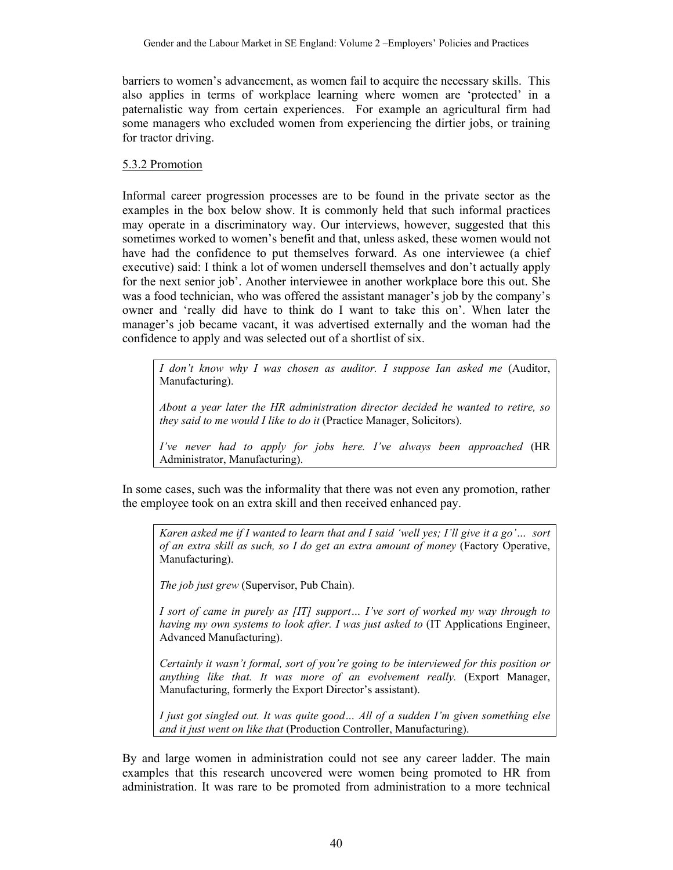barriers to women's advancement, as women fail to acquire the necessary skills. This also applies in terms of workplace learning where women are 'protected' in a paternalistic way from certain experiences. For example an agricultural firm had some managers who excluded women from experiencing the dirtier jobs, or training for tractor driving.

## 5.3.2 Promotion

Informal career progression processes are to be found in the private sector as the examples in the box below show. It is commonly held that such informal practices may operate in a discriminatory way. Our interviews, however, suggested that this sometimes worked to women's benefit and that, unless asked, these women would not have had the confidence to put themselves forward. As one interviewee (a chief executive) said: I think a lot of women undersell themselves and don't actually apply for the next senior job'. Another interviewee in another workplace bore this out. She was a food technician, who was offered the assistant manager's job by the company's owner and 'really did have to think do I want to take this on'. When later the manager's job became vacant, it was advertised externally and the woman had the confidence to apply and was selected out of a shortlist of six.

*I don't know why I was chosen as auditor. I suppose Ian asked me* (Auditor, Manufacturing).

*About a year later the HR administration director decided he wanted to retire, so they said to me would I like to do it* (Practice Manager, Solicitors).

*I've never had to apply for jobs here. I've always been approached* (HR Administrator, Manufacturing).

In some cases, such was the informality that there was not even any promotion, rather the employee took on an extra skill and then received enhanced pay.

*Karen asked me if I wanted to learn that and I said 'well yes; I'll give it a go'… sort of an extra skill as such, so I do get an extra amount of money* (Factory Operative, Manufacturing).

*The job just grew* (Supervisor, Pub Chain).

*I sort of came in purely as [IT] support… I've sort of worked my way through to having my own systems to look after. I was just asked to* (IT Applications Engineer, Advanced Manufacturing).

*Certainly it wasn't formal, sort of you're going to be interviewed for this position or anything like that. It was more of an evolvement really.* (Export Manager, Manufacturing, formerly the Export Director's assistant).

*I just got singled out. It was quite good… All of a sudden I'm given something else and it just went on like that* (Production Controller, Manufacturing).

By and large women in administration could not see any career ladder. The main examples that this research uncovered were women being promoted to HR from administration. It was rare to be promoted from administration to a more technical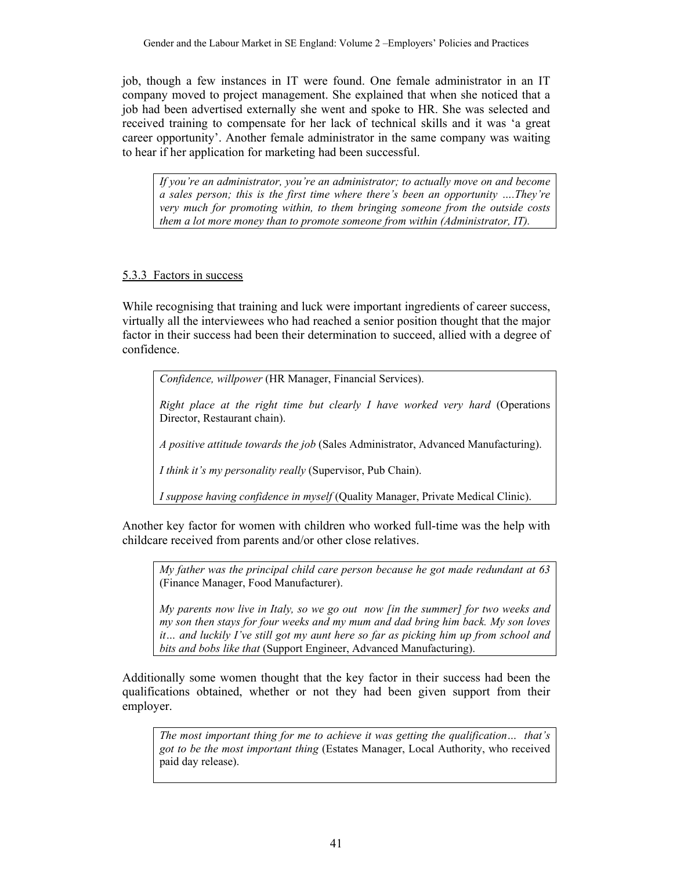job, though a few instances in IT were found. One female administrator in an IT company moved to project management. She explained that when she noticed that a job had been advertised externally she went and spoke to HR. She was selected and received training to compensate for her lack of technical skills and it was 'a great career opportunity'. Another female administrator in the same company was waiting to hear if her application for marketing had been successful.

*If you're an administrator, you're an administrator; to actually move on and become a sales person; this is the first time where there's been an opportunity ….They're very much for promoting within, to them bringing someone from the outside costs them a lot more money than to promote someone from within (Administrator, IT).* 

## 5.3.3 Factors in success

While recognising that training and luck were important ingredients of career success, virtually all the interviewees who had reached a senior position thought that the major factor in their success had been their determination to succeed, allied with a degree of confidence.

*Confidence, willpower* (HR Manager, Financial Services).

*Right place at the right time but clearly I have worked very hard* (Operations Director, Restaurant chain).

*A positive attitude towards the job* (Sales Administrator, Advanced Manufacturing).

*I think it's my personality really* (Supervisor, Pub Chain).

*I suppose having confidence in myself* (Quality Manager, Private Medical Clinic).

Another key factor for women with children who worked full-time was the help with childcare received from parents and/or other close relatives.

*My father was the principal child care person because he got made redundant at 63*  (Finance Manager, Food Manufacturer).

*My parents now live in Italy, so we go out now [in the summer] for two weeks and my son then stays for four weeks and my mum and dad bring him back. My son loves it… and luckily I've still got my aunt here so far as picking him up from school and bits and bobs like that* (Support Engineer, Advanced Manufacturing).

Additionally some women thought that the key factor in their success had been the qualifications obtained, whether or not they had been given support from their employer.

*The most important thing for me to achieve it was getting the qualification… that's got to be the most important thing* (Estates Manager, Local Authority, who received paid day release).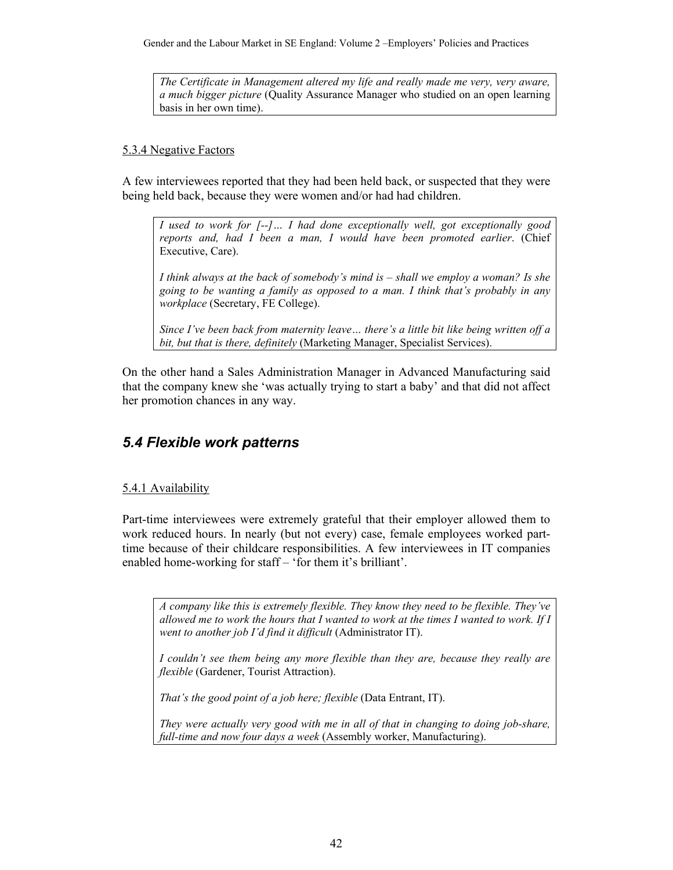Gender and the Labour Market in SE England: Volume 2 –Employers' Policies and Practices

*The Certificate in Management altered my life and really made me very, very aware, a much bigger picture* (Quality Assurance Manager who studied on an open learning basis in her own time).

#### 5.3.4 Negative Factors

A few interviewees reported that they had been held back, or suspected that they were being held back, because they were women and/or had had children.

*I used to work for [--]… I had done exceptionally well, got exceptionally good reports and, had I been a man, I would have been promoted earlier*. (Chief Executive, Care).

*I think always at the back of somebody's mind is – shall we employ a woman? Is she going to be wanting a family as opposed to a man. I think that's probably in any workplace* (Secretary, FE College).

*Since I've been back from maternity leave… there's a little bit like being written off a bit, but that is there, definitely* (Marketing Manager, Specialist Services).

On the other hand a Sales Administration Manager in Advanced Manufacturing said that the company knew she 'was actually trying to start a baby' and that did not affect her promotion chances in any way.

## *5.4 Flexible work patterns*

## 5.4.1 Availability

Part-time interviewees were extremely grateful that their employer allowed them to work reduced hours. In nearly (but not every) case, female employees worked parttime because of their childcare responsibilities. A few interviewees in IT companies enabled home-working for staff – 'for them it's brilliant'.

*A company like this is extremely flexible. They know they need to be flexible. They've allowed me to work the hours that I wanted to work at the times I wanted to work. If I went to another job I'd find it difficult* (Administrator IT).

*I couldn't see them being any more flexible than they are, because they really are flexible* (Gardener, Tourist Attraction).

*That's the good point of a job here; flexible (Data Entrant, IT).* 

*They were actually very good with me in all of that in changing to doing job-share, full-time and now four days a week* (Assembly worker, Manufacturing).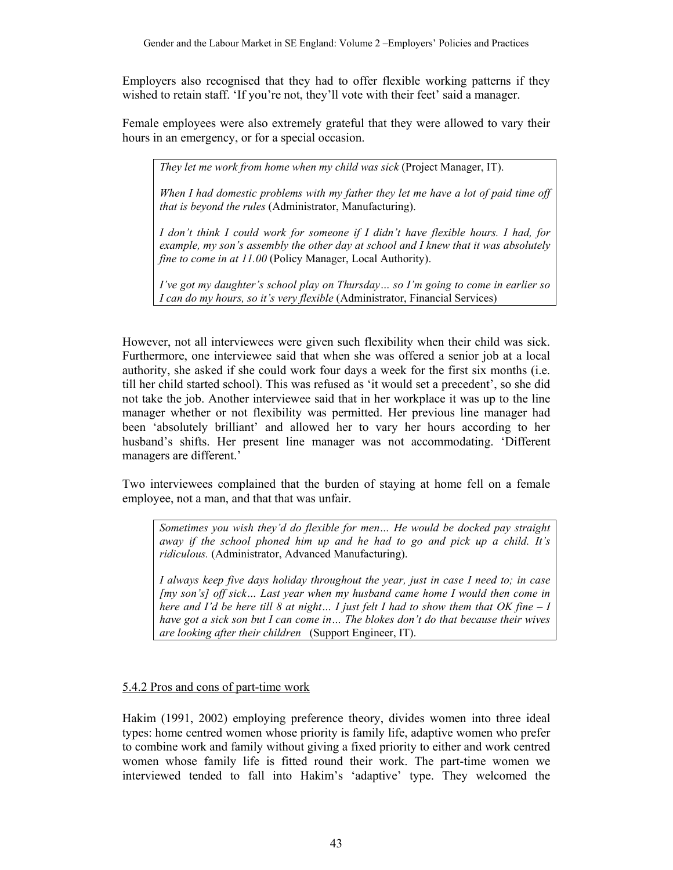Employers also recognised that they had to offer flexible working patterns if they wished to retain staff. 'If you're not, they'll vote with their feet' said a manager.

Female employees were also extremely grateful that they were allowed to vary their hours in an emergency, or for a special occasion.

*They let me work from home when my child was sick* (Project Manager, IT).

*When I had domestic problems with my father they let me have a lot of paid time off that is beyond the rules* (Administrator, Manufacturing).

*I don't think I could work for someone if I didn't have flexible hours. I had, for example, my son's assembly the other day at school and I knew that it was absolutely fine to come in at 11.00* (Policy Manager, Local Authority).

*I've got my daughter's school play on Thursday… so I'm going to come in earlier so I can do my hours, so it's very flexible* (Administrator, Financial Services)

However, not all interviewees were given such flexibility when their child was sick. Furthermore, one interviewee said that when she was offered a senior job at a local authority, she asked if she could work four days a week for the first six months (i.e. till her child started school). This was refused as 'it would set a precedent', so she did not take the job. Another interviewee said that in her workplace it was up to the line manager whether or not flexibility was permitted. Her previous line manager had been 'absolutely brilliant' and allowed her to vary her hours according to her husband's shifts. Her present line manager was not accommodating. 'Different managers are different.'

Two interviewees complained that the burden of staying at home fell on a female employee, not a man, and that that was unfair.

*Sometimes you wish they'd do flexible for men… He would be docked pay straight away if the school phoned him up and he had to go and pick up a child. It's ridiculous.* (Administrator, Advanced Manufacturing).

*I always keep five days holiday throughout the year, just in case I need to; in case [my son's] off sick… Last year when my husband came home I would then come in here and I'd be here till 8 at night… I just felt I had to show them that OK fine – I have got a sick son but I can come in… The blokes don't do that because their wives are looking after their children* (Support Engineer, IT).

## 5.4.2 Pros and cons of part-time work

Hakim (1991, 2002) employing preference theory, divides women into three ideal types: home centred women whose priority is family life, adaptive women who prefer to combine work and family without giving a fixed priority to either and work centred women whose family life is fitted round their work. The part-time women we interviewed tended to fall into Hakim's 'adaptive' type. They welcomed the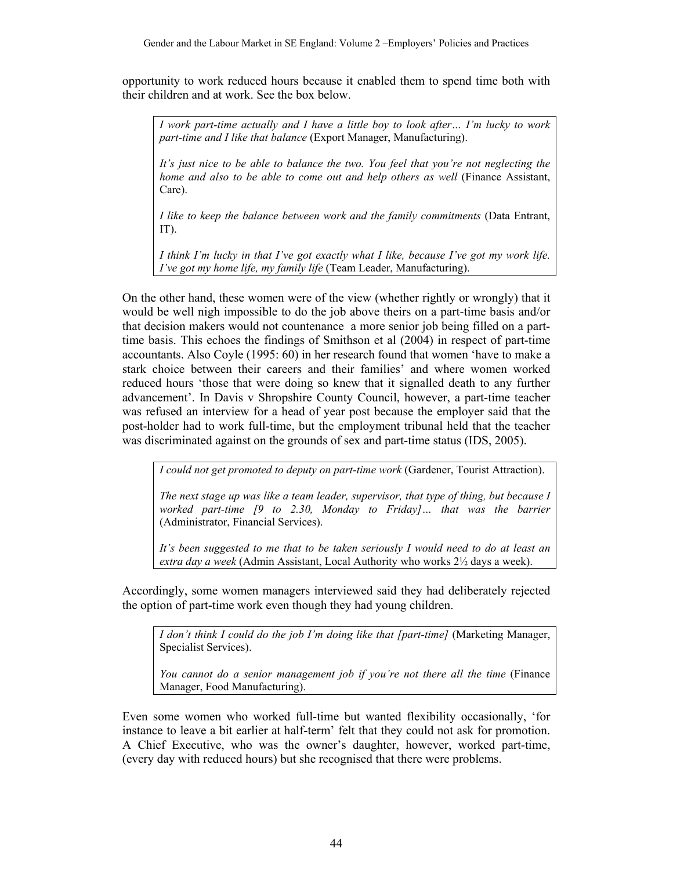opportunity to work reduced hours because it enabled them to spend time both with their children and at work. See the box below.

*I work part-time actually and I have a little boy to look after… I'm lucky to work part-time and I like that balance* (Export Manager, Manufacturing).

*It's just nice to be able to balance the two. You feel that you're not neglecting the home and also to be able to come out and help others as well* (Finance Assistant, Care).

*I like to keep the balance between work and the family commitments* (Data Entrant, IT).

*I think I'm lucky in that I've got exactly what I like, because I've got my work life. I've got my home life, my family life* (Team Leader, Manufacturing).

On the other hand, these women were of the view (whether rightly or wrongly) that it would be well nigh impossible to do the job above theirs on a part-time basis and/or that decision makers would not countenance a more senior job being filled on a parttime basis. This echoes the findings of Smithson et al (2004) in respect of part-time accountants. Also Coyle (1995: 60) in her research found that women 'have to make a stark choice between their careers and their families' and where women worked reduced hours 'those that were doing so knew that it signalled death to any further advancement'. In Davis v Shropshire County Council, however, a part-time teacher was refused an interview for a head of year post because the employer said that the post-holder had to work full-time, but the employment tribunal held that the teacher was discriminated against on the grounds of sex and part-time status (IDS, 2005).

*I could not get promoted to deputy on part-time work* (Gardener, Tourist Attraction).

*The next stage up was like a team leader, supervisor, that type of thing, but because I worked part-time [9 to 2.30, Monday to Friday]… that was the barrier*  (Administrator, Financial Services).

*It's been suggested to me that to be taken seriously I would need to do at least an extra day a week* (Admin Assistant, Local Authority who works 2½ days a week).

Accordingly, some women managers interviewed said they had deliberately rejected the option of part-time work even though they had young children.

*I don't think I could do the job I'm doing like that [part-time]* (Marketing Manager, Specialist Services).

*You cannot do a senior management job if you're not there all the time* (Finance Manager, Food Manufacturing).

Even some women who worked full-time but wanted flexibility occasionally, 'for instance to leave a bit earlier at half-term' felt that they could not ask for promotion. A Chief Executive, who was the owner's daughter, however, worked part-time, (every day with reduced hours) but she recognised that there were problems.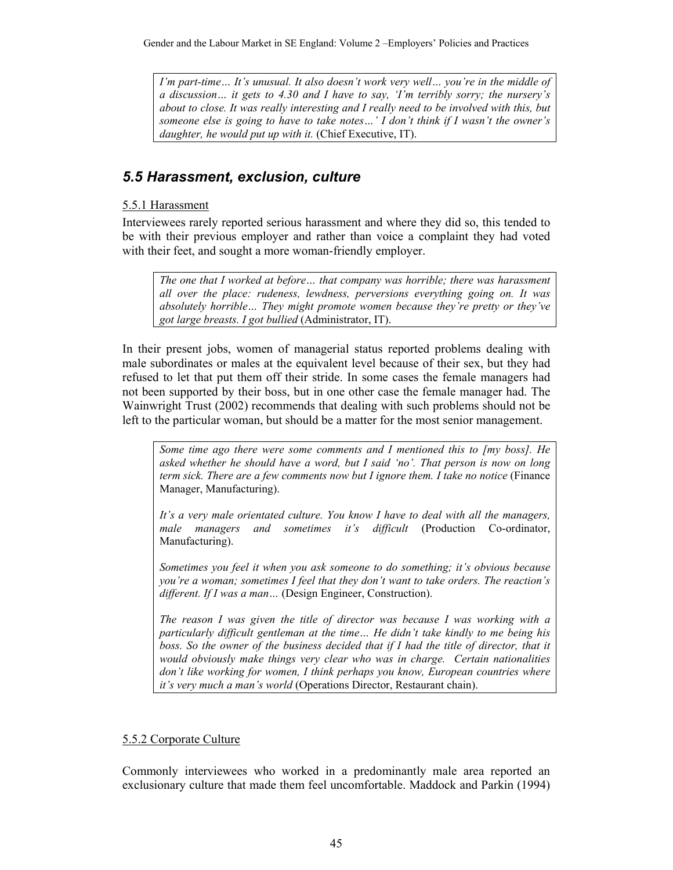*I'm part-time… It's unusual. It also doesn't work very well… you're in the middle of a discussion… it gets to 4.30 and I have to say, 'I'm terribly sorry; the nursery's about to close. It was really interesting and I really need to be involved with this, but someone else is going to have to take notes…' I don't think if I wasn't the owner's daughter, he would put up with it.* (Chief Executive, IT).

# *5.5 Harassment, exclusion, culture*

## 5.5.1 Harassment

Interviewees rarely reported serious harassment and where they did so, this tended to be with their previous employer and rather than voice a complaint they had voted with their feet, and sought a more woman-friendly employer.

*The one that I worked at before… that company was horrible; there was harassment all over the place: rudeness, lewdness, perversions everything going on. It was absolutely horrible… They might promote women because they're pretty or they've got large breasts. I got bullied* (Administrator, IT).

In their present jobs, women of managerial status reported problems dealing with male subordinates or males at the equivalent level because of their sex, but they had refused to let that put them off their stride. In some cases the female managers had not been supported by their boss, but in one other case the female manager had. The Wainwright Trust (2002) recommends that dealing with such problems should not be left to the particular woman, but should be a matter for the most senior management.

*Some time ago there were some comments and I mentioned this to [my boss]. He asked whether he should have a word, but I said 'no'. That person is now on long term sick. There are a few comments now but I ignore them. I take no notice* (Finance Manager, Manufacturing).

*It's a very male orientated culture. You know I have to deal with all the managers, male managers and sometimes it's difficult* (Production Co-ordinator, Manufacturing).

*Sometimes you feel it when you ask someone to do something; it's obvious because you're a woman; sometimes I feel that they don't want to take orders. The reaction's different. If I was a man…* (Design Engineer, Construction).

*The reason I was given the title of director was because I was working with a particularly difficult gentleman at the time… He didn't take kindly to me being his*  boss. So the owner of the business decided that if I had the title of director, that it *would obviously make things very clear who was in charge. Certain nationalities don't like working for women, I think perhaps you know, European countries where it's very much a man's world* (Operations Director, Restaurant chain).

## 5.5.2 Corporate Culture

Commonly interviewees who worked in a predominantly male area reported an exclusionary culture that made them feel uncomfortable. Maddock and Parkin (1994)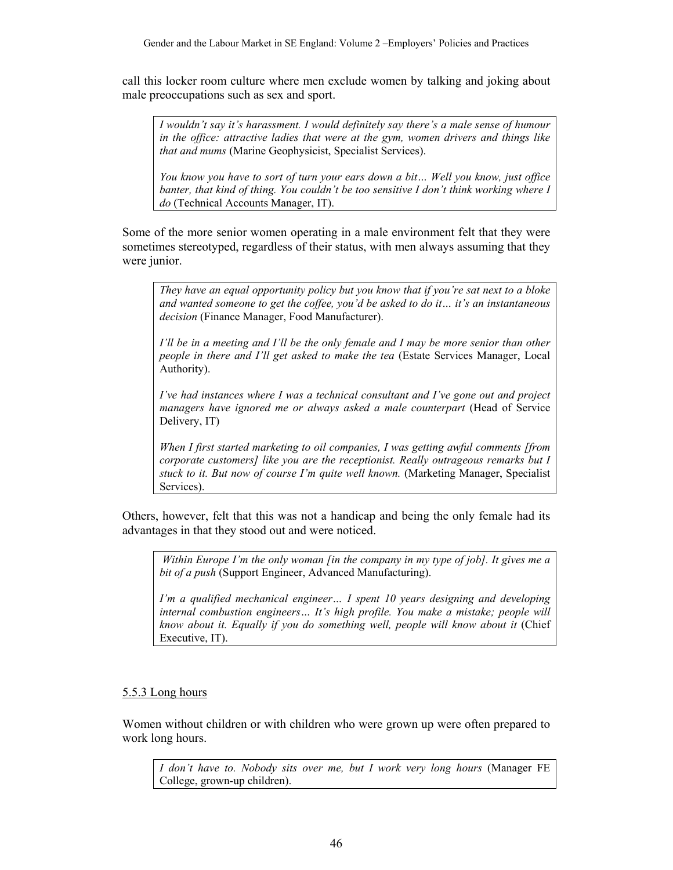call this locker room culture where men exclude women by talking and joking about male preoccupations such as sex and sport.

*I wouldn't say it's harassment. I would definitely say there's a male sense of humour in the office: attractive ladies that were at the gym, women drivers and things like that and mums* (Marine Geophysicist, Specialist Services).

*You know you have to sort of turn your ears down a bit… Well you know, just office banter, that kind of thing. You couldn't be too sensitive I don't think working where I do* (Technical Accounts Manager, IT).

Some of the more senior women operating in a male environment felt that they were sometimes stereotyped, regardless of their status, with men always assuming that they were junior.

*They have an equal opportunity policy but you know that if you're sat next to a bloke and wanted someone to get the coffee, you'd be asked to do it… it's an instantaneous decision* (Finance Manager, Food Manufacturer).

*I'll be in a meeting and I'll be the only female and I may be more senior than other people in there and I'll get asked to make the tea* (Estate Services Manager, Local Authority).

*I've had instances where I was a technical consultant and I've gone out and project managers have ignored me or always asked a male counterpart* (Head of Service Delivery, IT)

*When I first started marketing to oil companies, I was getting awful comments [from corporate customers] like you are the receptionist. Really outrageous remarks but I stuck to it. But now of course I'm quite well known.* (Marketing Manager, Specialist Services).

Others, however, felt that this was not a handicap and being the only female had its advantages in that they stood out and were noticed.

*Within Europe I'm the only woman [in the company in my type of job]. It gives me a bit of a push* (Support Engineer, Advanced Manufacturing).

*I'm a qualified mechanical engineer… I spent 10 years designing and developing internal combustion engineers… It's high profile. You make a mistake; people will know about it. Equally if you do something well, people will know about it* (Chief Executive, IT).

#### 5.5.3 Long hours

Women without children or with children who were grown up were often prepared to work long hours.

*I don't have to. Nobody sits over me, but I work very long hours* (Manager FE College, grown-up children).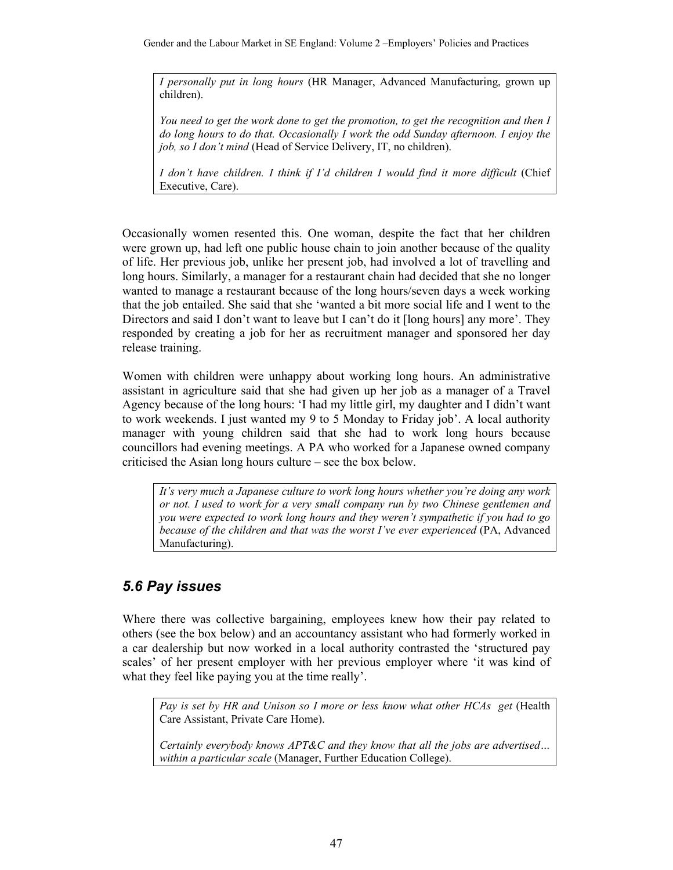Gender and the Labour Market in SE England: Volume 2 –Employers' Policies and Practices

*I personally put in long hours* (HR Manager, Advanced Manufacturing, grown up children).

*You need to get the work done to get the promotion, to get the recognition and then I do long hours to do that. Occasionally I work the odd Sunday afternoon. I enjoy the job, so I don't mind* (Head of Service Delivery, IT, no children).

*I don't have children. I think if I'd children I would find it more difficult* (Chief Executive, Care).

Occasionally women resented this. One woman, despite the fact that her children were grown up, had left one public house chain to join another because of the quality of life. Her previous job, unlike her present job, had involved a lot of travelling and long hours. Similarly, a manager for a restaurant chain had decided that she no longer wanted to manage a restaurant because of the long hours/seven days a week working that the job entailed. She said that she 'wanted a bit more social life and I went to the Directors and said I don't want to leave but I can't do it [long hours] any more'. They responded by creating a job for her as recruitment manager and sponsored her day release training.

Women with children were unhappy about working long hours. An administrative assistant in agriculture said that she had given up her job as a manager of a Travel Agency because of the long hours: 'I had my little girl, my daughter and I didn't want to work weekends. I just wanted my 9 to 5 Monday to Friday job'. A local authority manager with young children said that she had to work long hours because councillors had evening meetings. A PA who worked for a Japanese owned company criticised the Asian long hours culture – see the box below.

*It's very much a Japanese culture to work long hours whether you're doing any work or not. I used to work for a very small company run by two Chinese gentlemen and you were expected to work long hours and they weren't sympathetic if you had to go because of the children and that was the worst I've ever experienced* (PA, Advanced Manufacturing).

# *5.6 Pay issues*

Where there was collective bargaining, employees knew how their pay related to others (see the box below) and an accountancy assistant who had formerly worked in a car dealership but now worked in a local authority contrasted the 'structured pay scales' of her present employer with her previous employer where 'it was kind of what they feel like paying you at the time really'.

*Pay is set by HR and Unison so I more or less know what other HCAs get* (Health Care Assistant, Private Care Home).

*Certainly everybody knows APT&C and they know that all the jobs are advertised… within a particular scale* (Manager, Further Education College).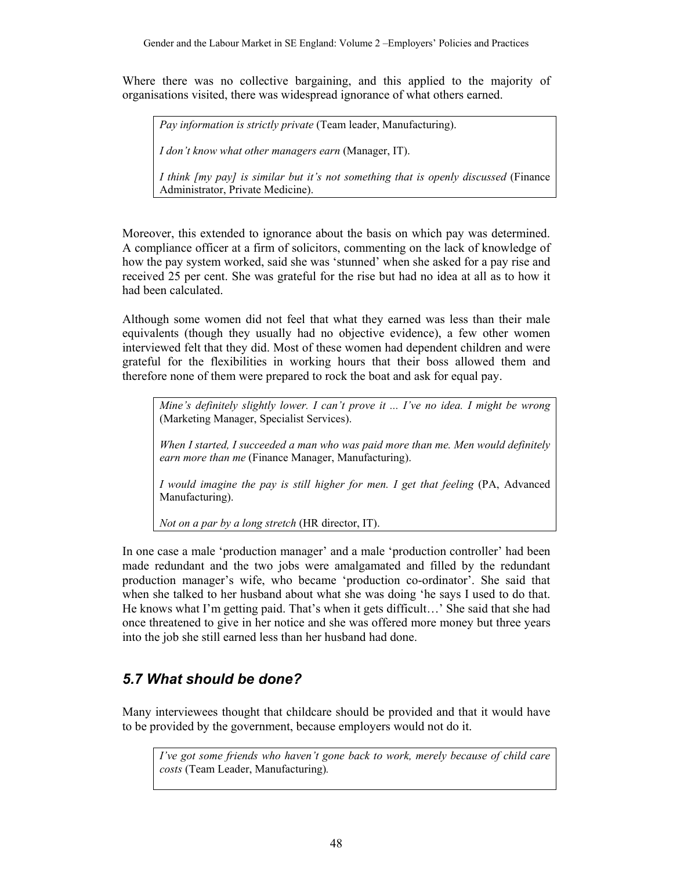Where there was no collective bargaining, and this applied to the majority of organisations visited, there was widespread ignorance of what others earned.

*Pay information is strictly private* (Team leader, Manufacturing).

*I don't know what other managers earn* (Manager, IT).

*I think [my pay] is similar but it's not something that is openly discussed* (Finance Administrator, Private Medicine).

Moreover, this extended to ignorance about the basis on which pay was determined. A compliance officer at a firm of solicitors, commenting on the lack of knowledge of how the pay system worked, said she was 'stunned' when she asked for a pay rise and received 25 per cent. She was grateful for the rise but had no idea at all as to how it had been calculated.

Although some women did not feel that what they earned was less than their male equivalents (though they usually had no objective evidence), a few other women interviewed felt that they did. Most of these women had dependent children and were grateful for the flexibilities in working hours that their boss allowed them and therefore none of them were prepared to rock the boat and ask for equal pay.

*Mine's definitely slightly lower. I can't prove it ... I've no idea. I might be wrong* (Marketing Manager, Specialist Services).

*When I started, I succeeded a man who was paid more than me. Men would definitely earn more than me* (Finance Manager, Manufacturing).

*I would imagine the pay is still higher for men. I get that feeling* (PA, Advanced Manufacturing).

*Not on a par by a long stretch* (HR director, IT).

In one case a male 'production manager' and a male 'production controller' had been made redundant and the two jobs were amalgamated and filled by the redundant production manager's wife, who became 'production co-ordinator'. She said that when she talked to her husband about what she was doing 'he says I used to do that. He knows what I'm getting paid. That's when it gets difficult…' She said that she had once threatened to give in her notice and she was offered more money but three years into the job she still earned less than her husband had done.

# *5.7 What should be done?*

Many interviewees thought that childcare should be provided and that it would have to be provided by the government, because employers would not do it.

*I've got some friends who haven't gone back to work, merely because of child care costs* (Team Leader, Manufacturing)*.*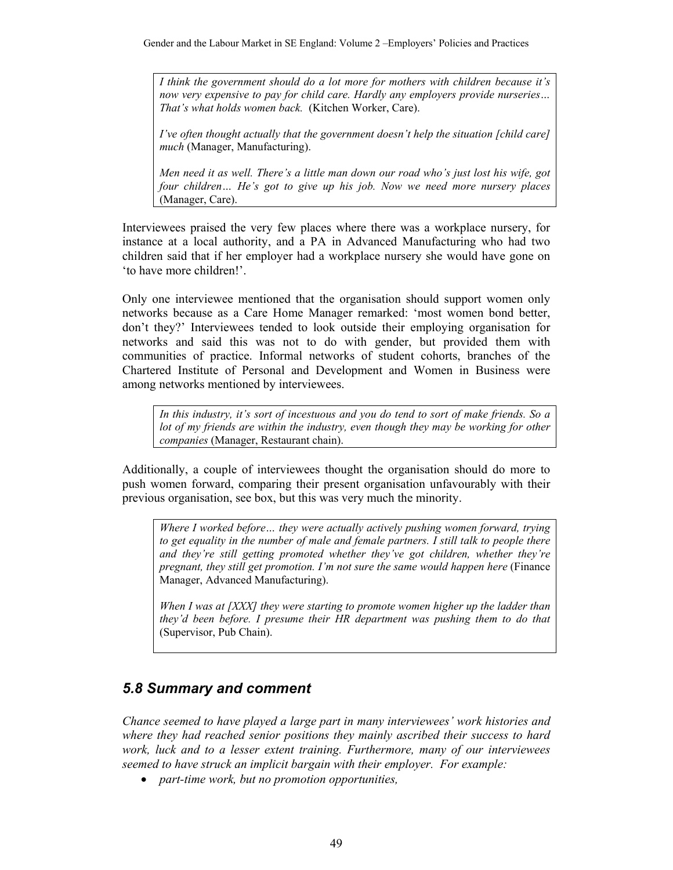*I think the government should do a lot more for mothers with children because it's now very expensive to pay for child care. Hardly any employers provide nurseries… That's what holds women back.* (Kitchen Worker, Care).

*I've often thought actually that the government doesn't help the situation [child care] much* (Manager, Manufacturing).

*Men need it as well. There's a little man down our road who's just lost his wife, got*  four children... He's got to give up his job. Now we need more nursery places (Manager, Care).

Interviewees praised the very few places where there was a workplace nursery, for instance at a local authority, and a PA in Advanced Manufacturing who had two children said that if her employer had a workplace nursery she would have gone on 'to have more children!'.

Only one interviewee mentioned that the organisation should support women only networks because as a Care Home Manager remarked: 'most women bond better, don't they?' Interviewees tended to look outside their employing organisation for networks and said this was not to do with gender, but provided them with communities of practice. Informal networks of student cohorts, branches of the Chartered Institute of Personal and Development and Women in Business were among networks mentioned by interviewees.

*In this industry, it's sort of incestuous and you do tend to sort of make friends. So a lot of my friends are within the industry, even though they may be working for other companies* (Manager, Restaurant chain).

Additionally, a couple of interviewees thought the organisation should do more to push women forward, comparing their present organisation unfavourably with their previous organisation, see box, but this was very much the minority.

*Where I worked before… they were actually actively pushing women forward, trying to get equality in the number of male and female partners. I still talk to people there and they're still getting promoted whether they've got children, whether they're pregnant, they still get promotion. I'm not sure the same would happen here* (Finance Manager, Advanced Manufacturing).

*When I was at [XXX] they were starting to promote women higher up the ladder than they'd been before. I presume their HR department was pushing them to do that*  (Supervisor, Pub Chain).

## *5.8 Summary and comment*

*Chance seemed to have played a large part in many interviewees' work histories and where they had reached senior positions they mainly ascribed their success to hard work, luck and to a lesser extent training. Furthermore, many of our interviewees seemed to have struck an implicit bargain with their employer. For example:* 

• *part-time work, but no promotion opportunities,*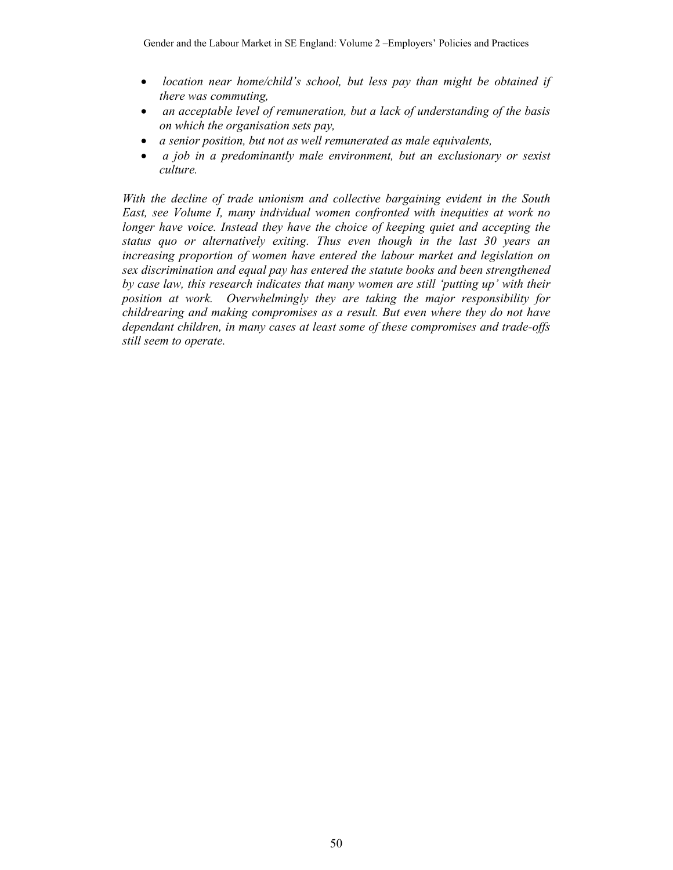- • *location near home/child's school, but less pay than might be obtained if there was commuting,*
- • *an acceptable level of remuneration, but a lack of understanding of the basis on which the organisation sets pay,*
- *a senior position, but not as well remunerated as male equivalents,*
- • *a job in a predominantly male environment, but an exclusionary or sexist culture.*

*With the decline of trade unionism and collective bargaining evident in the South East, see Volume I, many individual women confronted with inequities at work no longer have voice. Instead they have the choice of keeping quiet and accepting the status quo or alternatively exiting. Thus even though in the last 30 years an increasing proportion of women have entered the labour market and legislation on sex discrimination and equal pay has entered the statute books and been strengthened by case law, this research indicates that many women are still 'putting up' with their position at work. Overwhelmingly they are taking the major responsibility for childrearing and making compromises as a result. But even where they do not have dependant children, in many cases at least some of these compromises and trade-offs still seem to operate.*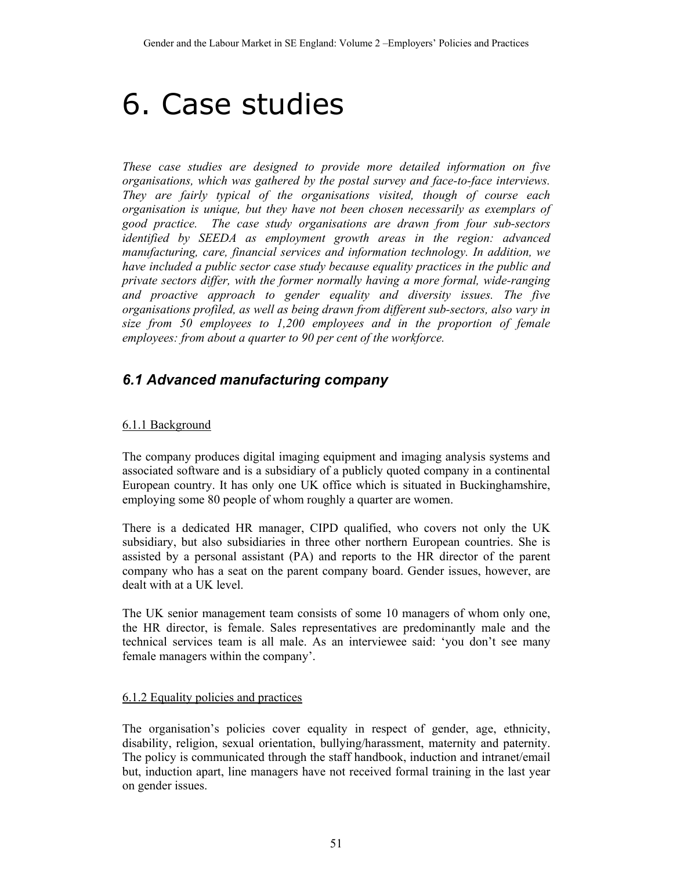# 6. Case studies

*These case studies are designed to provide more detailed information on five organisations, which was gathered by the postal survey and face-to-face interviews. They are fairly typical of the organisations visited, though of course each organisation is unique, but they have not been chosen necessarily as exemplars of good practice. The case study organisations are drawn from four sub-sectors identified by SEEDA as employment growth areas in the region: advanced manufacturing, care, financial services and information technology. In addition, we have included a public sector case study because equality practices in the public and private sectors differ, with the former normally having a more formal, wide-ranging and proactive approach to gender equality and diversity issues. The five organisations profiled, as well as being drawn from different sub-sectors, also vary in size from 50 employees to 1,200 employees and in the proportion of female employees: from about a quarter to 90 per cent of the workforce.* 

# *6.1 Advanced manufacturing company*

## 6.1.1 Background

The company produces digital imaging equipment and imaging analysis systems and associated software and is a subsidiary of a publicly quoted company in a continental European country. It has only one UK office which is situated in Buckinghamshire, employing some 80 people of whom roughly a quarter are women.

There is a dedicated HR manager, CIPD qualified, who covers not only the UK subsidiary, but also subsidiaries in three other northern European countries. She is assisted by a personal assistant (PA) and reports to the HR director of the parent company who has a seat on the parent company board. Gender issues, however, are dealt with at a UK level.

The UK senior management team consists of some 10 managers of whom only one, the HR director, is female. Sales representatives are predominantly male and the technical services team is all male. As an interviewee said: 'you don't see many female managers within the company'.

## 6.1.2 Equality policies and practices

The organisation's policies cover equality in respect of gender, age, ethnicity, disability, religion, sexual orientation, bullying/harassment, maternity and paternity. The policy is communicated through the staff handbook, induction and intranet/email but, induction apart, line managers have not received formal training in the last year on gender issues.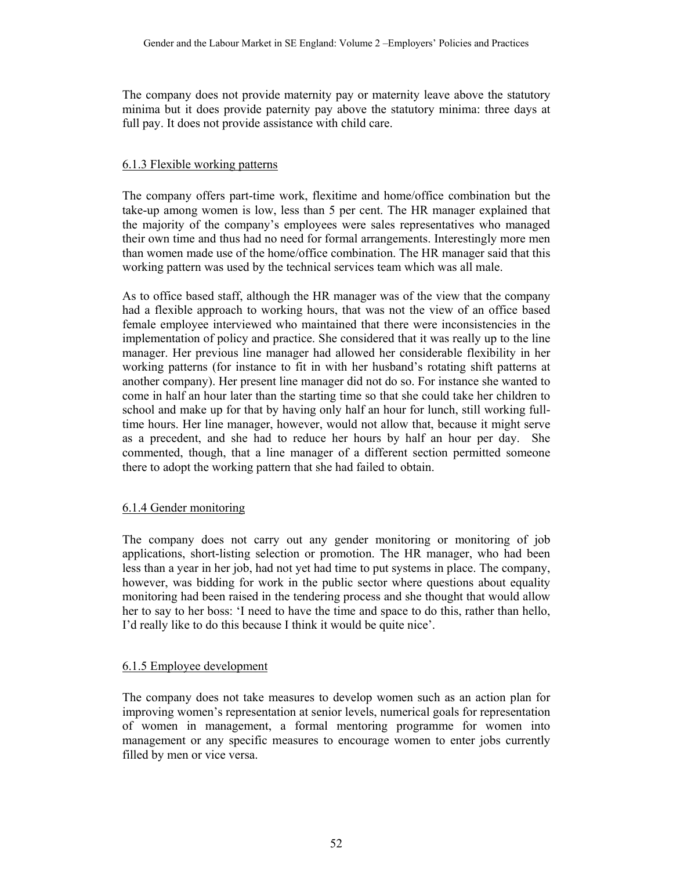The company does not provide maternity pay or maternity leave above the statutory minima but it does provide paternity pay above the statutory minima: three days at full pay. It does not provide assistance with child care.

#### 6.1.3 Flexible working patterns

The company offers part-time work, flexitime and home/office combination but the take-up among women is low, less than 5 per cent. The HR manager explained that the majority of the company's employees were sales representatives who managed their own time and thus had no need for formal arrangements. Interestingly more men than women made use of the home/office combination. The HR manager said that this working pattern was used by the technical services team which was all male.

As to office based staff, although the HR manager was of the view that the company had a flexible approach to working hours, that was not the view of an office based female employee interviewed who maintained that there were inconsistencies in the implementation of policy and practice. She considered that it was really up to the line manager. Her previous line manager had allowed her considerable flexibility in her working patterns (for instance to fit in with her husband's rotating shift patterns at another company). Her present line manager did not do so. For instance she wanted to come in half an hour later than the starting time so that she could take her children to school and make up for that by having only half an hour for lunch, still working fulltime hours. Her line manager, however, would not allow that, because it might serve as a precedent, and she had to reduce her hours by half an hour per day. She commented, though, that a line manager of a different section permitted someone there to adopt the working pattern that she had failed to obtain.

## 6.1.4 Gender monitoring

The company does not carry out any gender monitoring or monitoring of job applications, short-listing selection or promotion. The HR manager, who had been less than a year in her job, had not yet had time to put systems in place. The company, however, was bidding for work in the public sector where questions about equality monitoring had been raised in the tendering process and she thought that would allow her to say to her boss: 'I need to have the time and space to do this, rather than hello, I'd really like to do this because I think it would be quite nice'.

#### 6.1.5 Employee development

The company does not take measures to develop women such as an action plan for improving women's representation at senior levels, numerical goals for representation of women in management, a formal mentoring programme for women into management or any specific measures to encourage women to enter jobs currently filled by men or vice versa.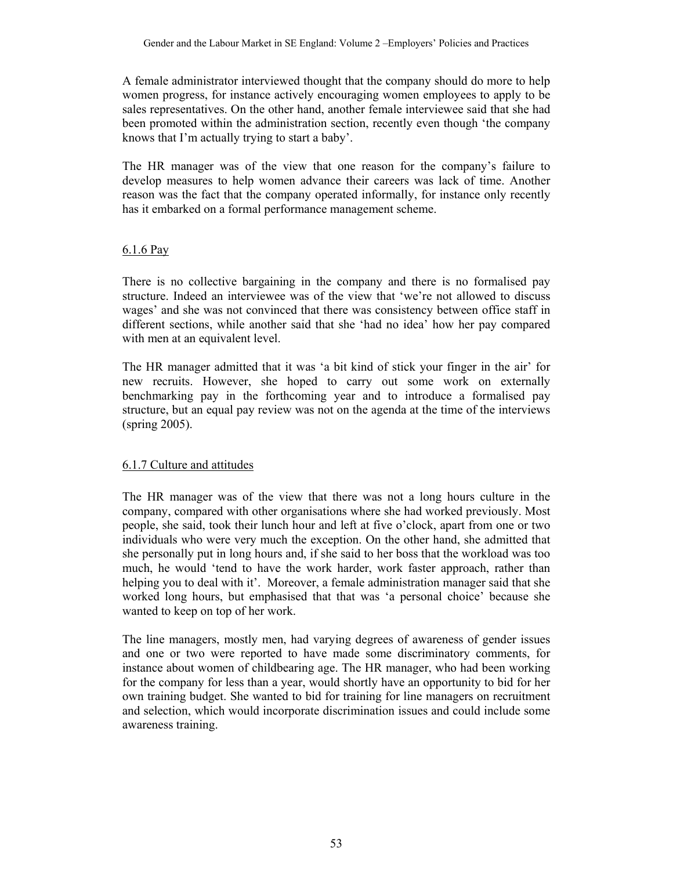A female administrator interviewed thought that the company should do more to help women progress, for instance actively encouraging women employees to apply to be sales representatives. On the other hand, another female interviewee said that she had been promoted within the administration section, recently even though 'the company knows that I'm actually trying to start a baby'.

The HR manager was of the view that one reason for the company's failure to develop measures to help women advance their careers was lack of time. Another reason was the fact that the company operated informally, for instance only recently has it embarked on a formal performance management scheme.

#### 6.1.6 Pay

There is no collective bargaining in the company and there is no formalised pay structure. Indeed an interviewee was of the view that 'we're not allowed to discuss wages' and she was not convinced that there was consistency between office staff in different sections, while another said that she 'had no idea' how her pay compared with men at an equivalent level.

The HR manager admitted that it was 'a bit kind of stick your finger in the air' for new recruits. However, she hoped to carry out some work on externally benchmarking pay in the forthcoming year and to introduce a formalised pay structure, but an equal pay review was not on the agenda at the time of the interviews (spring 2005).

## 6.1.7 Culture and attitudes

The HR manager was of the view that there was not a long hours culture in the company, compared with other organisations where she had worked previously. Most people, she said, took their lunch hour and left at five o'clock, apart from one or two individuals who were very much the exception. On the other hand, she admitted that she personally put in long hours and, if she said to her boss that the workload was too much, he would 'tend to have the work harder, work faster approach, rather than helping you to deal with it'. Moreover, a female administration manager said that she worked long hours, but emphasised that that was 'a personal choice' because she wanted to keep on top of her work.

The line managers, mostly men, had varying degrees of awareness of gender issues and one or two were reported to have made some discriminatory comments, for instance about women of childbearing age. The HR manager, who had been working for the company for less than a year, would shortly have an opportunity to bid for her own training budget. She wanted to bid for training for line managers on recruitment and selection, which would incorporate discrimination issues and could include some awareness training.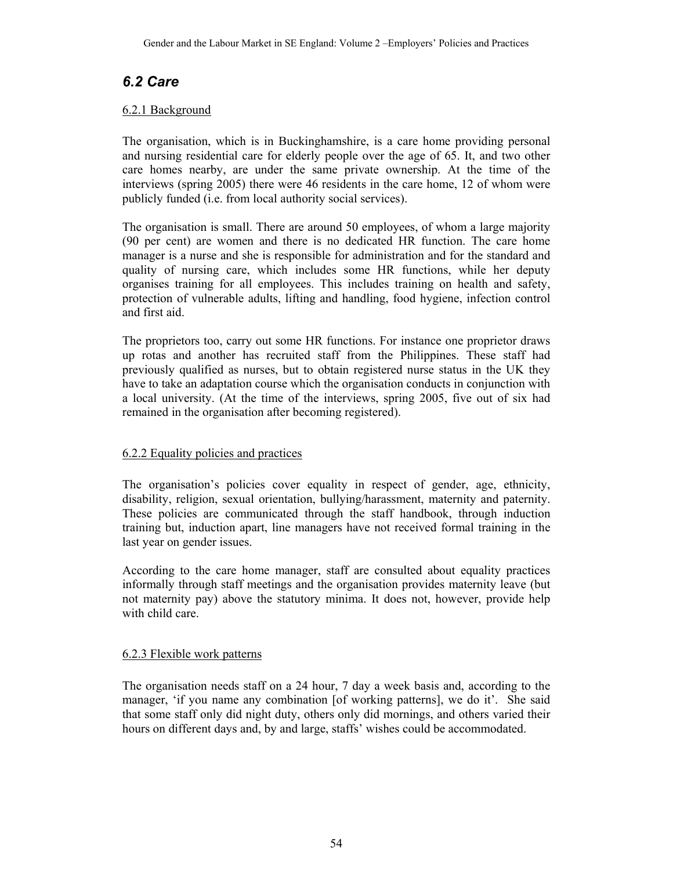## *6.2 Care*

#### 6.2.1 Background

The organisation, which is in Buckinghamshire, is a care home providing personal and nursing residential care for elderly people over the age of 65. It, and two other care homes nearby, are under the same private ownership. At the time of the interviews (spring 2005) there were 46 residents in the care home, 12 of whom were publicly funded (i.e. from local authority social services).

The organisation is small. There are around 50 employees, of whom a large majority (90 per cent) are women and there is no dedicated HR function. The care home manager is a nurse and she is responsible for administration and for the standard and quality of nursing care, which includes some HR functions, while her deputy organises training for all employees. This includes training on health and safety, protection of vulnerable adults, lifting and handling, food hygiene, infection control and first aid.

The proprietors too, carry out some HR functions. For instance one proprietor draws up rotas and another has recruited staff from the Philippines. These staff had previously qualified as nurses, but to obtain registered nurse status in the UK they have to take an adaptation course which the organisation conducts in conjunction with a local university. (At the time of the interviews, spring 2005, five out of six had remained in the organisation after becoming registered).

## 6.2.2 Equality policies and practices

The organisation's policies cover equality in respect of gender, age, ethnicity, disability, religion, sexual orientation, bullying/harassment, maternity and paternity. These policies are communicated through the staff handbook, through induction training but, induction apart, line managers have not received formal training in the last year on gender issues.

According to the care home manager, staff are consulted about equality practices informally through staff meetings and the organisation provides maternity leave (but not maternity pay) above the statutory minima. It does not, however, provide help with child care.

#### 6.2.3 Flexible work patterns

The organisation needs staff on a 24 hour, 7 day a week basis and, according to the manager, 'if you name any combination [of working patterns], we do it'. She said that some staff only did night duty, others only did mornings, and others varied their hours on different days and, by and large, staffs' wishes could be accommodated.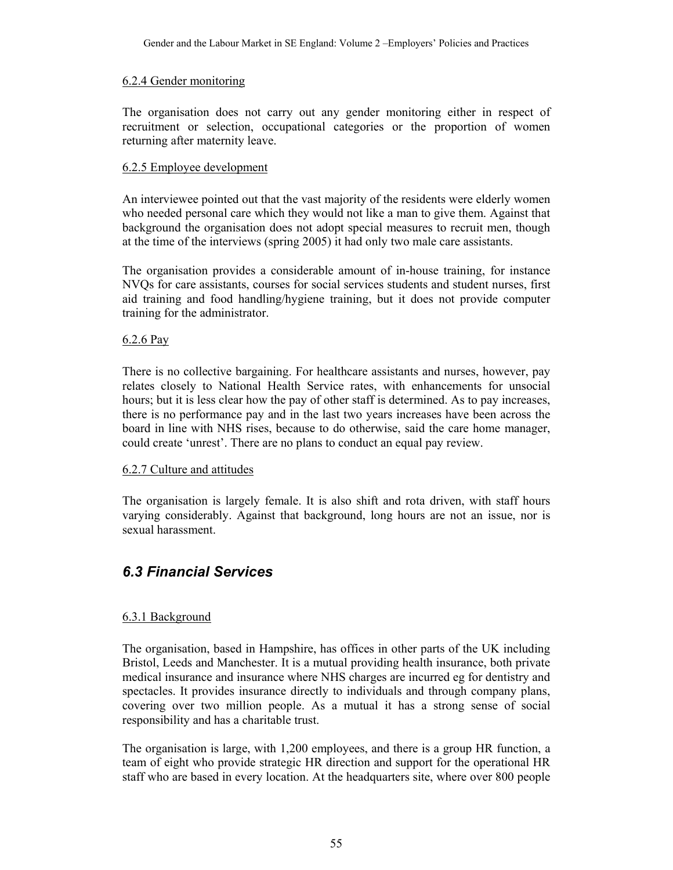#### 6.2.4 Gender monitoring

The organisation does not carry out any gender monitoring either in respect of recruitment or selection, occupational categories or the proportion of women returning after maternity leave.

## 6.2.5 Employee development

An interviewee pointed out that the vast majority of the residents were elderly women who needed personal care which they would not like a man to give them. Against that background the organisation does not adopt special measures to recruit men, though at the time of the interviews (spring 2005) it had only two male care assistants.

The organisation provides a considerable amount of in-house training, for instance NVQs for care assistants, courses for social services students and student nurses, first aid training and food handling/hygiene training, but it does not provide computer training for the administrator.

#### 6.2.6 Pay

There is no collective bargaining. For healthcare assistants and nurses, however, pay relates closely to National Health Service rates, with enhancements for unsocial hours; but it is less clear how the pay of other staff is determined. As to pay increases, there is no performance pay and in the last two years increases have been across the board in line with NHS rises, because to do otherwise, said the care home manager, could create 'unrest'. There are no plans to conduct an equal pay review.

## 6.2.7 Culture and attitudes

The organisation is largely female. It is also shift and rota driven, with staff hours varying considerably. Against that background, long hours are not an issue, nor is sexual harassment.

# *6.3 Financial Services*

## 6.3.1 Background

The organisation, based in Hampshire, has offices in other parts of the UK including Bristol, Leeds and Manchester. It is a mutual providing health insurance, both private medical insurance and insurance where NHS charges are incurred eg for dentistry and spectacles. It provides insurance directly to individuals and through company plans, covering over two million people. As a mutual it has a strong sense of social responsibility and has a charitable trust.

The organisation is large, with 1,200 employees, and there is a group HR function, a team of eight who provide strategic HR direction and support for the operational HR staff who are based in every location. At the headquarters site, where over 800 people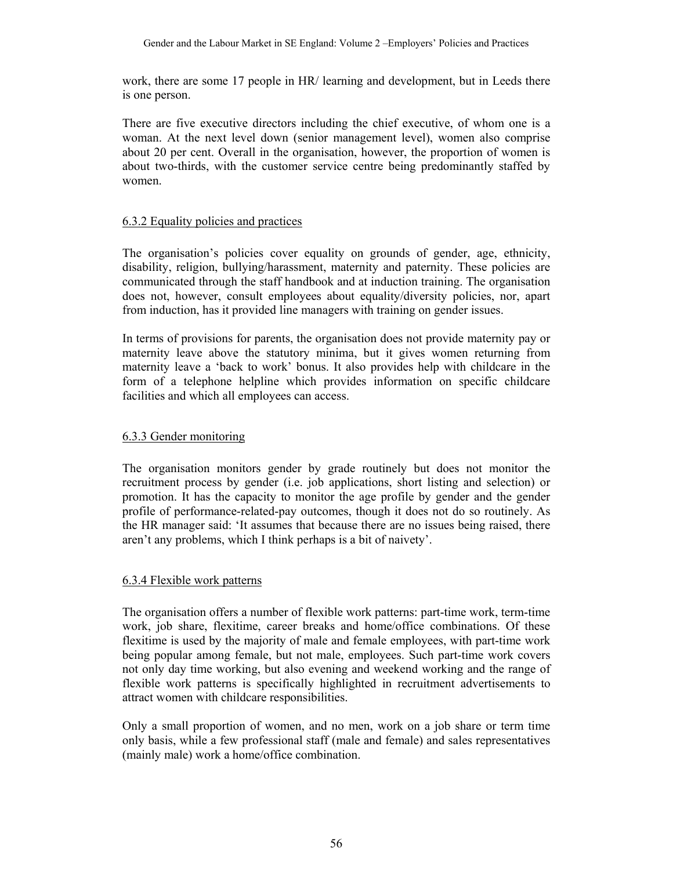work, there are some 17 people in HR/ learning and development, but in Leeds there is one person.

There are five executive directors including the chief executive, of whom one is a woman. At the next level down (senior management level), women also comprise about 20 per cent. Overall in the organisation, however, the proportion of women is about two-thirds, with the customer service centre being predominantly staffed by women.

#### 6.3.2 Equality policies and practices

The organisation's policies cover equality on grounds of gender, age, ethnicity, disability, religion, bullying/harassment, maternity and paternity. These policies are communicated through the staff handbook and at induction training. The organisation does not, however, consult employees about equality/diversity policies, nor, apart from induction, has it provided line managers with training on gender issues.

In terms of provisions for parents, the organisation does not provide maternity pay or maternity leave above the statutory minima, but it gives women returning from maternity leave a 'back to work' bonus. It also provides help with childcare in the form of a telephone helpline which provides information on specific childcare facilities and which all employees can access.

#### 6.3.3 Gender monitoring

The organisation monitors gender by grade routinely but does not monitor the recruitment process by gender (i.e. job applications, short listing and selection) or promotion. It has the capacity to monitor the age profile by gender and the gender profile of performance-related-pay outcomes, though it does not do so routinely. As the HR manager said: 'It assumes that because there are no issues being raised, there aren't any problems, which I think perhaps is a bit of naivety'.

#### 6.3.4 Flexible work patterns

The organisation offers a number of flexible work patterns: part-time work, term-time work, job share, flexitime, career breaks and home/office combinations. Of these flexitime is used by the majority of male and female employees, with part-time work being popular among female, but not male, employees. Such part-time work covers not only day time working, but also evening and weekend working and the range of flexible work patterns is specifically highlighted in recruitment advertisements to attract women with childcare responsibilities.

Only a small proportion of women, and no men, work on a job share or term time only basis, while a few professional staff (male and female) and sales representatives (mainly male) work a home/office combination.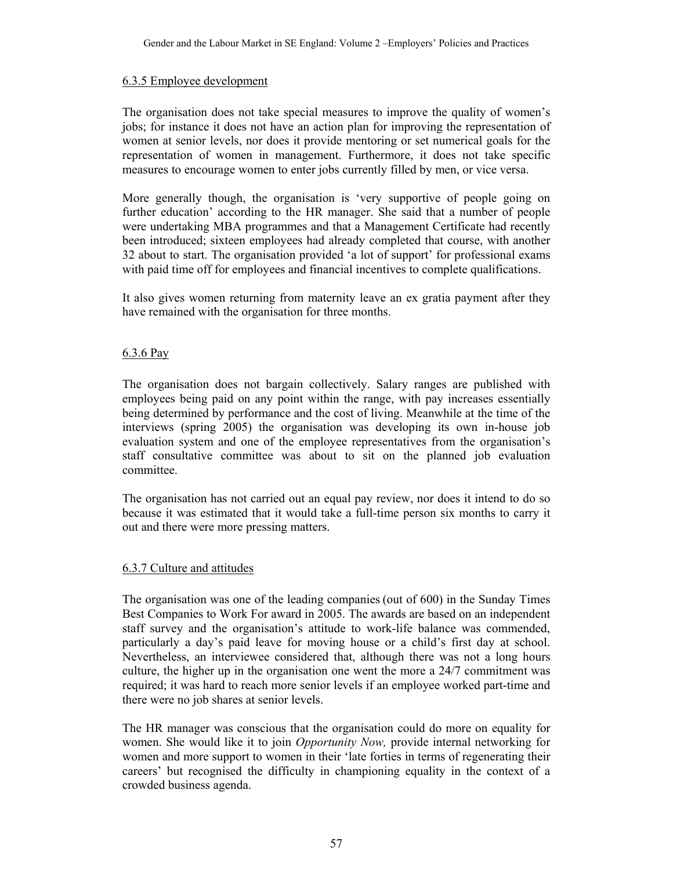#### 6.3.5 Employee development

The organisation does not take special measures to improve the quality of women's jobs; for instance it does not have an action plan for improving the representation of women at senior levels, nor does it provide mentoring or set numerical goals for the representation of women in management. Furthermore, it does not take specific measures to encourage women to enter jobs currently filled by men, or vice versa.

More generally though, the organisation is 'very supportive of people going on further education' according to the HR manager. She said that a number of people were undertaking MBA programmes and that a Management Certificate had recently been introduced; sixteen employees had already completed that course, with another 32 about to start. The organisation provided 'a lot of support' for professional exams with paid time off for employees and financial incentives to complete qualifications.

It also gives women returning from maternity leave an ex gratia payment after they have remained with the organisation for three months.

#### 6.3.6 Pay

The organisation does not bargain collectively. Salary ranges are published with employees being paid on any point within the range, with pay increases essentially being determined by performance and the cost of living. Meanwhile at the time of the interviews (spring 2005) the organisation was developing its own in-house job evaluation system and one of the employee representatives from the organisation's staff consultative committee was about to sit on the planned job evaluation committee.

The organisation has not carried out an equal pay review, nor does it intend to do so because it was estimated that it would take a full-time person six months to carry it out and there were more pressing matters.

## 6.3.7 Culture and attitudes

The organisation was one of the leading companies (out of 600) in the Sunday Times Best Companies to Work For award in 2005. The awards are based on an independent staff survey and the organisation's attitude to work-life balance was commended, particularly a day's paid leave for moving house or a child's first day at school. Nevertheless, an interviewee considered that, although there was not a long hours culture, the higher up in the organisation one went the more a 24/7 commitment was required; it was hard to reach more senior levels if an employee worked part-time and there were no job shares at senior levels.

The HR manager was conscious that the organisation could do more on equality for women. She would like it to join *Opportunity Now,* provide internal networking for women and more support to women in their 'late forties in terms of regenerating their careers' but recognised the difficulty in championing equality in the context of a crowded business agenda.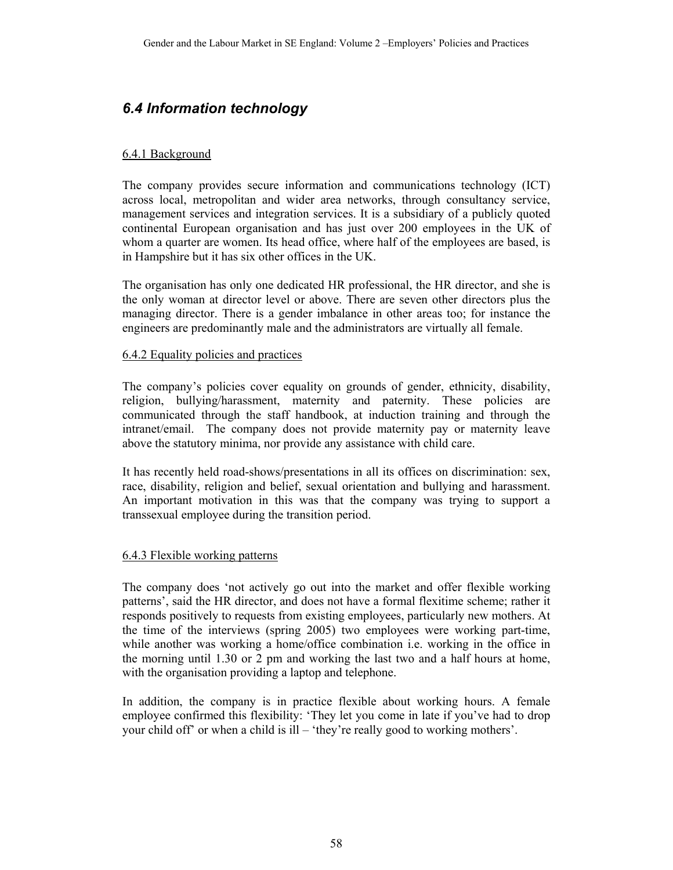## *6.4 Information technology*

## 6.4.1 Background

The company provides secure information and communications technology (ICT) across local, metropolitan and wider area networks, through consultancy service, management services and integration services. It is a subsidiary of a publicly quoted continental European organisation and has just over 200 employees in the UK of whom a quarter are women. Its head office, where half of the employees are based, is in Hampshire but it has six other offices in the UK.

The organisation has only one dedicated HR professional, the HR director, and she is the only woman at director level or above. There are seven other directors plus the managing director. There is a gender imbalance in other areas too; for instance the engineers are predominantly male and the administrators are virtually all female.

#### 6.4.2 Equality policies and practices

The company's policies cover equality on grounds of gender, ethnicity, disability, religion, bullying/harassment, maternity and paternity. These policies are communicated through the staff handbook, at induction training and through the intranet/email. The company does not provide maternity pay or maternity leave above the statutory minima, nor provide any assistance with child care.

It has recently held road-shows/presentations in all its offices on discrimination: sex, race, disability, religion and belief, sexual orientation and bullying and harassment. An important motivation in this was that the company was trying to support a transsexual employee during the transition period.

## 6.4.3 Flexible working patterns

The company does 'not actively go out into the market and offer flexible working patterns', said the HR director, and does not have a formal flexitime scheme; rather it responds positively to requests from existing employees, particularly new mothers. At the time of the interviews (spring 2005) two employees were working part-time, while another was working a home/office combination i.e. working in the office in the morning until 1.30 or 2 pm and working the last two and a half hours at home, with the organisation providing a laptop and telephone.

In addition, the company is in practice flexible about working hours. A female employee confirmed this flexibility: 'They let you come in late if you've had to drop your child off' or when a child is ill – 'they're really good to working mothers'.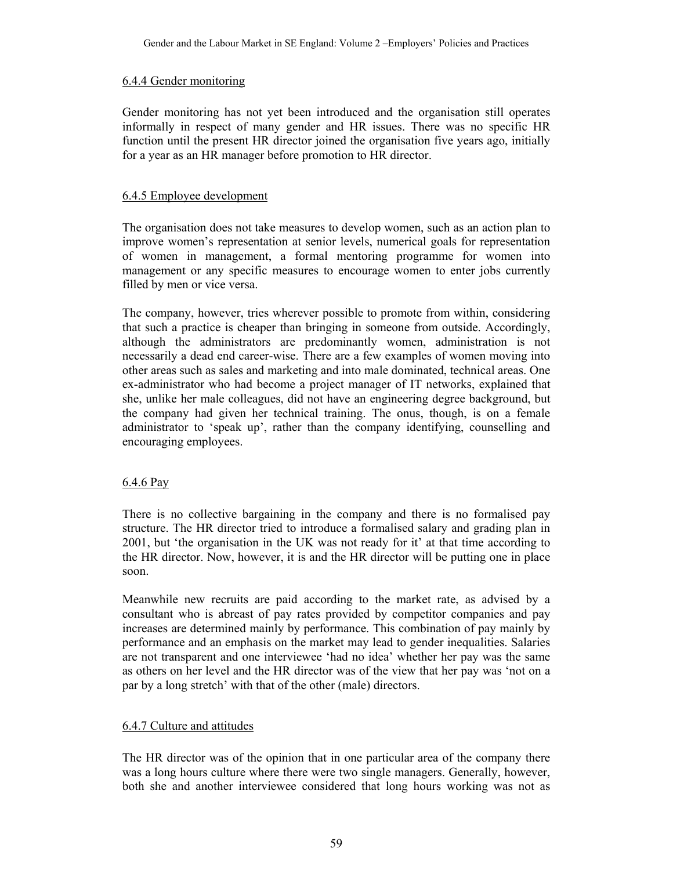#### 6.4.4 Gender monitoring

Gender monitoring has not yet been introduced and the organisation still operates informally in respect of many gender and HR issues. There was no specific HR function until the present HR director joined the organisation five years ago, initially for a year as an HR manager before promotion to HR director.

## 6.4.5 Employee development

The organisation does not take measures to develop women, such as an action plan to improve women's representation at senior levels, numerical goals for representation of women in management, a formal mentoring programme for women into management or any specific measures to encourage women to enter jobs currently filled by men or vice versa.

The company, however, tries wherever possible to promote from within, considering that such a practice is cheaper than bringing in someone from outside. Accordingly, although the administrators are predominantly women, administration is not necessarily a dead end career-wise. There are a few examples of women moving into other areas such as sales and marketing and into male dominated, technical areas. One ex-administrator who had become a project manager of IT networks, explained that she, unlike her male colleagues, did not have an engineering degree background, but the company had given her technical training. The onus, though, is on a female administrator to 'speak up', rather than the company identifying, counselling and encouraging employees.

## 6.4.6 Pay

There is no collective bargaining in the company and there is no formalised pay structure. The HR director tried to introduce a formalised salary and grading plan in 2001, but 'the organisation in the UK was not ready for it' at that time according to the HR director. Now, however, it is and the HR director will be putting one in place soon.

Meanwhile new recruits are paid according to the market rate, as advised by a consultant who is abreast of pay rates provided by competitor companies and pay increases are determined mainly by performance. This combination of pay mainly by performance and an emphasis on the market may lead to gender inequalities. Salaries are not transparent and one interviewee 'had no idea' whether her pay was the same as others on her level and the HR director was of the view that her pay was 'not on a par by a long stretch' with that of the other (male) directors.

## 6.4.7 Culture and attitudes

The HR director was of the opinion that in one particular area of the company there was a long hours culture where there were two single managers. Generally, however, both she and another interviewee considered that long hours working was not as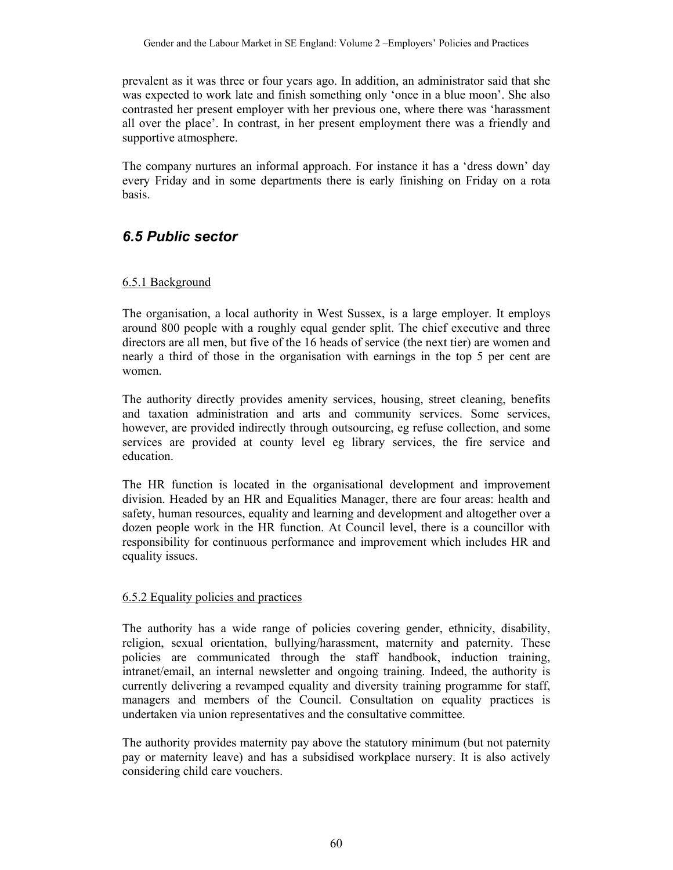prevalent as it was three or four years ago. In addition, an administrator said that she was expected to work late and finish something only 'once in a blue moon'. She also contrasted her present employer with her previous one, where there was 'harassment all over the place'. In contrast, in her present employment there was a friendly and supportive atmosphere.

The company nurtures an informal approach. For instance it has a 'dress down' day every Friday and in some departments there is early finishing on Friday on a rota basis.

## *6.5 Public sector*

#### 6.5.1 Background

The organisation, a local authority in West Sussex, is a large employer. It employs around 800 people with a roughly equal gender split. The chief executive and three directors are all men, but five of the 16 heads of service (the next tier) are women and nearly a third of those in the organisation with earnings in the top 5 per cent are women.

The authority directly provides amenity services, housing, street cleaning, benefits and taxation administration and arts and community services. Some services, however, are provided indirectly through outsourcing, eg refuse collection, and some services are provided at county level eg library services, the fire service and education.

The HR function is located in the organisational development and improvement division. Headed by an HR and Equalities Manager, there are four areas: health and safety, human resources, equality and learning and development and altogether over a dozen people work in the HR function. At Council level, there is a councillor with responsibility for continuous performance and improvement which includes HR and equality issues.

#### 6.5.2 Equality policies and practices

The authority has a wide range of policies covering gender, ethnicity, disability, religion, sexual orientation, bullying/harassment, maternity and paternity. These policies are communicated through the staff handbook, induction training, intranet/email, an internal newsletter and ongoing training. Indeed, the authority is currently delivering a revamped equality and diversity training programme for staff, managers and members of the Council. Consultation on equality practices is undertaken via union representatives and the consultative committee.

The authority provides maternity pay above the statutory minimum (but not paternity pay or maternity leave) and has a subsidised workplace nursery. It is also actively considering child care vouchers.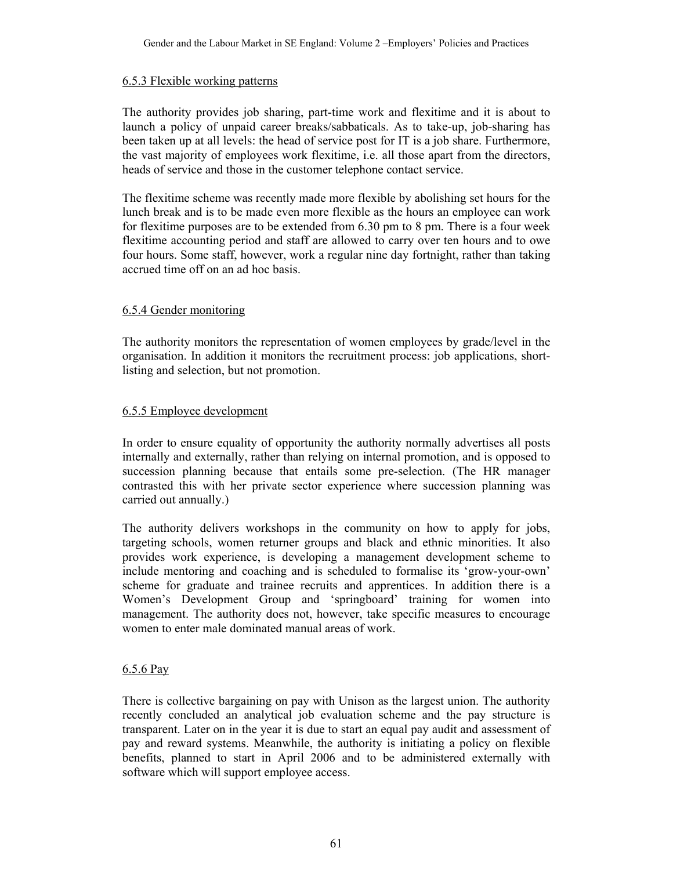#### 6.5.3 Flexible working patterns

The authority provides job sharing, part-time work and flexitime and it is about to launch a policy of unpaid career breaks/sabbaticals. As to take-up, job-sharing has been taken up at all levels: the head of service post for IT is a job share. Furthermore, the vast majority of employees work flexitime, i.e. all those apart from the directors, heads of service and those in the customer telephone contact service.

The flexitime scheme was recently made more flexible by abolishing set hours for the lunch break and is to be made even more flexible as the hours an employee can work for flexitime purposes are to be extended from 6.30 pm to 8 pm. There is a four week flexitime accounting period and staff are allowed to carry over ten hours and to owe four hours. Some staff, however, work a regular nine day fortnight, rather than taking accrued time off on an ad hoc basis.

## 6.5.4 Gender monitoring

The authority monitors the representation of women employees by grade/level in the organisation. In addition it monitors the recruitment process: job applications, shortlisting and selection, but not promotion.

#### 6.5.5 Employee development

In order to ensure equality of opportunity the authority normally advertises all posts internally and externally, rather than relying on internal promotion, and is opposed to succession planning because that entails some pre-selection. (The HR manager contrasted this with her private sector experience where succession planning was carried out annually.)

The authority delivers workshops in the community on how to apply for jobs, targeting schools, women returner groups and black and ethnic minorities. It also provides work experience, is developing a management development scheme to include mentoring and coaching and is scheduled to formalise its 'grow-your-own' scheme for graduate and trainee recruits and apprentices. In addition there is a Women's Development Group and 'springboard' training for women into management. The authority does not, however, take specific measures to encourage women to enter male dominated manual areas of work.

#### 6.5.6 Pay

There is collective bargaining on pay with Unison as the largest union. The authority recently concluded an analytical job evaluation scheme and the pay structure is transparent. Later on in the year it is due to start an equal pay audit and assessment of pay and reward systems. Meanwhile, the authority is initiating a policy on flexible benefits, planned to start in April 2006 and to be administered externally with software which will support employee access.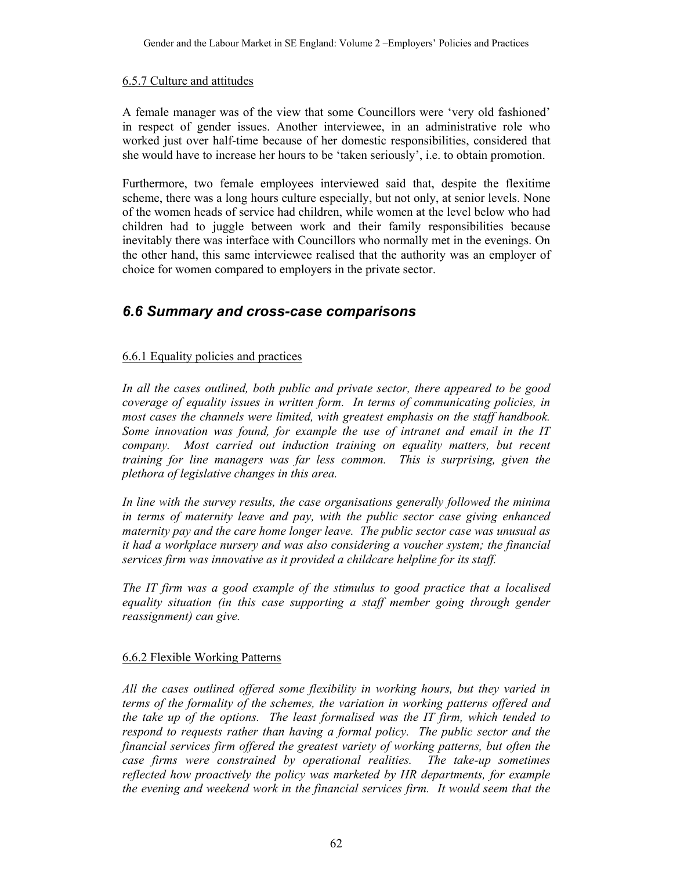#### 6.5.7 Culture and attitudes

A female manager was of the view that some Councillors were 'very old fashioned' in respect of gender issues. Another interviewee, in an administrative role who worked just over half-time because of her domestic responsibilities, considered that she would have to increase her hours to be 'taken seriously', i.e. to obtain promotion.

Furthermore, two female employees interviewed said that, despite the flexitime scheme, there was a long hours culture especially, but not only, at senior levels. None of the women heads of service had children, while women at the level below who had children had to juggle between work and their family responsibilities because inevitably there was interface with Councillors who normally met in the evenings. On the other hand, this same interviewee realised that the authority was an employer of choice for women compared to employers in the private sector.

## *6.6 Summary and cross-case comparisons*

## 6.6.1 Equality policies and practices

*In all the cases outlined, both public and private sector, there appeared to be good coverage of equality issues in written form. In terms of communicating policies, in most cases the channels were limited, with greatest emphasis on the staff handbook. Some innovation was found, for example the use of intranet and email in the IT company. Most carried out induction training on equality matters, but recent training for line managers was far less common. This is surprising, given the plethora of legislative changes in this area.* 

*In line with the survey results, the case organisations generally followed the minima in terms of maternity leave and pay, with the public sector case giving enhanced maternity pay and the care home longer leave. The public sector case was unusual as it had a workplace nursery and was also considering a voucher system; the financial services firm was innovative as it provided a childcare helpline for its staff.* 

*The IT firm was a good example of the stimulus to good practice that a localised equality situation (in this case supporting a staff member going through gender reassignment) can give.* 

## 6.6.2 Flexible Working Patterns

*All the cases outlined offered some flexibility in working hours, but they varied in terms of the formality of the schemes, the variation in working patterns offered and the take up of the options. The least formalised was the IT firm, which tended to respond to requests rather than having a formal policy. The public sector and the financial services firm offered the greatest variety of working patterns, but often the case firms were constrained by operational realities. The take-up sometimes reflected how proactively the policy was marketed by HR departments, for example the evening and weekend work in the financial services firm. It would seem that the*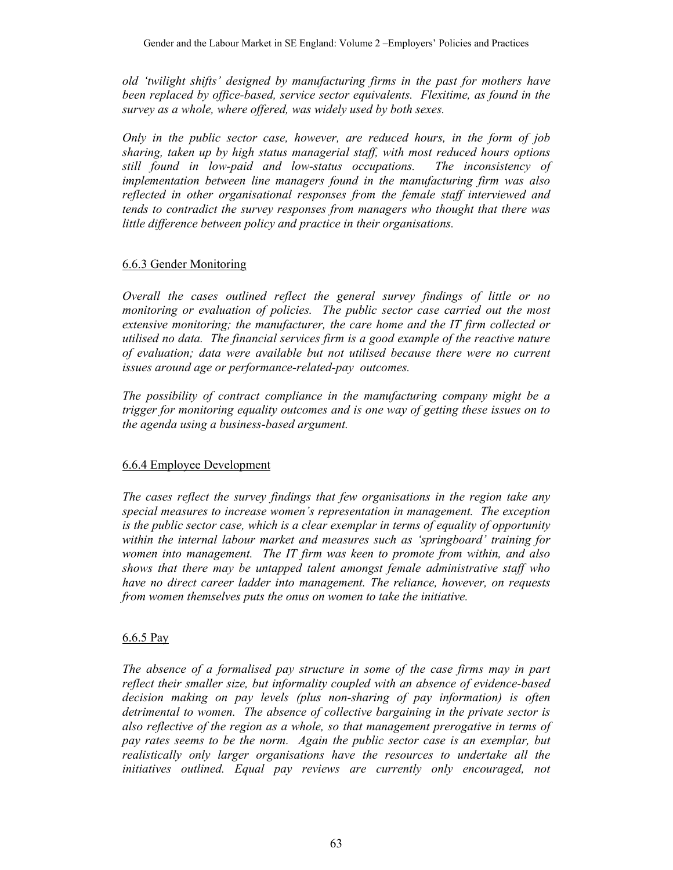*old 'twilight shifts' designed by manufacturing firms in the past for mothers have been replaced by office-based, service sector equivalents. Flexitime, as found in the survey as a whole, where offered, was widely used by both sexes.* 

*Only in the public sector case, however, are reduced hours, in the form of job sharing, taken up by high status managerial staff, with most reduced hours options still found in low-paid and low-status occupations. The inconsistency of implementation between line managers found in the manufacturing firm was also reflected in other organisational responses from the female staff interviewed and tends to contradict the survey responses from managers who thought that there was little difference between policy and practice in their organisations.* 

## 6.6.3 Gender Monitoring

*Overall the cases outlined reflect the general survey findings of little or no monitoring or evaluation of policies. The public sector case carried out the most extensive monitoring; the manufacturer, the care home and the IT firm collected or utilised no data. The financial services firm is a good example of the reactive nature of evaluation; data were available but not utilised because there were no current issues around age or performance-related-pay outcomes.* 

*The possibility of contract compliance in the manufacturing company might be a trigger for monitoring equality outcomes and is one way of getting these issues on to the agenda using a business-based argument.* 

## 6.6.4 Employee Development

*The cases reflect the survey findings that few organisations in the region take any special measures to increase women's representation in management. The exception is the public sector case, which is a clear exemplar in terms of equality of opportunity within the internal labour market and measures such as 'springboard' training for women into management. The IT firm was keen to promote from within, and also shows that there may be untapped talent amongst female administrative staff who have no direct career ladder into management. The reliance, however, on requests from women themselves puts the onus on women to take the initiative.* 

## 6.6.5 Pay

*The absence of a formalised pay structure in some of the case firms may in part reflect their smaller size, but informality coupled with an absence of evidence-based decision making on pay levels (plus non-sharing of pay information) is often detrimental to women. The absence of collective bargaining in the private sector is also reflective of the region as a whole, so that management prerogative in terms of pay rates seems to be the norm. Again the public sector case is an exemplar, but realistically only larger organisations have the resources to undertake all the initiatives outlined. Equal pay reviews are currently only encouraged, not*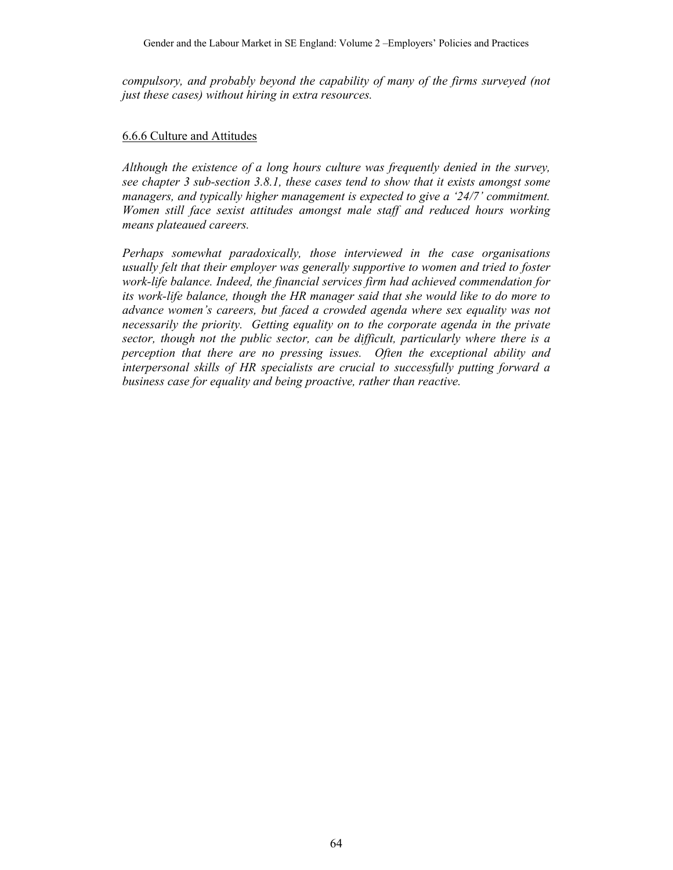*compulsory, and probably beyond the capability of many of the firms surveyed (not just these cases) without hiring in extra resources.* 

#### 6.6.6 Culture and Attitudes

*Although the existence of a long hours culture was frequently denied in the survey, see chapter 3 sub-section 3.8.1, these cases tend to show that it exists amongst some managers, and typically higher management is expected to give a '24/7' commitment. Women still face sexist attitudes amongst male staff and reduced hours working means plateaued careers.* 

*Perhaps somewhat paradoxically, those interviewed in the case organisations usually felt that their employer was generally supportive to women and tried to foster work-life balance. Indeed, the financial services firm had achieved commendation for its work-life balance, though the HR manager said that she would like to do more to advance women's careers, but faced a crowded agenda where sex equality was not necessarily the priority. Getting equality on to the corporate agenda in the private sector, though not the public sector, can be difficult, particularly where there is a perception that there are no pressing issues. Often the exceptional ability and interpersonal skills of HR specialists are crucial to successfully putting forward a business case for equality and being proactive, rather than reactive.*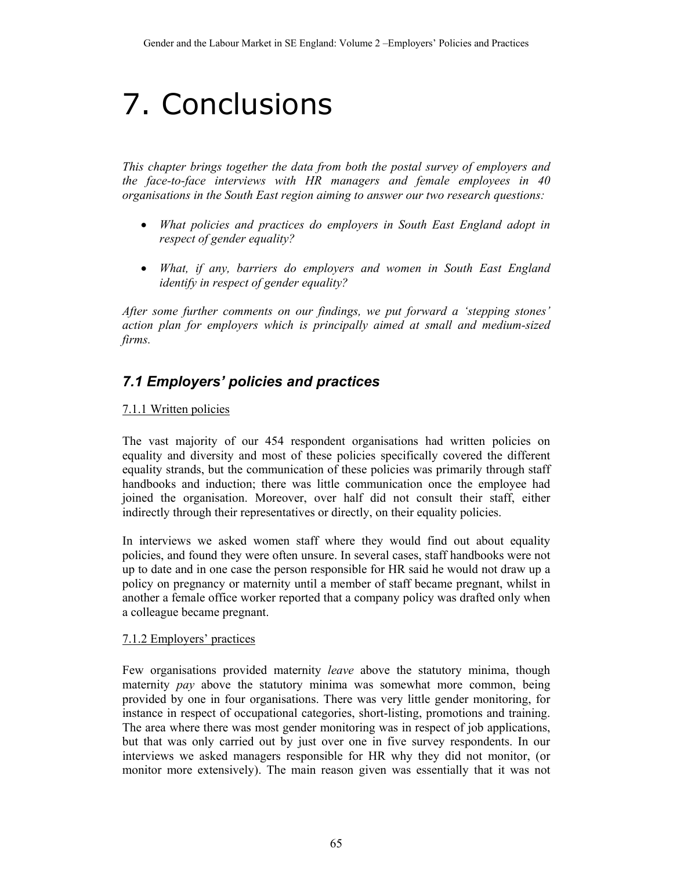# 7. Conclusions

*This chapter brings together the data from both the postal survey of employers and the face-to-face interviews with HR managers and female employees in 40 organisations in the South East region aiming to answer our two research questions:* 

- *What policies and practices do employers in South East England adopt in respect of gender equality?*
- *What, if any, barriers do employers and women in South East England identify in respect of gender equality?*

*After some further comments on our findings, we put forward a 'stepping stones' action plan for employers which is principally aimed at small and medium-sized firms.* 

## *7.1 Employers' policies and practices*

## 7.1.1 Written policies

The vast majority of our 454 respondent organisations had written policies on equality and diversity and most of these policies specifically covered the different equality strands, but the communication of these policies was primarily through staff handbooks and induction; there was little communication once the employee had joined the organisation. Moreover, over half did not consult their staff, either indirectly through their representatives or directly, on their equality policies.

In interviews we asked women staff where they would find out about equality policies, and found they were often unsure. In several cases, staff handbooks were not up to date and in one case the person responsible for HR said he would not draw up a policy on pregnancy or maternity until a member of staff became pregnant, whilst in another a female office worker reported that a company policy was drafted only when a colleague became pregnant.

## 7.1.2 Employers' practices

Few organisations provided maternity *leave* above the statutory minima, though maternity *pay* above the statutory minima was somewhat more common, being provided by one in four organisations. There was very little gender monitoring, for instance in respect of occupational categories, short-listing, promotions and training. The area where there was most gender monitoring was in respect of job applications, but that was only carried out by just over one in five survey respondents. In our interviews we asked managers responsible for HR why they did not monitor, (or monitor more extensively). The main reason given was essentially that it was not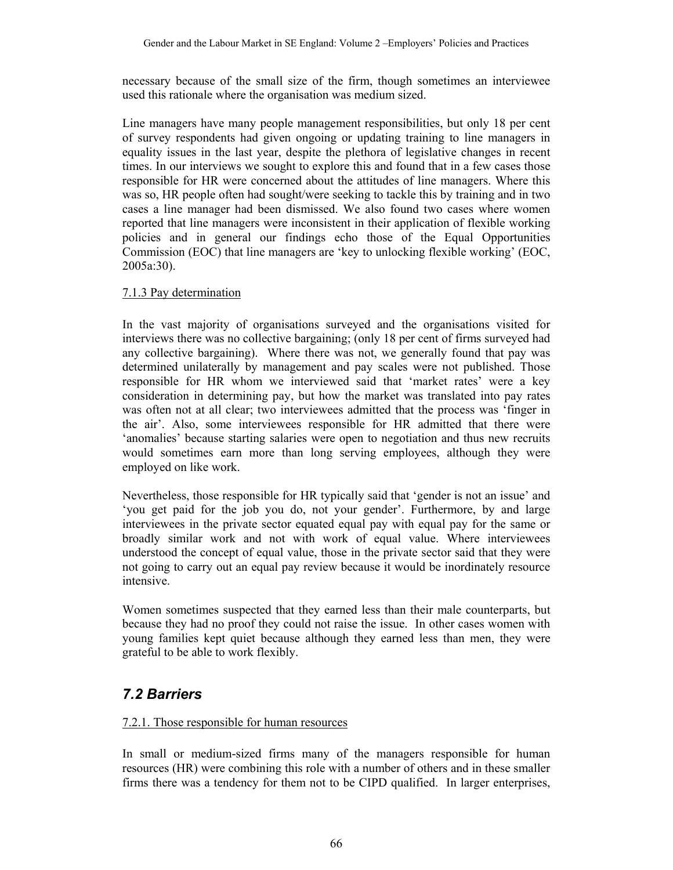necessary because of the small size of the firm, though sometimes an interviewee used this rationale where the organisation was medium sized.

Line managers have many people management responsibilities, but only 18 per cent of survey respondents had given ongoing or updating training to line managers in equality issues in the last year, despite the plethora of legislative changes in recent times. In our interviews we sought to explore this and found that in a few cases those responsible for HR were concerned about the attitudes of line managers. Where this was so, HR people often had sought/were seeking to tackle this by training and in two cases a line manager had been dismissed. We also found two cases where women reported that line managers were inconsistent in their application of flexible working policies and in general our findings echo those of the Equal Opportunities Commission (EOC) that line managers are 'key to unlocking flexible working' (EOC, 2005a:30).

#### 7.1.3 Pay determination

In the vast majority of organisations surveyed and the organisations visited for interviews there was no collective bargaining; (only 18 per cent of firms surveyed had any collective bargaining). Where there was not, we generally found that pay was determined unilaterally by management and pay scales were not published. Those responsible for HR whom we interviewed said that 'market rates' were a key consideration in determining pay, but how the market was translated into pay rates was often not at all clear; two interviewees admitted that the process was 'finger in the air'. Also, some interviewees responsible for HR admitted that there were 'anomalies' because starting salaries were open to negotiation and thus new recruits would sometimes earn more than long serving employees, although they were employed on like work.

Nevertheless, those responsible for HR typically said that 'gender is not an issue' and 'you get paid for the job you do, not your gender'. Furthermore, by and large interviewees in the private sector equated equal pay with equal pay for the same or broadly similar work and not with work of equal value. Where interviewees understood the concept of equal value, those in the private sector said that they were not going to carry out an equal pay review because it would be inordinately resource intensive.

Women sometimes suspected that they earned less than their male counterparts, but because they had no proof they could not raise the issue. In other cases women with young families kept quiet because although they earned less than men, they were grateful to be able to work flexibly.

## *7.2 Barriers*

## 7.2.1. Those responsible for human resources

In small or medium-sized firms many of the managers responsible for human resources (HR) were combining this role with a number of others and in these smaller firms there was a tendency for them not to be CIPD qualified. In larger enterprises,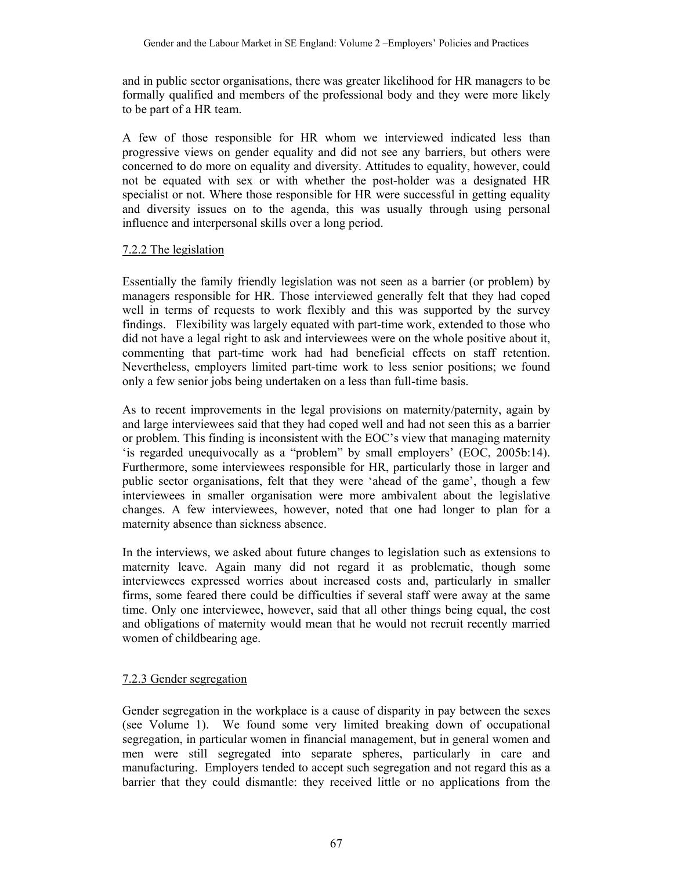and in public sector organisations, there was greater likelihood for HR managers to be formally qualified and members of the professional body and they were more likely to be part of a HR team.

A few of those responsible for HR whom we interviewed indicated less than progressive views on gender equality and did not see any barriers, but others were concerned to do more on equality and diversity. Attitudes to equality, however, could not be equated with sex or with whether the post-holder was a designated HR specialist or not. Where those responsible for HR were successful in getting equality and diversity issues on to the agenda, this was usually through using personal influence and interpersonal skills over a long period.

## 7.2.2 The legislation

Essentially the family friendly legislation was not seen as a barrier (or problem) by managers responsible for HR. Those interviewed generally felt that they had coped well in terms of requests to work flexibly and this was supported by the survey findings. Flexibility was largely equated with part-time work, extended to those who did not have a legal right to ask and interviewees were on the whole positive about it, commenting that part-time work had had beneficial effects on staff retention. Nevertheless, employers limited part-time work to less senior positions; we found only a few senior jobs being undertaken on a less than full-time basis.

As to recent improvements in the legal provisions on maternity/paternity, again by and large interviewees said that they had coped well and had not seen this as a barrier or problem. This finding is inconsistent with the EOC's view that managing maternity 'is regarded unequivocally as a "problem" by small employers' (EOC, 2005b:14). Furthermore, some interviewees responsible for HR, particularly those in larger and public sector organisations, felt that they were 'ahead of the game', though a few interviewees in smaller organisation were more ambivalent about the legislative changes. A few interviewees, however, noted that one had longer to plan for a maternity absence than sickness absence.

In the interviews, we asked about future changes to legislation such as extensions to maternity leave. Again many did not regard it as problematic, though some interviewees expressed worries about increased costs and, particularly in smaller firms, some feared there could be difficulties if several staff were away at the same time. Only one interviewee, however, said that all other things being equal, the cost and obligations of maternity would mean that he would not recruit recently married women of childbearing age.

## 7.2.3 Gender segregation

Gender segregation in the workplace is a cause of disparity in pay between the sexes (see Volume 1). We found some very limited breaking down of occupational segregation, in particular women in financial management, but in general women and men were still segregated into separate spheres, particularly in care and manufacturing. Employers tended to accept such segregation and not regard this as a barrier that they could dismantle: they received little or no applications from the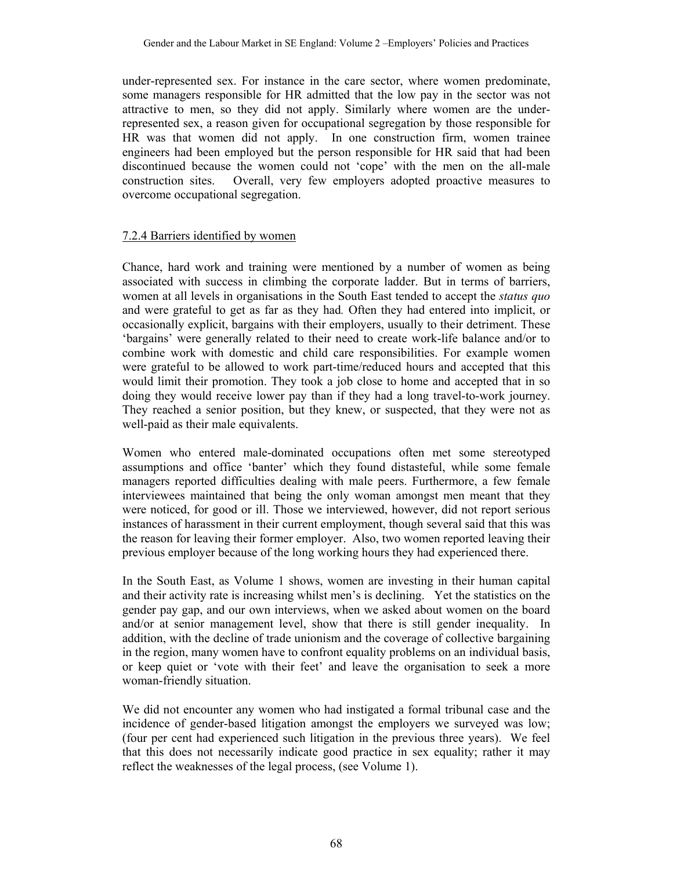under-represented sex. For instance in the care sector, where women predominate, some managers responsible for HR admitted that the low pay in the sector was not attractive to men, so they did not apply. Similarly where women are the underrepresented sex, a reason given for occupational segregation by those responsible for HR was that women did not apply. In one construction firm, women trainee engineers had been employed but the person responsible for HR said that had been discontinued because the women could not 'cope' with the men on the all-male construction sites. Overall, very few employers adopted proactive measures to overcome occupational segregation.

#### 7.2.4 Barriers identified by women

Chance, hard work and training were mentioned by a number of women as being associated with success in climbing the corporate ladder. But in terms of barriers, women at all levels in organisations in the South East tended to accept the *status quo* and were grateful to get as far as they had*.* Often they had entered into implicit, or occasionally explicit, bargains with their employers, usually to their detriment. These 'bargains' were generally related to their need to create work-life balance and/or to combine work with domestic and child care responsibilities. For example women were grateful to be allowed to work part-time/reduced hours and accepted that this would limit their promotion. They took a job close to home and accepted that in so doing they would receive lower pay than if they had a long travel-to-work journey. They reached a senior position, but they knew, or suspected, that they were not as well-paid as their male equivalents.

Women who entered male-dominated occupations often met some stereotyped assumptions and office 'banter' which they found distasteful, while some female managers reported difficulties dealing with male peers. Furthermore, a few female interviewees maintained that being the only woman amongst men meant that they were noticed, for good or ill. Those we interviewed, however, did not report serious instances of harassment in their current employment, though several said that this was the reason for leaving their former employer. Also, two women reported leaving their previous employer because of the long working hours they had experienced there.

In the South East, as Volume 1 shows, women are investing in their human capital and their activity rate is increasing whilst men's is declining. Yet the statistics on the gender pay gap, and our own interviews, when we asked about women on the board and/or at senior management level, show that there is still gender inequality. In addition, with the decline of trade unionism and the coverage of collective bargaining in the region, many women have to confront equality problems on an individual basis, or keep quiet or 'vote with their feet' and leave the organisation to seek a more woman-friendly situation.

We did not encounter any women who had instigated a formal tribunal case and the incidence of gender-based litigation amongst the employers we surveyed was low; (four per cent had experienced such litigation in the previous three years). We feel that this does not necessarily indicate good practice in sex equality; rather it may reflect the weaknesses of the legal process, (see Volume 1).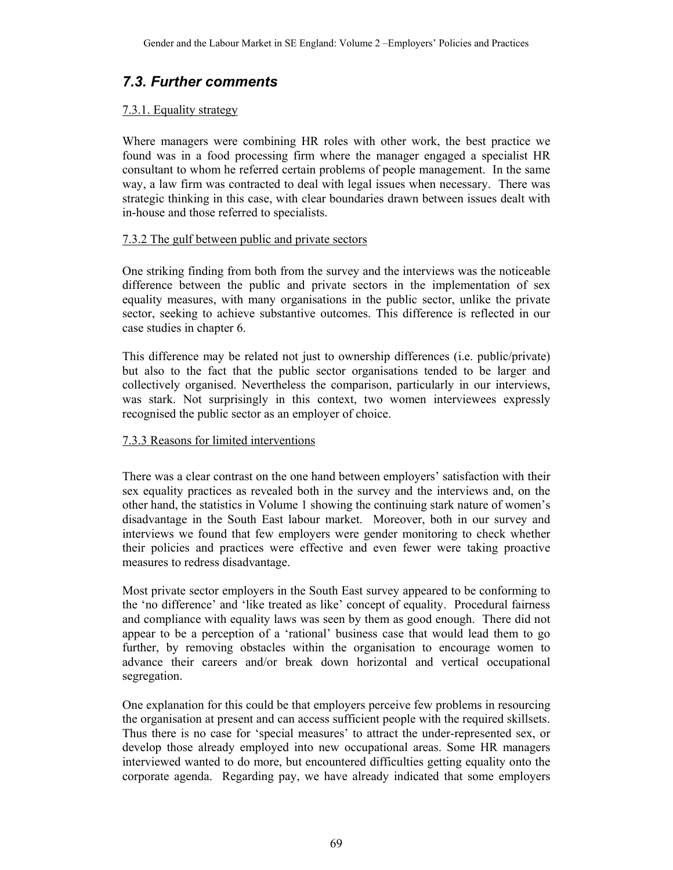## *7.3. Further comments*

#### 7.3.1. Equality strategy

Where managers were combining HR roles with other work, the best practice we found was in a food processing firm where the manager engaged a specialist HR consultant to whom he referred certain problems of people management. In the same way, a law firm was contracted to deal with legal issues when necessary. There was strategic thinking in this case, with clear boundaries drawn between issues dealt with in-house and those referred to specialists.

#### 7.3.2 The gulf between public and private sectors

One striking finding from both from the survey and the interviews was the noticeable difference between the public and private sectors in the implementation of sex equality measures, with many organisations in the public sector, unlike the private sector, seeking to achieve substantive outcomes. This difference is reflected in our case studies in chapter 6.

This difference may be related not just to ownership differences (i.e. public/private) but also to the fact that the public sector organisations tended to be larger and collectively organised. Nevertheless the comparison, particularly in our interviews, was stark. Not surprisingly in this context, two women interviewees expressly recognised the public sector as an employer of choice.

## 7.3.3 Reasons for limited interventions

There was a clear contrast on the one hand between employers' satisfaction with their sex equality practices as revealed both in the survey and the interviews and, on the other hand, the statistics in Volume 1 showing the continuing stark nature of women's disadvantage in the South East labour market. Moreover, both in our survey and interviews we found that few employers were gender monitoring to check whether their policies and practices were effective and even fewer were taking proactive measures to redress disadvantage.

Most private sector employers in the South East survey appeared to be conforming to the 'no difference' and 'like treated as like' concept of equality. Procedural fairness and compliance with equality laws was seen by them as good enough. There did not appear to be a perception of a 'rational' business case that would lead them to go further, by removing obstacles within the organisation to encourage women to advance their careers and/or break down horizontal and vertical occupational segregation.

One explanation for this could be that employers perceive few problems in resourcing the organisation at present and can access sufficient people with the required skillsets. Thus there is no case for 'special measures' to attract the under-represented sex, or develop those already employed into new occupational areas. Some HR managers interviewed wanted to do more, but encountered difficulties getting equality onto the corporate agenda. Regarding pay, we have already indicated that some employers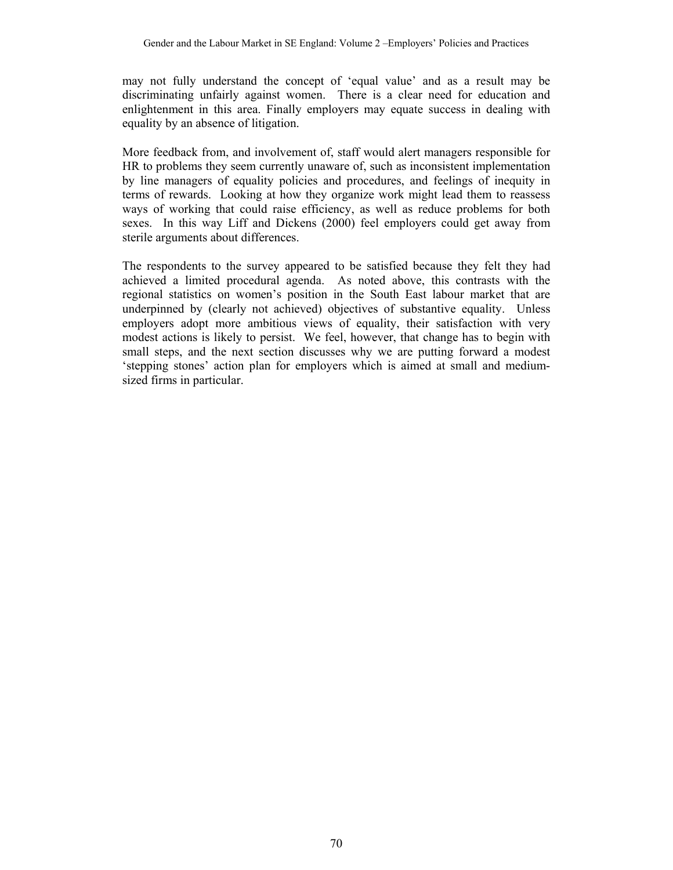may not fully understand the concept of 'equal value' and as a result may be discriminating unfairly against women. There is a clear need for education and enlightenment in this area. Finally employers may equate success in dealing with equality by an absence of litigation.

More feedback from, and involvement of, staff would alert managers responsible for HR to problems they seem currently unaware of, such as inconsistent implementation by line managers of equality policies and procedures, and feelings of inequity in terms of rewards. Looking at how they organize work might lead them to reassess ways of working that could raise efficiency, as well as reduce problems for both sexes. In this way Liff and Dickens (2000) feel employers could get away from sterile arguments about differences.

The respondents to the survey appeared to be satisfied because they felt they had achieved a limited procedural agenda. As noted above, this contrasts with the regional statistics on women's position in the South East labour market that are underpinned by (clearly not achieved) objectives of substantive equality. Unless employers adopt more ambitious views of equality, their satisfaction with very modest actions is likely to persist. We feel, however, that change has to begin with small steps, and the next section discusses why we are putting forward a modest 'stepping stones' action plan for employers which is aimed at small and mediumsized firms in particular.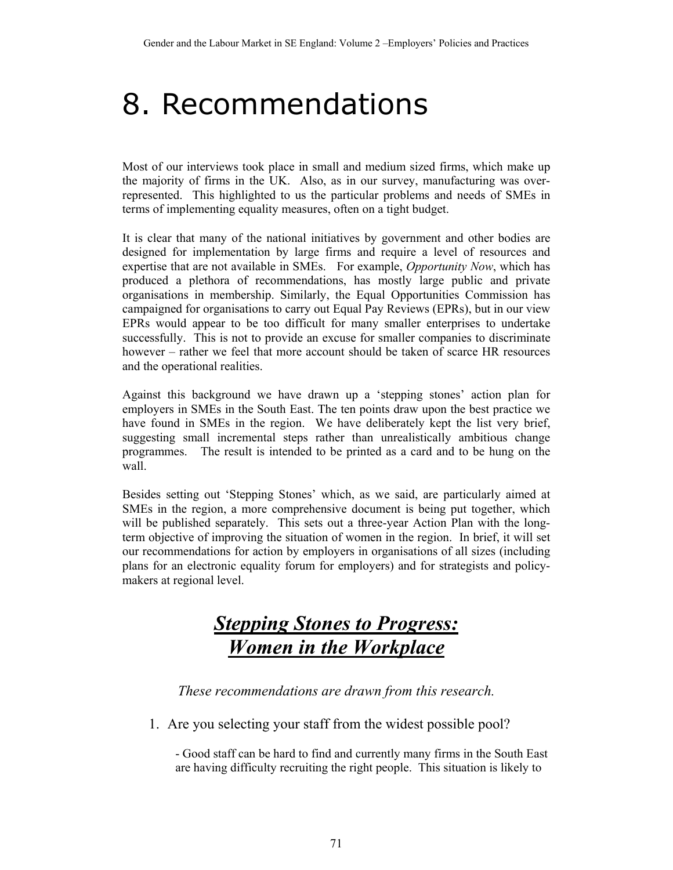## 8. Recommendations

Most of our interviews took place in small and medium sized firms, which make up the majority of firms in the UK. Also, as in our survey, manufacturing was overrepresented. This highlighted to us the particular problems and needs of SMEs in terms of implementing equality measures, often on a tight budget.

It is clear that many of the national initiatives by government and other bodies are designed for implementation by large firms and require a level of resources and expertise that are not available in SMEs. For example, *Opportunity Now*, which has produced a plethora of recommendations, has mostly large public and private organisations in membership. Similarly, the Equal Opportunities Commission has campaigned for organisations to carry out Equal Pay Reviews (EPRs), but in our view EPRs would appear to be too difficult for many smaller enterprises to undertake successfully. This is not to provide an excuse for smaller companies to discriminate however – rather we feel that more account should be taken of scarce HR resources and the operational realities.

Against this background we have drawn up a 'stepping stones' action plan for employers in SMEs in the South East. The ten points draw upon the best practice we have found in SMEs in the region. We have deliberately kept the list very brief, suggesting small incremental steps rather than unrealistically ambitious change programmes. The result is intended to be printed as a card and to be hung on the wall.

Besides setting out 'Stepping Stones' which, as we said, are particularly aimed at SMEs in the region, a more comprehensive document is being put together, which will be published separately. This sets out a three-year Action Plan with the longterm objective of improving the situation of women in the region. In brief, it will set our recommendations for action by employers in organisations of all sizes (including plans for an electronic equality forum for employers) and for strategists and policymakers at regional level.

## *Stepping Stones to Progress: Women in the Workplace*

*These recommendations are drawn from this research.* 

1. Are you selecting your staff from the widest possible pool?

- Good staff can be hard to find and currently many firms in the South East are having difficulty recruiting the right people. This situation is likely to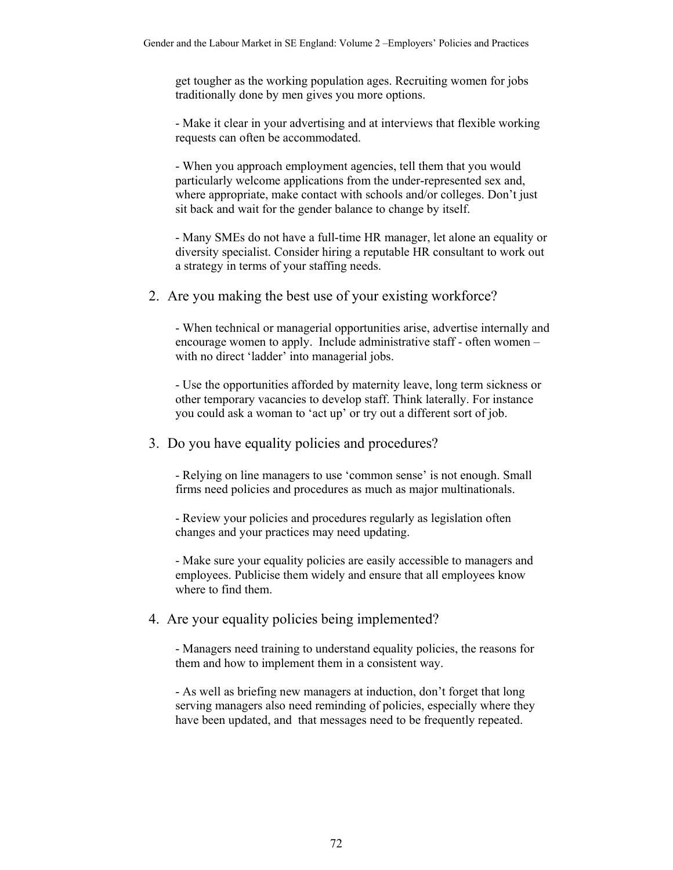get tougher as the working population ages. Recruiting women for jobs traditionally done by men gives you more options.

- Make it clear in your advertising and at interviews that flexible working requests can often be accommodated.

- When you approach employment agencies, tell them that you would particularly welcome applications from the under-represented sex and, where appropriate, make contact with schools and/or colleges. Don't just sit back and wait for the gender balance to change by itself.

- Many SMEs do not have a full-time HR manager, let alone an equality or diversity specialist. Consider hiring a reputable HR consultant to work out a strategy in terms of your staffing needs.

2. Are you making the best use of your existing workforce?

- When technical or managerial opportunities arise, advertise internally and encourage women to apply. Include administrative staff - often women – with no direct 'ladder' into managerial jobs.

- Use the opportunities afforded by maternity leave, long term sickness or other temporary vacancies to develop staff. Think laterally. For instance you could ask a woman to 'act up' or try out a different sort of job.

3. Do you have equality policies and procedures?

- Relying on line managers to use 'common sense' is not enough. Small firms need policies and procedures as much as major multinationals.

- Review your policies and procedures regularly as legislation often changes and your practices may need updating.

- Make sure your equality policies are easily accessible to managers and employees. Publicise them widely and ensure that all employees know where to find them.

## 4. Are your equality policies being implemented?

- Managers need training to understand equality policies, the reasons for them and how to implement them in a consistent way.

- As well as briefing new managers at induction, don't forget that long serving managers also need reminding of policies, especially where they have been updated, and that messages need to be frequently repeated.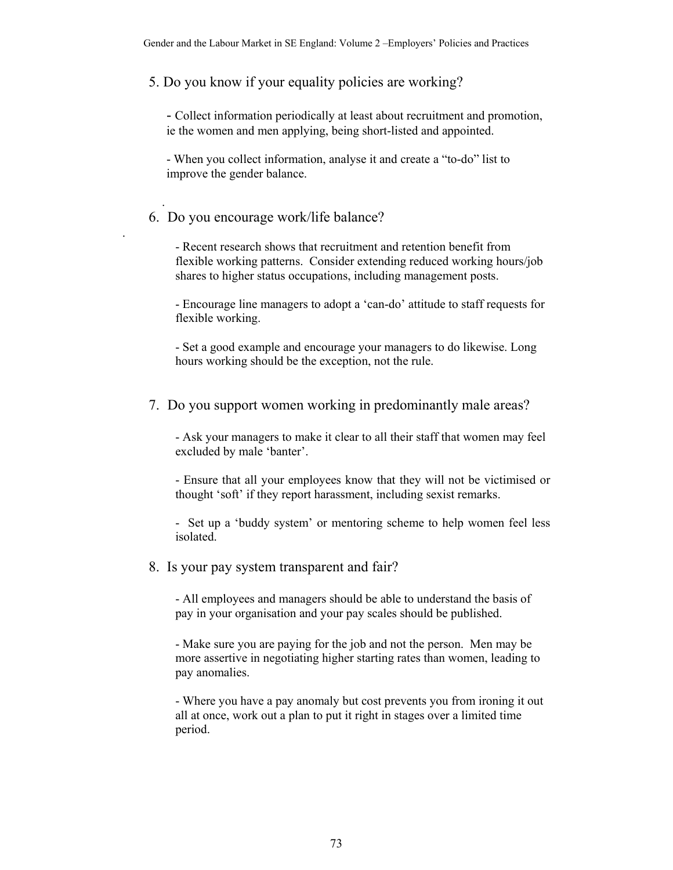## 5. Do you know if your equality policies are working?

- Collect information periodically at least about recruitment and promotion, ie the women and men applying, being short-listed and appointed.

- When you collect information, analyse it and create a "to-do" list to improve the gender balance.

## 6. Do you encourage work/life balance?

.

.

- Recent research shows that recruitment and retention benefit from flexible working patterns. Consider extending reduced working hours/job shares to higher status occupations, including management posts.

- Encourage line managers to adopt a 'can-do' attitude to staff requests for flexible working.

- Set a good example and encourage your managers to do likewise. Long hours working should be the exception, not the rule.

## 7. Do you support women working in predominantly male areas?

- Ask your managers to make it clear to all their staff that women may feel excluded by male 'banter'.

- Ensure that all your employees know that they will not be victimised or thought 'soft' if they report harassment, including sexist remarks.

- Set up a 'buddy system' or mentoring scheme to help women feel less isolated.

#### 8. Is your pay system transparent and fair?

- All employees and managers should be able to understand the basis of pay in your organisation and your pay scales should be published.

- Make sure you are paying for the job and not the person. Men may be more assertive in negotiating higher starting rates than women, leading to pay anomalies.

- Where you have a pay anomaly but cost prevents you from ironing it out all at once, work out a plan to put it right in stages over a limited time period.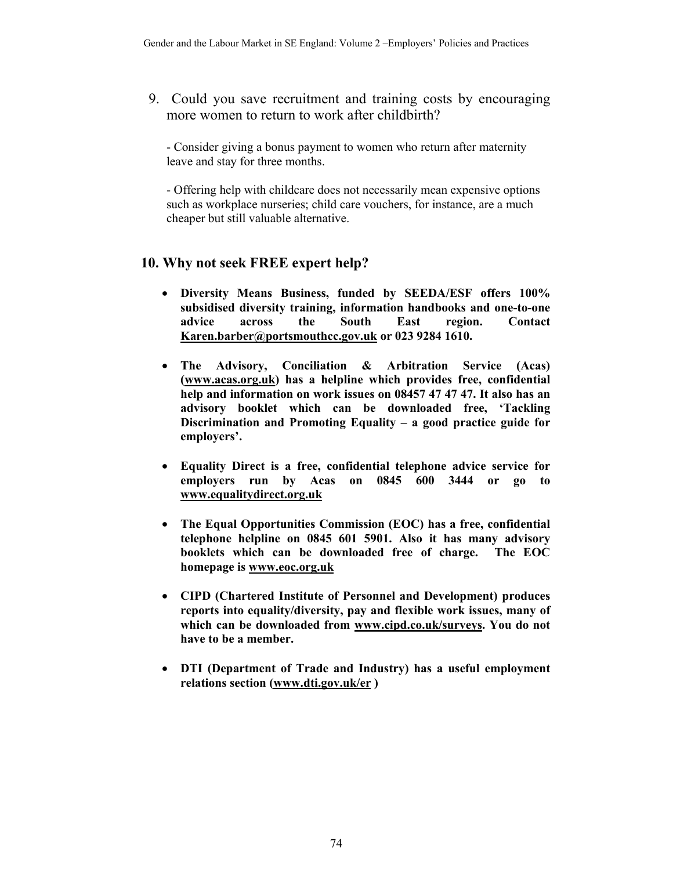9. Could you save recruitment and training costs by encouraging more women to return to work after childbirth?

- Consider giving a bonus payment to women who return after maternity leave and stay for three months.

- Offering help with childcare does not necessarily mean expensive options such as workplace nurseries; child care vouchers, for instance, are a much cheaper but still valuable alternative.

## **10. Why not seek FREE expert help?**

- **Diversity Means Business, funded by SEEDA/ESF offers 100% subsidised diversity training, information handbooks and one-to-one advice across the South East region. Contact Karen.barber@portsmouthcc.gov.uk or 023 9284 1610.**
- **The Advisory, Conciliation & Arbitration Service (Acas) (www.acas.org.uk) has a helpline which provides free, confidential help and information on work issues on 08457 47 47 47. It also has an advisory booklet which can be downloaded free, 'Tackling Discrimination and Promoting Equality – a good practice guide for employers'.**
- **Equality Direct is a free, confidential telephone advice service for employers run by Acas on 0845 600 3444 or go to www.equalitydirect.org.uk**
- **The Equal Opportunities Commission (EOC) has a free, confidential telephone helpline on 0845 601 5901. Also it has many advisory booklets which can be downloaded free of charge. The EOC homepage is www.eoc.org.uk**
- **CIPD (Chartered Institute of Personnel and Development) produces reports into equality/diversity, pay and flexible work issues, many of which can be downloaded from www.cipd.co.uk/surveys. You do not have to be a member.**
- **DTI (Department of Trade and Industry) has a useful employment relations section (www.dti.gov.uk/er )**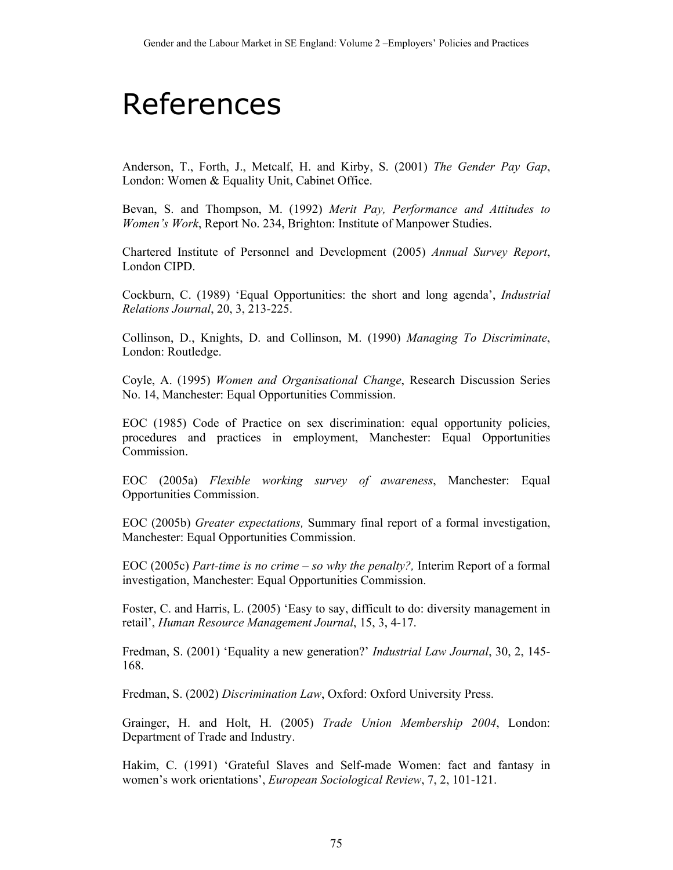## References

Anderson, T., Forth, J., Metcalf, H. and Kirby, S. (2001) *The Gender Pay Gap*, London: Women & Equality Unit, Cabinet Office.

Bevan, S. and Thompson, M. (1992) *Merit Pay, Performance and Attitudes to Women's Work*, Report No. 234, Brighton: Institute of Manpower Studies.

Chartered Institute of Personnel and Development (2005) *Annual Survey Report*, London CIPD.

Cockburn, C. (1989) 'Equal Opportunities: the short and long agenda', *Industrial Relations Journal*, 20, 3, 213-225.

Collinson, D., Knights, D. and Collinson, M. (1990) *Managing To Discriminate*, London: Routledge.

Coyle, A. (1995) *Women and Organisational Change*, Research Discussion Series No. 14, Manchester: Equal Opportunities Commission.

EOC (1985) Code of Practice on sex discrimination: equal opportunity policies, procedures and practices in employment, Manchester: Equal Opportunities Commission.

EOC (2005a) *Flexible working survey of awareness*, Manchester: Equal Opportunities Commission.

EOC (2005b) *Greater expectations,* Summary final report of a formal investigation, Manchester: Equal Opportunities Commission.

EOC (2005c) *Part-time is no crime – so why the penalty?,* Interim Report of a formal investigation, Manchester: Equal Opportunities Commission.

Foster, C. and Harris, L. (2005) 'Easy to say, difficult to do: diversity management in retail', *Human Resource Management Journal*, 15, 3, 4-17.

Fredman, S. (2001) 'Equality a new generation?' *Industrial Law Journal*, 30, 2, 145- 168.

Fredman, S. (2002) *Discrimination Law*, Oxford: Oxford University Press.

Grainger, H. and Holt, H. (2005) *Trade Union Membership 2004*, London: Department of Trade and Industry.

Hakim, C. (1991) 'Grateful Slaves and Self-made Women: fact and fantasy in women's work orientations', *European Sociological Review*, 7, 2, 101-121.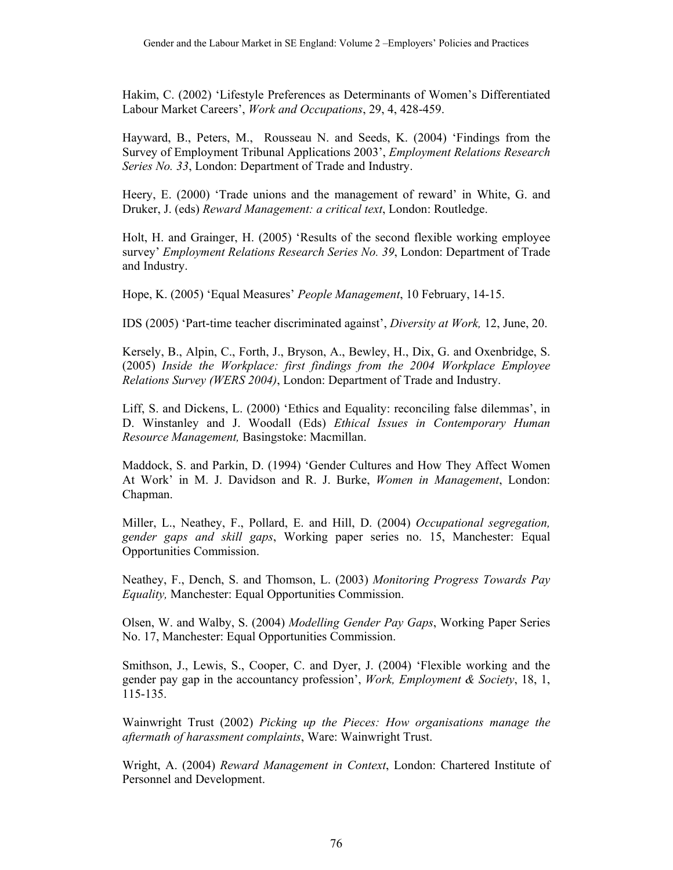Hakim, C. (2002) 'Lifestyle Preferences as Determinants of Women's Differentiated Labour Market Careers', *Work and Occupations*, 29, 4, 428-459.

Hayward, B., Peters, M., Rousseau N. and Seeds, K. (2004) 'Findings from the Survey of Employment Tribunal Applications 2003', *Employment Relations Research Series No. 33*, London: Department of Trade and Industry.

Heery, E. (2000) 'Trade unions and the management of reward' in White, G. and Druker, J. (eds) *Reward Management: a critical text*, London: Routledge.

Holt, H. and Grainger, H. (2005) 'Results of the second flexible working employee survey' *Employment Relations Research Series No. 39*, London: Department of Trade and Industry.

Hope, K. (2005) 'Equal Measures' *People Management*, 10 February, 14-15.

IDS (2005) 'Part-time teacher discriminated against', *Diversity at Work,* 12, June, 20.

Kersely, B., Alpin, C., Forth, J., Bryson, A., Bewley, H., Dix, G. and Oxenbridge, S. (2005) *Inside the Workplace: first findings from the 2004 Workplace Employee Relations Survey (WERS 2004)*, London: Department of Trade and Industry.

Liff, S. and Dickens, L. (2000) 'Ethics and Equality: reconciling false dilemmas', in D. Winstanley and J. Woodall (Eds) *Ethical Issues in Contemporary Human Resource Management,* Basingstoke: Macmillan.

Maddock, S. and Parkin, D. (1994) 'Gender Cultures and How They Affect Women At Work' in M. J. Davidson and R. J. Burke, *Women in Management*, London: Chapman.

Miller, L., Neathey, F., Pollard, E. and Hill, D. (2004) *Occupational segregation, gender gaps and skill gaps*, Working paper series no. 15, Manchester: Equal Opportunities Commission.

Neathey, F., Dench, S. and Thomson, L. (2003) *Monitoring Progress Towards Pay Equality,* Manchester: Equal Opportunities Commission.

Olsen, W. and Walby, S. (2004) *Modelling Gender Pay Gaps*, Working Paper Series No. 17, Manchester: Equal Opportunities Commission.

Smithson, J., Lewis, S., Cooper, C. and Dyer, J. (2004) 'Flexible working and the gender pay gap in the accountancy profession', *Work, Employment & Society*, 18, 1, 115-135.

Wainwright Trust (2002) *Picking up the Pieces: How organisations manage the aftermath of harassment complaints*, Ware: Wainwright Trust.

Wright, A. (2004) *Reward Management in Context*, London: Chartered Institute of Personnel and Development.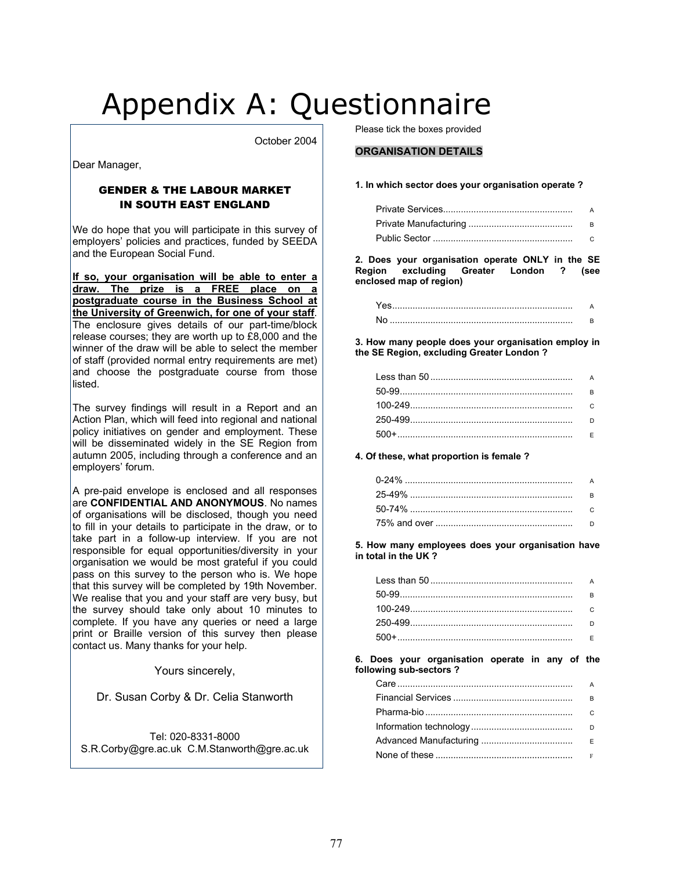# Appendix A: Questionnaire

October 2004

Dear Manager,

#### GENDER & THE LABOUR MARKET IN SOUTH EAST ENGLAND

We do hope that you will participate in this survey of employers' policies and practices, funded by SEEDA and the European Social Fund.

**If so, your organisation will be able to enter a draw. The prize is a FREE place on a postgraduate course in the Business School at the University of Greenwich, for one of your staff**. The enclosure gives details of our part-time/block release courses; they are worth up to £8,000 and the winner of the draw will be able to select the member of staff (provided normal entry requirements are met) and choose the postgraduate course from those listed.

The survey findings will result in a Report and an Action Plan, which will feed into regional and national policy initiatives on gender and employment. These will be disseminated widely in the SE Region from autumn 2005, including through a conference and an employers' forum.

A pre-paid envelope is enclosed and all responses are **CONFIDENTIAL AND ANONYMOUS**. No names of organisations will be disclosed, though you need to fill in your details to participate in the draw, or to take part in a follow-up interview. If you are not responsible for equal opportunities/diversity in your organisation we would be most grateful if you could pass on this survey to the person who is. We hope that this survey will be completed by 19th November. We realise that you and your staff are very busy, but the survey should take only about 10 minutes to complete. If you have any queries or need a large print or Braille version of this survey then please contact us. Many thanks for your help.

Yours sincerely,

Dr. Susan Corby & Dr. Celia Stanworth

Tel: 020-8331-8000 S.R.Corby@gre.ac.uk C.M.Stanworth@gre.ac.uk Please tick the boxes provided

#### **ORGANISATION DETAILS**

#### **1. In which sector does your organisation operate ?**

**2. Does your organisation operate ONLY in the SE Region excluding Greater London ? (see enclosed map of region)** 

**3. How many people does your organisation employ in the SE Region, excluding Greater London ?** 

**4. Of these, what proportion is female ?** 

**5. How many employees does your organisation have in total in the UK ?** 

| R |
|---|
|   |
|   |
|   |

**6. Does your organisation operate in any of the following sub-sectors ?** 

| А |
|---|
| R |
|   |
|   |
|   |
| F |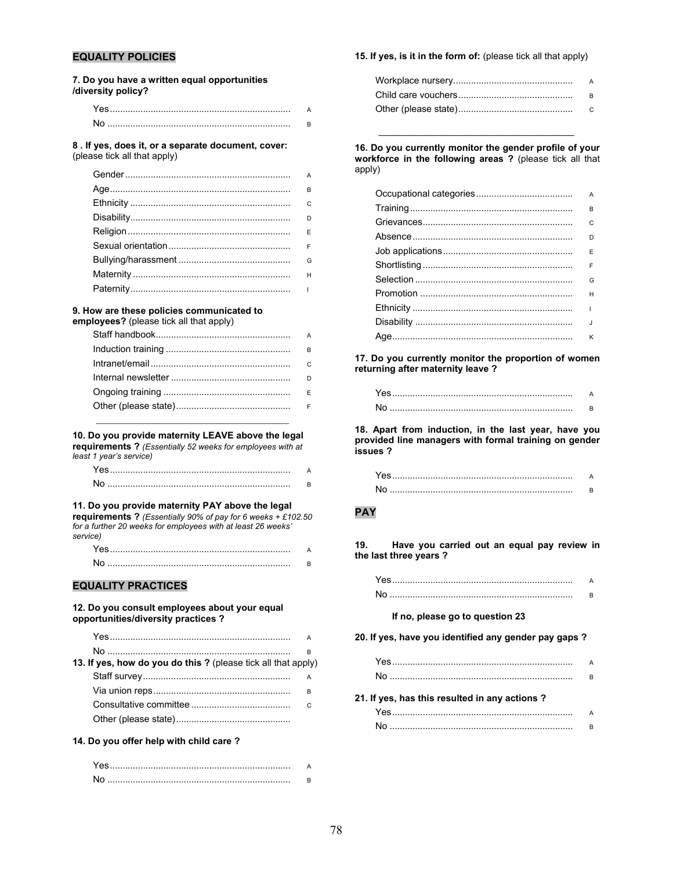#### **EQUALITY POLICIES**

**7. Do you have a written equal opportunities /diversity policy?** 

| <u> Yes……………………………………………………………</u> |  |
|------------------------------------|--|
| N٥                                 |  |

**8 . If yes, does it, or a separate document, cover:** (please tick all that apply)

| $\mathbf{C}$ |
|--------------|
|              |
|              |
|              |
| G            |
|              |
|              |
|              |

#### **9. How are these policies communicated to**

**employees?** (please tick all that apply)

| B        |
|----------|
| - C      |
| $\Gamma$ |
|          |
|          |

**10. Do you provide maternity LEAVE above the legal** 

**requirements ?** *(Essentially 52 weeks for employees with at* 

*least 1 year's service)*

| N٥ |  |
|----|--|

#### **11. Do you provide maternity PAY above the legal**

**requirements ?** *(Essentially 90% of pay for 6 weeks + £102.50 for a further 20 weeks for employees with at least 26 weeks' service)*

| N٥ |  |
|----|--|

#### **EQUALITY PRACTICES**

#### **12. Do you consult employees about your equal opportunities/diversity practices ?**

|                                                               | R |
|---------------------------------------------------------------|---|
| 13. If yes, how do you do this ? (please tick all that apply) |   |
|                                                               |   |
|                                                               | B |
|                                                               |   |
|                                                               |   |

#### **14. Do you offer help with child care ?**

| Ye. |  |
|-----|--|
| N   |  |

#### **15. If yes, is it in the form of:** (please tick all that apply)

**16. Do you currently monitor the gender profile of your workforce in the following areas ?** (please tick all that apply)

\_\_\_\_\_\_\_\_\_\_\_\_\_\_\_\_\_\_\_\_\_\_\_\_\_\_\_\_\_\_\_\_\_\_\_\_\_\_

| А  |
|----|
| в  |
| C  |
| D  |
| F  |
| F  |
| G  |
| н  |
| ı  |
| J. |
| κ  |

**17. Do you currently monitor the proportion of women returning after maternity leave ?** 

**18. Apart from induction, in the last year, have you provided line managers with formal training on gender issues ?** 

#### **PAY**

**19. Have you carried out an equal pay review in the last three years ?** 

| No |  |
|----|--|

#### **If no, please go to question 23**

#### **20. If yes, have you identified any gender pay gaps ?**

#### **21. If yes, has this resulted in any actions ?**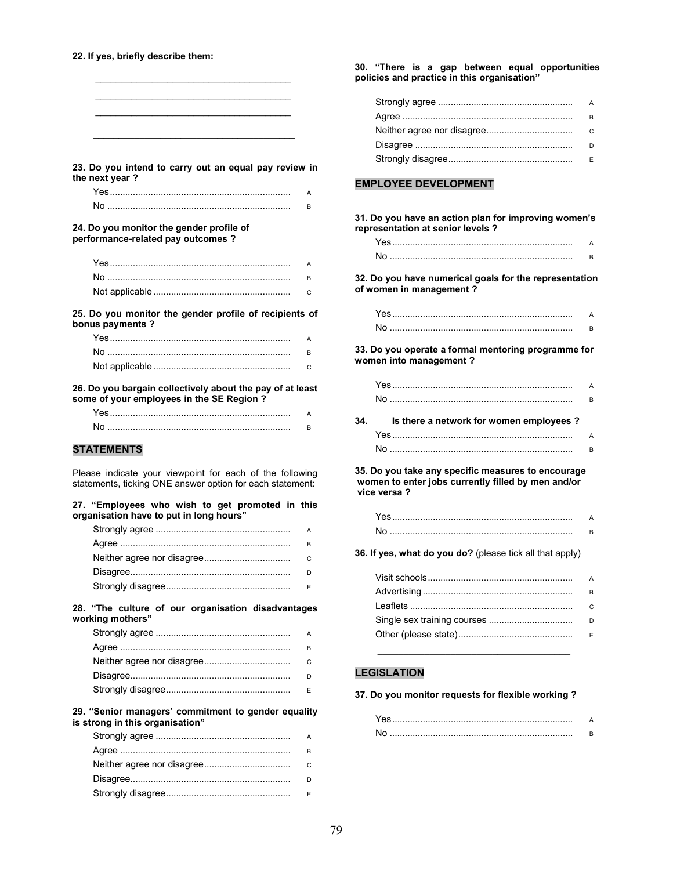#### **22. If yes, briefly describe them:**

| 23. Do you intend to carry out an equal pay review in<br>the next year?                                               |        |
|-----------------------------------------------------------------------------------------------------------------------|--------|
| Yes……………………………………………………………                                                                                            | A      |
|                                                                                                                       | B      |
| 24. Do you monitor the gender profile of<br>performance-related pay outcomes ?                                        |        |
| Yes……………………………………………………………                                                                                            | A      |
|                                                                                                                       | B      |
|                                                                                                                       | C      |
| 25. Do you monitor the gender profile of recipients of<br>bonus payments ?                                            |        |
|                                                                                                                       | A      |
|                                                                                                                       | B      |
|                                                                                                                       | C      |
| 26. Do you bargain collectively about the pay of at least<br>some of your employees in the SE Region?                 |        |
| Yes………………………………………………………………                                                                                           | A      |
|                                                                                                                       | B      |
| <b>STATEMENTS</b>                                                                                                     |        |
|                                                                                                                       |        |
| Please indicate your viewpoint for each of the following<br>statements, ticking ONE answer option for each statement: |        |
| 27. "Employees who wish to get promoted in this<br>organisation have to put in long hours"                            |        |
|                                                                                                                       | A      |
|                                                                                                                       | B      |
|                                                                                                                       | С      |
|                                                                                                                       | D      |
|                                                                                                                       | Ε      |
| 28. "The culture of our organisation disadvantages<br>working mothers"                                                |        |
|                                                                                                                       | А      |
|                                                                                                                       | B      |
| Neither agree nor disagree                                                                                            | $\cap$ |

| D |
|---|
|   |

#### **29. "Senior managers' commitment to gender equality is strong in this organisation"**

| A        |
|----------|
| R        |
| $\Omega$ |
| D        |
| F        |

**30. "There is a gap between equal opportunities policies and practice in this organisation"** 

| A |
|---|
| B |
|   |
|   |
|   |

#### **EMPLOYEE DEVELOPMENT**

**31. Do you have an action plan for improving women's representation at senior levels ?** 

**32. Do you have numerical goals for the representation of women in management ?** 

**33. Do you operate a formal mentoring programme for women into management ?** 

| 34 | Is there a network for women employees? |    |
|----|-----------------------------------------|----|
|    |                                         | R. |
|    | Yes                                     | A  |

**35. Do you take any specific measures to encourage women to enter jobs currently filled by men and/or vice versa ?** 

**36. If yes, what do you do?** (please tick all that apply)

| $\overline{A}$ |
|----------------|
|                |
| B              |
| $\Omega$       |
| D              |
| E              |
|                |

#### **LEGISLATION**

#### **37. Do you monitor requests for flexible working ?**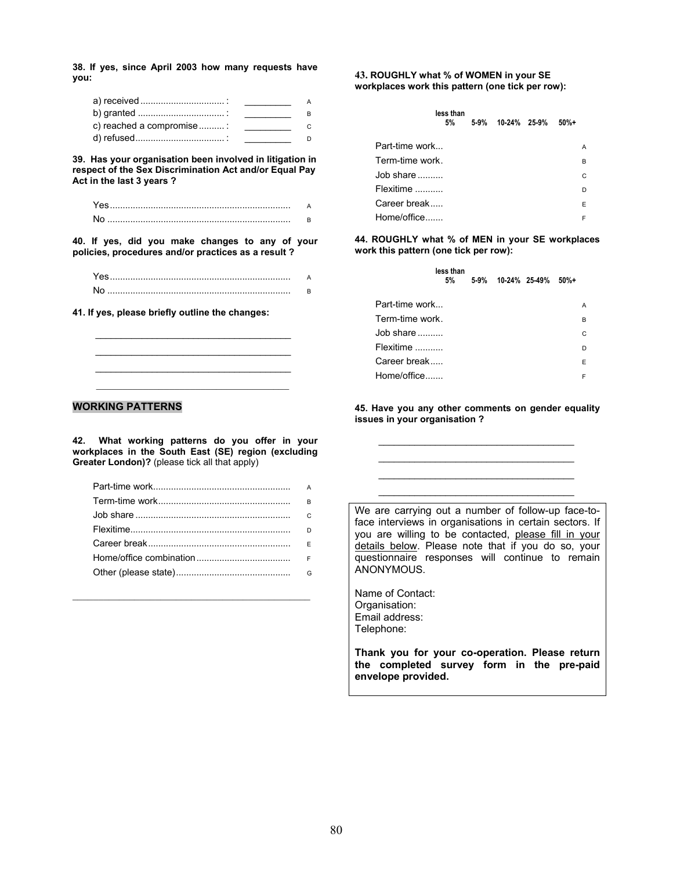**38. If yes, since April 2003 how many requests have you:** 

| c) reached a compromise: | the control of the control of the |
|--------------------------|-----------------------------------|
|                          |                                   |

**39. Has your organisation been involved in litigation in respect of the Sex Discrimination Act and/or Equal Pay Act in the last 3 years ?** 

**40. If yes, did you make changes to any of your policies, procedures and/or practices as a result ?** 

\_\_\_\_\_\_\_\_\_\_\_\_\_\_\_\_\_\_\_\_\_\_\_\_\_\_\_\_\_\_\_\_\_\_\_\_\_\_ \_\_\_\_\_\_\_\_\_\_\_\_\_\_\_\_\_\_\_\_\_\_\_\_\_\_\_\_\_\_\_\_\_\_\_\_\_\_ \_\_\_\_\_\_\_\_\_\_\_\_\_\_\_\_\_\_\_\_\_\_\_\_\_\_\_\_\_\_\_\_\_\_\_\_\_\_

**41. If yes, please briefly outline the changes:** 

#### **WORKING PATTERNS**

**42. What working patterns do you offer in your workplaces in the South East (SE) region (excluding Greater London)?** (please tick all that apply)

| $\overline{B}$ |
|----------------|
|                |
| $\Gamma$       |
| $\mathsf{F}$   |
|                |
|                |
|                |

\_\_\_\_\_\_\_\_\_\_\_\_\_\_\_\_\_\_\_\_\_\_\_\_\_\_\_\_\_\_\_\_\_\_\_\_\_\_\_\_\_\_\_\_\_\_

**43. ROUGHLY what % of WOMEN in your SE workplaces work this pattern (one tick per row):** 

|                 | less than<br>5% | 5-9% 10-24% 25-9% | $50%+$ |   |
|-----------------|-----------------|-------------------|--------|---|
| Part-time work  |                 |                   |        | A |
| Term-time work. |                 |                   |        | B |
| Job share       |                 |                   |        | C |
| Flexitime       |                 |                   |        | D |
| Career break    |                 |                   |        | E |
| Home/office     |                 |                   |        | F |

**44. ROUGHLY what % of MEN in your SE workplaces work this pattern (one tick per row):**

|                 | less than<br>5% |  | 5-9% 10-24% 25-49% | $50%+$ |   |
|-----------------|-----------------|--|--------------------|--------|---|
| Part-time work  |                 |  |                    |        | A |
| Term-time work. |                 |  |                    |        | в |
| Job share       |                 |  |                    |        | C |
| Flexitime       |                 |  |                    |        | D |
| Career break    |                 |  |                    |        | E |
| Home/office     |                 |  |                    |        | F |

**45. Have you any other comments on gender equality issues in your organisation ?** 

> \_\_\_\_\_\_\_\_\_\_\_\_\_\_\_\_\_\_\_\_\_\_\_\_\_\_\_\_\_\_\_\_\_\_\_\_\_\_ \_\_\_\_\_\_\_\_\_\_\_\_\_\_\_\_\_\_\_\_\_\_\_\_\_\_\_\_\_\_\_\_\_\_\_\_\_\_ \_\_\_\_\_\_\_\_\_\_\_\_\_\_\_\_\_\_\_\_\_\_\_\_\_\_\_\_\_\_\_\_\_\_\_\_\_\_ \_\_\_\_\_\_\_\_\_\_\_\_\_\_\_\_\_\_\_\_\_\_\_\_\_\_\_\_\_\_\_\_\_\_\_\_\_\_

We are carrying out a number of follow-up face-toface interviews in organisations in certain sectors. If you are willing to be contacted, please fill in your details below. Please note that if you do so, your questionnaire responses will continue to remain ANONYMOUS.

Name of Contact: Organisation: Email address: Telephone:

**Thank you for your co-operation. Please return the completed survey form in the pre-paid envelope provided.**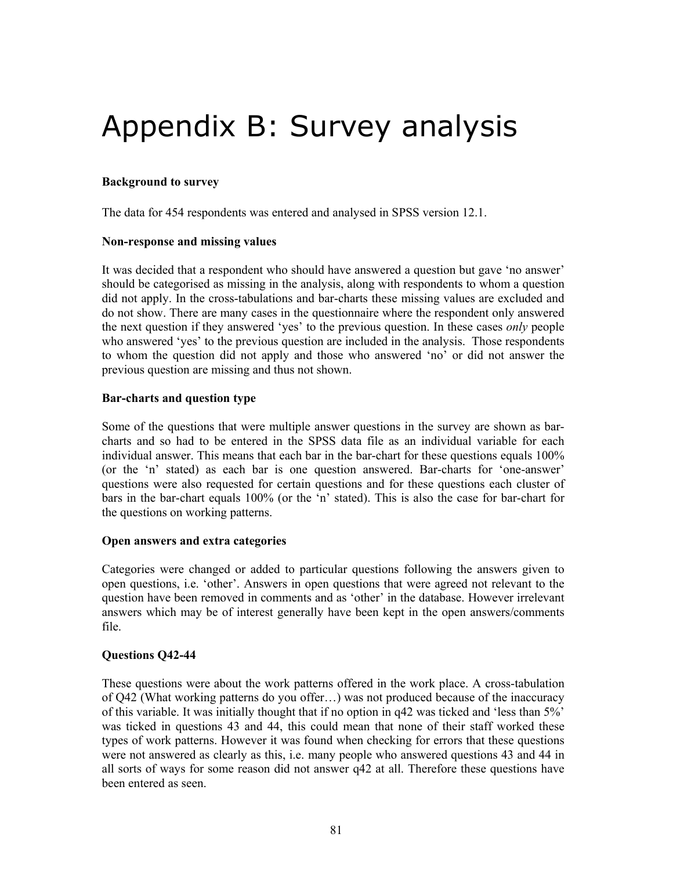# Appendix B: Survey analysis

#### **Background to survey**

The data for 454 respondents was entered and analysed in SPSS version 12.1.

#### **Non-response and missing values**

It was decided that a respondent who should have answered a question but gave 'no answer' should be categorised as missing in the analysis, along with respondents to whom a question did not apply. In the cross-tabulations and bar-charts these missing values are excluded and do not show. There are many cases in the questionnaire where the respondent only answered the next question if they answered 'yes' to the previous question. In these cases *only* people who answered 'yes' to the previous question are included in the analysis. Those respondents to whom the question did not apply and those who answered 'no' or did not answer the previous question are missing and thus not shown.

#### **Bar-charts and question type**

Some of the questions that were multiple answer questions in the survey are shown as barcharts and so had to be entered in the SPSS data file as an individual variable for each individual answer. This means that each bar in the bar-chart for these questions equals 100% (or the 'n' stated) as each bar is one question answered. Bar-charts for 'one-answer' questions were also requested for certain questions and for these questions each cluster of bars in the bar-chart equals 100% (or the 'n' stated). This is also the case for bar-chart for the questions on working patterns.

#### **Open answers and extra categories**

Categories were changed or added to particular questions following the answers given to open questions, i.e. 'other'. Answers in open questions that were agreed not relevant to the question have been removed in comments and as 'other' in the database. However irrelevant answers which may be of interest generally have been kept in the open answers/comments file.

#### **Questions Q42-44**

These questions were about the work patterns offered in the work place. A cross-tabulation of Q42 (What working patterns do you offer…) was not produced because of the inaccuracy of this variable. It was initially thought that if no option in q42 was ticked and 'less than 5%' was ticked in questions 43 and 44, this could mean that none of their staff worked these types of work patterns. However it was found when checking for errors that these questions were not answered as clearly as this, i.e. many people who answered questions 43 and 44 in all sorts of ways for some reason did not answer q42 at all. Therefore these questions have been entered as seen.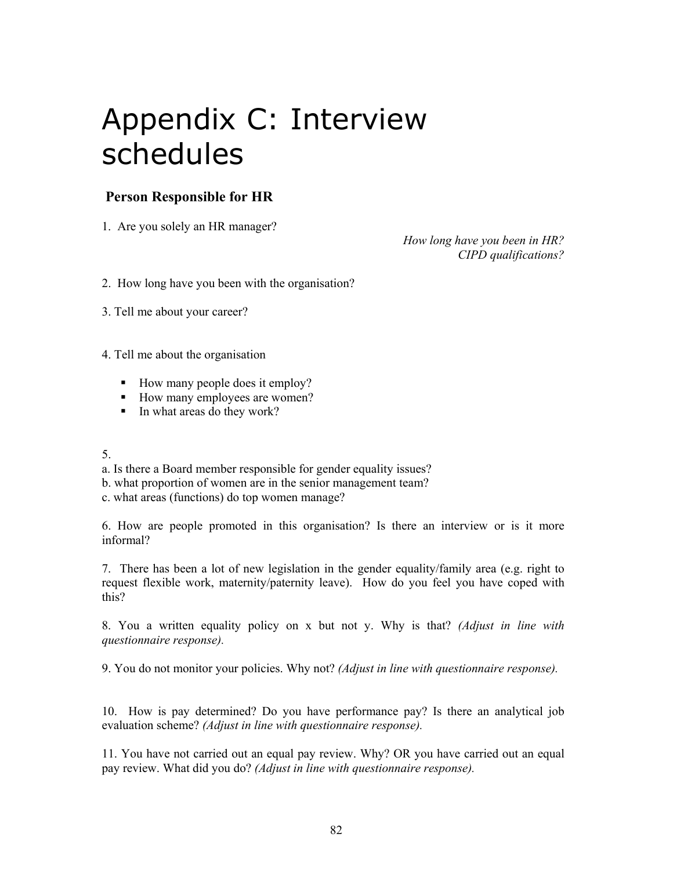# Appendix C: Interview schedules

## **Person Responsible for HR**

1. Are you solely an HR manager?

*How long have you been in HR? CIPD qualifications?* 

2. How long have you been with the organisation?

3. Tell me about your career?

4. Tell me about the organisation

- How many people does it employ?
- How many employees are women?
- In what areas do they work?

#### 5.

- a. Is there a Board member responsible for gender equality issues?
- b. what proportion of women are in the senior management team?
- c. what areas (functions) do top women manage?

6. How are people promoted in this organisation? Is there an interview or is it more informal?

7. There has been a lot of new legislation in the gender equality/family area (e.g. right to request flexible work, maternity/paternity leave). How do you feel you have coped with this?

8. You a written equality policy on x but not y. Why is that? *(Adjust in line with questionnaire response).* 

9. You do not monitor your policies. Why not? *(Adjust in line with questionnaire response).* 

10. How is pay determined? Do you have performance pay? Is there an analytical job evaluation scheme? *(Adjust in line with questionnaire response).* 

11. You have not carried out an equal pay review. Why? OR you have carried out an equal pay review. What did you do? *(Adjust in line with questionnaire response).*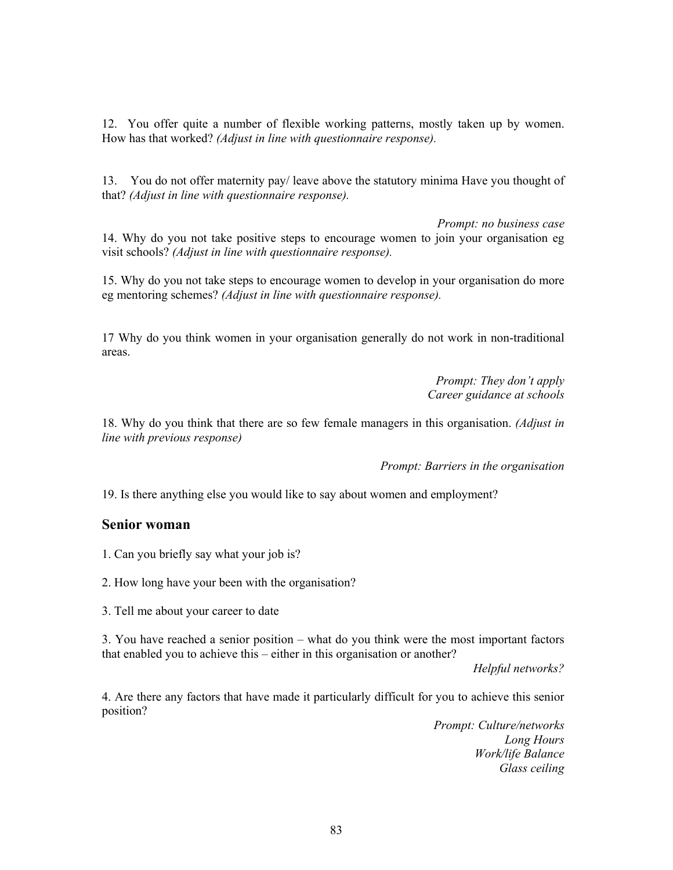12. You offer quite a number of flexible working patterns, mostly taken up by women. How has that worked? *(Adjust in line with questionnaire response).* 

13. You do not offer maternity pay/ leave above the statutory minima Have you thought of that? *(Adjust in line with questionnaire response).* 

*Prompt: no business case*  14. Why do you not take positive steps to encourage women to join your organisation eg visit schools? *(Adjust in line with questionnaire response).* 

15. Why do you not take steps to encourage women to develop in your organisation do more eg mentoring schemes? *(Adjust in line with questionnaire response).* 

17 Why do you think women in your organisation generally do not work in non-traditional areas.

> *Prompt: They don't apply Career guidance at schools*

18. Why do you think that there are so few female managers in this organisation. *(Adjust in line with previous response)*

*Prompt: Barriers in the organisation* 

19. Is there anything else you would like to say about women and employment?

#### **Senior woman**

1. Can you briefly say what your job is?

2. How long have your been with the organisation?

3. Tell me about your career to date

3. You have reached a senior position – what do you think were the most important factors that enabled you to achieve this – either in this organisation or another?

*Helpful networks?* 

4. Are there any factors that have made it particularly difficult for you to achieve this senior position?

> *Prompt: Culture/networks Long Hours Work/life Balance Glass ceiling*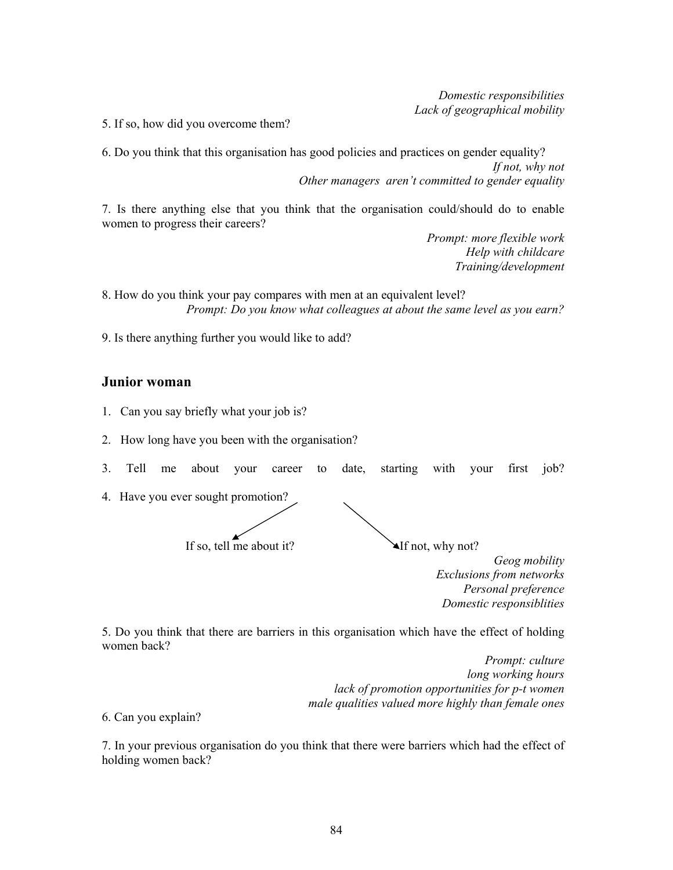*Domestic responsibilities Lack of geographical mobility* 

5. If so, how did you overcome them?

6. Do you think that this organisation has good policies and practices on gender equality? *If not, why not Other managers aren't committed to gender equality* 

7. Is there anything else that you think that the organisation could/should do to enable women to progress their careers?

> *Prompt: more flexible work Help with childcare Training/development*

8. How do you think your pay compares with men at an equivalent level? *Prompt: Do you know what colleagues at about the same level as you earn?* 

9. Is there anything further you would like to add?

#### **Junior woman**

- 1. Can you say briefly what your job is?
- 2. How long have you been with the organisation?
- 3. Tell me about your career to date, starting with your first job?
- 4. Have you ever sought promotion?

If so, tell me about it?  $\blacktriangle$  If not, why not?

*Geog mobility Exclusions from networks Personal preference Domestic responsiblities* 

5. Do you think that there are barriers in this organisation which have the effect of holding women back?

> *Prompt: culture long working hours lack of promotion opportunities for p-t women male qualities valued more highly than female ones*

6. Can you explain?

7. In your previous organisation do you think that there were barriers which had the effect of holding women back?